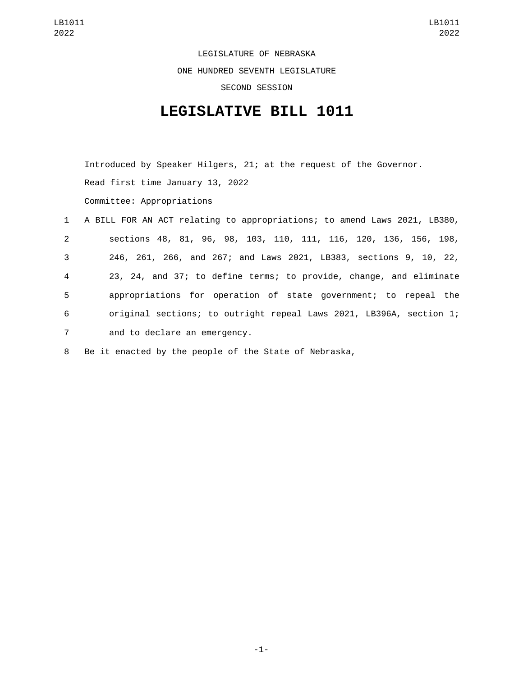LEGISLATURE OF NEBRASKA ONE HUNDRED SEVENTH LEGISLATURE SECOND SESSION

## **LEGISLATIVE BILL 1011**

Introduced by Speaker Hilgers, 21; at the request of the Governor. Read first time January 13, 2022 Committee: Appropriations

| $\mathbf{2}$<br>sections 48, 81, 96, 98, 103, 110, 111, 116, 120, 136, 156, 198,<br>3<br>246, 261, 266, and 267; and Laws 2021, LB383, sections 9, 10, 22,<br>$\overline{4}$<br>23, 24, and 37; to define terms; to provide, change, and eliminate<br>5<br>appropriations for operation of state government; to repeal the<br>6<br>original sections; to outright repeal Laws 2021, LB396A, section 1;<br>$7^{\circ}$<br>and to declare an emergency. | 1 A BILL FOR AN ACT relating to appropriations; to amend Laws 2021, LB380, |
|-------------------------------------------------------------------------------------------------------------------------------------------------------------------------------------------------------------------------------------------------------------------------------------------------------------------------------------------------------------------------------------------------------------------------------------------------------|----------------------------------------------------------------------------|
|                                                                                                                                                                                                                                                                                                                                                                                                                                                       |                                                                            |
|                                                                                                                                                                                                                                                                                                                                                                                                                                                       |                                                                            |
|                                                                                                                                                                                                                                                                                                                                                                                                                                                       |                                                                            |
|                                                                                                                                                                                                                                                                                                                                                                                                                                                       |                                                                            |
|                                                                                                                                                                                                                                                                                                                                                                                                                                                       |                                                                            |
|                                                                                                                                                                                                                                                                                                                                                                                                                                                       |                                                                            |

8 Be it enacted by the people of the State of Nebraska,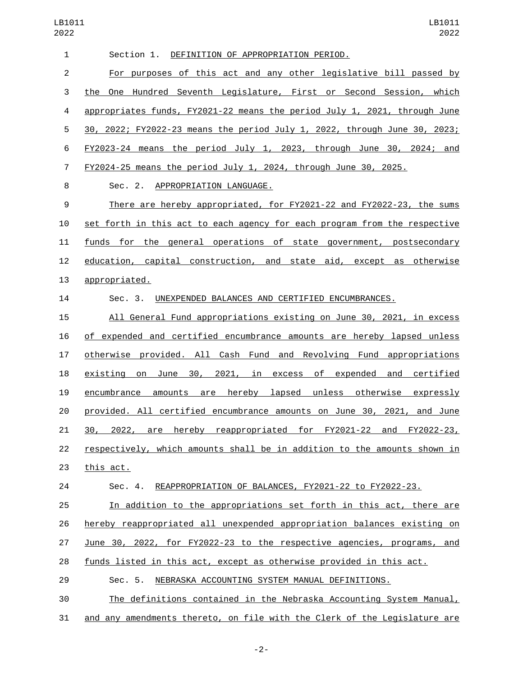| $\mathbf{1}$   | Section 1. DEFINITION OF APPROPRIATION PERIOD.                            |
|----------------|---------------------------------------------------------------------------|
| $\overline{2}$ | For purposes of this act and any other legislative bill passed by         |
| 3              | Hundred Seventh Legislature, First or Second Session, which<br>the<br>One |
| 4              | appropriates funds, FY2021-22 means the period July 1, 2021, through June |
| 5              | 30, 2022; FY2022-23 means the period July 1, 2022, through June 30, 2023; |
| 6              | FY2023-24 means the period July 1, 2023, through June 30, 2024; and       |
| 7              | FY2024-25 means the period July 1, 2024, through June 30, 2025.           |
| 8              | Sec. 2. APPROPRIATION LANGUAGE.                                           |
| 9              | There are hereby appropriated, for FY2021-22 and FY2022-23, the sums      |
| 10             | set forth in this act to each agency for each program from the respective |
| 11             | funds for the general operations of state government, postsecondary       |
| 12             | education, capital construction, and state aid, except as otherwise       |
| 13             | appropriated.                                                             |
| 14             | Sec. 3. UNEXPENDED BALANCES AND CERTIFIED ENCUMBRANCES.                   |
| 15             | All General Fund appropriations existing on June 30, 2021, in excess      |
| 16             | of expended and certified encumbrance amounts are hereby lapsed unless    |
| 17             | otherwise provided. All Cash Fund and Revolving Fund appropriations       |
| 18             | on June 30, 2021, in excess of expended and<br>certified<br>existing      |
| 19             | encumbrance amounts are hereby lapsed unless otherwise expressly          |
| 20             | provided. All certified encumbrance amounts on June 30, 2021, and June    |
| 21             | 30, 2022, are hereby reappropriated for FY2021-22 and FY2022-23,          |
| 22             | respectively, which amounts shall be in addition to the amounts shown in  |
| 23             | this act.                                                                 |
| 24             | Sec. 4. REAPPROPRIATION OF BALANCES, FY2021-22 to FY2022-23.              |
| 25             | In addition to the appropriations set forth in this act, there are        |
| 26             | hereby reappropriated all unexpended appropriation balances existing on   |
| 27             | June 30, 2022, for FY2022-23 to the respective agencies, programs, and    |
| 28             | funds listed in this act, except as otherwise provided in this act.       |
| 29             | Sec. 5.<br>NEBRASKA ACCOUNTING SYSTEM MANUAL DEFINITIONS.                 |
| 30             | The definitions contained in the Nebraska Accounting System Manual,       |
|                |                                                                           |

and any amendments thereto, on file with the Clerk of the Legislature are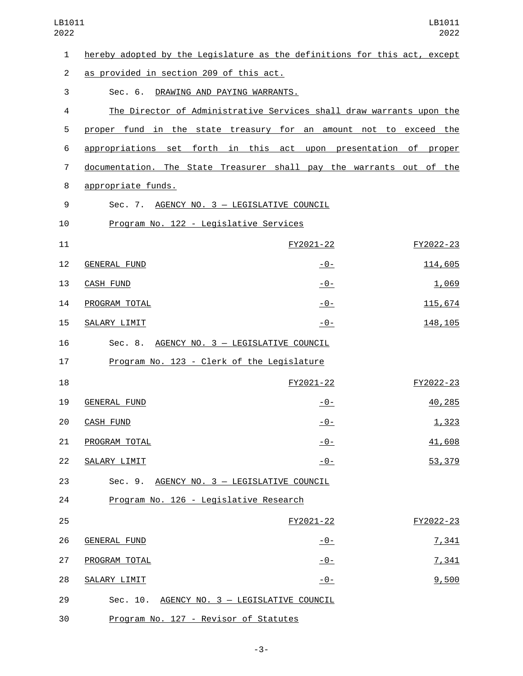| $\mathbf{1}$   | hereby adopted by the Legislature as the definitions for this act, except |                |           |
|----------------|---------------------------------------------------------------------------|----------------|-----------|
| $\overline{2}$ | as provided in section 209 of this act.                                   |                |           |
| 3              | DRAWING AND PAYING WARRANTS.<br>Sec. 6.                                   |                |           |
| 4              | The Director of Administrative Services shall draw warrants upon the      |                |           |
| 5              | proper fund in the state treasury for an amount not to exceed the         |                |           |
| 6              | appropriations set forth in this act upon presentation of proper          |                |           |
| 7              | documentation. The State Treasurer shall pay the warrants out of the      |                |           |
| 8              | appropriate funds.                                                        |                |           |
| 9              | Sec. 7. AGENCY NO. 3 - LEGISLATIVE COUNCIL                                |                |           |
| 10             | Program No. 122 - Legislative Services                                    |                |           |
| 11             |                                                                           | FY2021-22      | FY2022-23 |
| 12             | <b>GENERAL FUND</b>                                                       | <u> - 0 - </u> | 114,605   |
| 13             | <b>CASH FUND</b>                                                          | <u>- 0 - </u>  | 1,069     |
| 14             | PROGRAM TOTAL                                                             | <u> - 0 - </u> | 115,674   |
| 15             | SALARY LIMIT                                                              | $-0-$          | 148, 105  |
| 16             | Sec. 8. AGENCY NO. 3 - LEGISLATIVE COUNCIL                                |                |           |
| 17             | Program No. 123 - Clerk of the Legislature                                |                |           |
| 18             |                                                                           | FY2021-22      | FY2022-23 |
| 19             | <b>GENERAL FUND</b>                                                       | <u> - 0 - </u> | 40,285    |
| 20             | <b>CASH FUND</b>                                                          | $-0-$          | 1,323     |
| 21             | PROGRAM TOTAL                                                             | <u>- 0 - </u>  | 41,608    |
| 22             | SALARY LIMIT                                                              | $-0-$          | 53,379    |
| 23             | Sec. 9. AGENCY NO. 3 - LEGISLATIVE COUNCIL                                |                |           |
| 24             | Program No. 126 - Legislative Research                                    |                |           |
| 25             |                                                                           | FY2021-22      | FY2022-23 |
| 26             | <b>GENERAL FUND</b>                                                       | <u> - 0 - </u> | 7,341     |
| 27             | PROGRAM TOTAL                                                             | $-0-$          | 7,341     |
| 28             | SALARY LIMIT                                                              | $-0-$          | 9,500     |
| 29             | Sec. 10. AGENCY NO. 3 - LEGISLATIVE COUNCIL                               |                |           |
|                |                                                                           |                |           |

30 Program No. 127 - Revisor of Statutes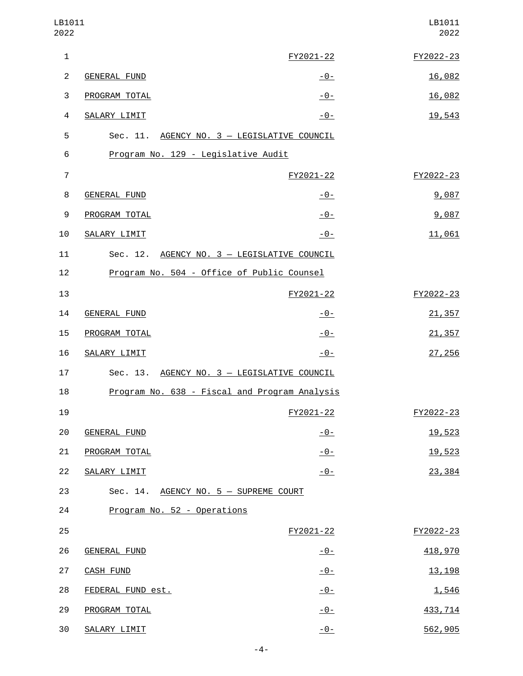| LB1011<br>2022 |                                       |                                               | LB1011<br>2022 |
|----------------|---------------------------------------|-----------------------------------------------|----------------|
| $\mathbf{1}$   |                                       | FY2021-22                                     | FY2022-23      |
| $\overline{2}$ | <b>GENERAL FUND</b>                   | $-0-$                                         | 16,082         |
| 3              | PROGRAM TOTAL                         | -0-                                           | 16,082         |
| $\overline{a}$ | SALARY LIMIT                          | $-0-$                                         | 19,543         |
| 5              |                                       | Sec. 11. AGENCY NO. 3 - LEGISLATIVE COUNCIL   |                |
| 6              | Program No. 129 - Legislative Audit   |                                               |                |
| $\overline{7}$ |                                       | FY2021-22                                     | FY2022-23      |
| 8              | <b>GENERAL FUND</b>                   | <u> - 0 - </u>                                | 9,087          |
| 9              | PROGRAM TOTAL                         | $-0-$                                         | 9,087          |
| 10             | SALARY LIMIT                          | $-0-$                                         | 11,061         |
| 11             |                                       | Sec. 12. AGENCY NO. 3 - LEGISLATIVE COUNCIL   |                |
| 12             |                                       | Program No. 504 - Office of Public Counsel    |                |
| 13             |                                       | FY2021-22                                     | FY2022-23      |
| 14             | <b>GENERAL FUND</b>                   | <u>- 0 - </u>                                 | 21,357         |
| 15             | PROGRAM TOTAL                         | $-0-$                                         | 21,357         |
| 16             | SALARY LIMIT                          | $-0-$                                         | 27,256         |
| 17             | Sec. 13.                              | AGENCY NO. 3 - LEGISLATIVE COUNCIL            |                |
| 18             |                                       | Program No. 638 - Fiscal and Program Analysis |                |
| 19             |                                       | FY2021-22                                     | FY2022-23      |
| 20             | <b>GENERAL FUND</b>                   | $-0-$                                         | 19,523         |
| 21             | PROGRAM TOTAL                         | $-0-$                                         | 19,523         |
| 22             | SALARY LIMIT                          | $-0-$                                         | 23,384         |
| 23             | Sec. 14. AGENCY NO. 5 - SUPREME COURT |                                               |                |
| 24             | Program No. 52 - Operations           |                                               |                |
| 25             |                                       | FY2021-22                                     | FY2022-23      |
| 26             | <b>GENERAL FUND</b>                   | $-0-$                                         | 418,970        |
| 27             | <b>CASH FUND</b>                      | $-0-$                                         | 13, 198        |
| 28             | FEDERAL FUND est.                     | $-0-$                                         | 1,546          |
| 29             | PROGRAM TOTAL                         | $-0-$                                         | 433,714        |
| 30             | SALARY LIMIT                          | $-0-$                                         | 562,905        |

-4-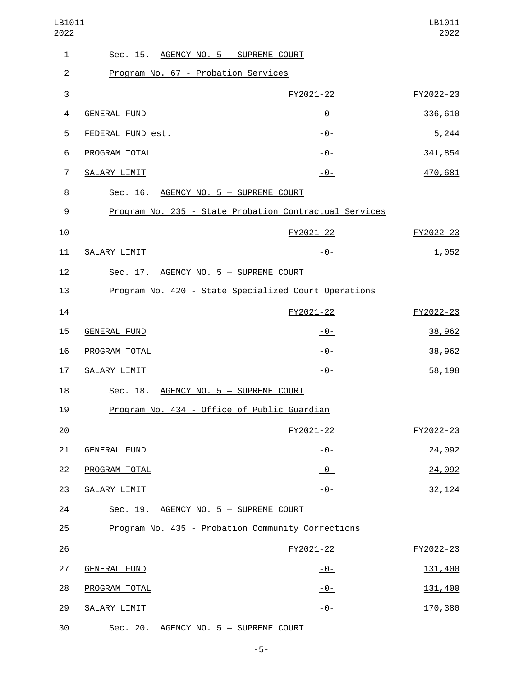| $\mathbf{1}$   |                     | Sec. 15. AGENCY NO. 5 - SUPREME COURT       |                                                        |           |
|----------------|---------------------|---------------------------------------------|--------------------------------------------------------|-----------|
| $\overline{2}$ |                     | Program No. 67 - Probation Services         |                                                        |           |
| 3              |                     |                                             | FY2021-22                                              | FY2022-23 |
| 4              | <b>GENERAL FUND</b> |                                             | $-0-$                                                  | 336,610   |
| 5              | FEDERAL FUND est.   |                                             | $-0-$                                                  | 5,244     |
| 6              | PROGRAM TOTAL       |                                             | $-0-$                                                  | 341,854   |
| 7              | SALARY LIMIT        |                                             | $-0-$                                                  | 470,681   |
| 8              |                     | Sec. 16. AGENCY NO. 5 - SUPREME COURT       |                                                        |           |
| 9              |                     |                                             | Program No. 235 - State Probation Contractual Services |           |
| 10             |                     |                                             | FY2021-22                                              | FY2022-23 |
| 11             | SALARY LIMIT        |                                             | $-0-$                                                  | 1,052     |
| 12             |                     | Sec. 17. AGENCY NO. 5 - SUPREME COURT       |                                                        |           |
| 13             |                     |                                             | Program No. 420 - State Specialized Court Operations   |           |
| 14             |                     |                                             | FY2021-22                                              | FY2022-23 |
| 15             | <b>GENERAL FUND</b> |                                             | $-0-$                                                  | 38,962    |
| 16             | PROGRAM TOTAL       |                                             | $-0-$                                                  | 38,962    |
| 17             | SALARY LIMIT        |                                             | $-0-$                                                  | 58,198    |
| 18             |                     | Sec. 18. AGENCY NO. 5 - SUPREME COURT       |                                                        |           |
| 19             |                     | Program No. 434 - Office of Public Guardian |                                                        |           |
| 20             |                     |                                             | FY2021-22                                              | FY2022-23 |
| 21             | <b>GENERAL FUND</b> |                                             | $-0-$                                                  | 24,092    |
| 22             | PROGRAM TOTAL       |                                             | $-0-$                                                  | 24,092    |
| 23             | SALARY LIMIT        |                                             | $-0-$                                                  | 32, 124   |
| 24             |                     | Sec. 19. AGENCY NO. 5 - SUPREME COURT       |                                                        |           |
| 25             |                     |                                             | Program No. 435 - Probation Community Corrections      |           |
| 26             |                     |                                             | FY2021-22                                              | FY2022-23 |
| 27             | <b>GENERAL FUND</b> |                                             | $-0-$                                                  | 131,400   |
| 28             | PROGRAM TOTAL       |                                             | $-0-$                                                  | 131,400   |
| 29             | SALARY LIMIT        |                                             | $-0-$                                                  | 170,380   |
| 30             |                     | Sec. 20. AGENCY NO. 5 - SUPREME COURT       |                                                        |           |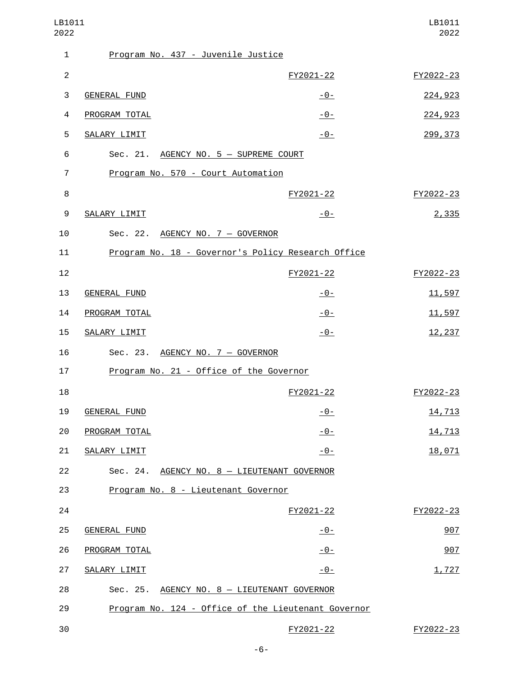| LB1011<br>2022 |                                             |                                                     | LB1011<br>2022 |
|----------------|---------------------------------------------|-----------------------------------------------------|----------------|
| 1              | Program No. 437 - Juvenile Justice          |                                                     |                |
| $\overline{2}$ |                                             | FY2021-22                                           | FY2022-23      |
| 3              | <b>GENERAL FUND</b>                         | -0-                                                 | 224,923        |
| 4              | PROGRAM TOTAL                               | $-0-$                                               | 224,923        |
| 5              | SALARY LIMIT                                | -0-                                                 | 299, 373       |
| 6              | Sec. 21. AGENCY NO. 5 - SUPREME COURT       |                                                     |                |
| $\overline{7}$ | Program No. 570 - Court Automation          |                                                     |                |
| 8              |                                             | FY2021-22                                           | FY2022-23      |
| 9              | SALARY LIMIT                                | -0-                                                 | 2,335          |
| 10             | Sec. 22. AGENCY NO. 7 - GOVERNOR            |                                                     |                |
| 11             |                                             | Program No. 18 - Governor's Policy Research Office  |                |
| 12             |                                             | FY2021-22                                           | FY2022-23      |
| 13             | <b>GENERAL FUND</b>                         | $-0-$                                               | 11,597         |
| 14             | PROGRAM TOTAL                               | $-0-$                                               | 11,597         |
| 15             | SALARY LIMIT                                | $-0-$                                               | 12,237         |
| 16             | Sec. 23. AGENCY NO. 7 - GOVERNOR            |                                                     |                |
| 17             | Program No. 21 - Office of the Governor     |                                                     |                |
| 18             |                                             | FY2021-22                                           | FY2022-23      |
| 19             | <b>GENERAL FUND</b>                         | $-0-$                                               | 14,713         |
| 20             | PROGRAM TOTAL                               | $-0-$                                               | 14,713         |
| 21             | SALARY LIMIT                                | $-0-$                                               | 18,071         |
| 22             | Sec. 24. AGENCY NO. 8 - LIEUTENANT GOVERNOR |                                                     |                |
| 23             | Program No. 8 - Lieutenant Governor         |                                                     |                |
| 24             |                                             | FY2021-22                                           | FY2022-23      |
| 25             | <b>GENERAL FUND</b>                         | <u>- 0 - </u>                                       | 907            |
| 26             | PROGRAM TOTAL                               | $-0-$                                               | 907            |
| 27             | SALARY LIMIT                                | $-0-$                                               | 1,727          |
| 28             | Sec. 25. AGENCY NO. 8 - LIEUTENANT GOVERNOR |                                                     |                |
| 29             |                                             | Program No. 124 - Office of the Lieutenant Governor |                |
| 30             |                                             | FY2021-22                                           | FY2022-23      |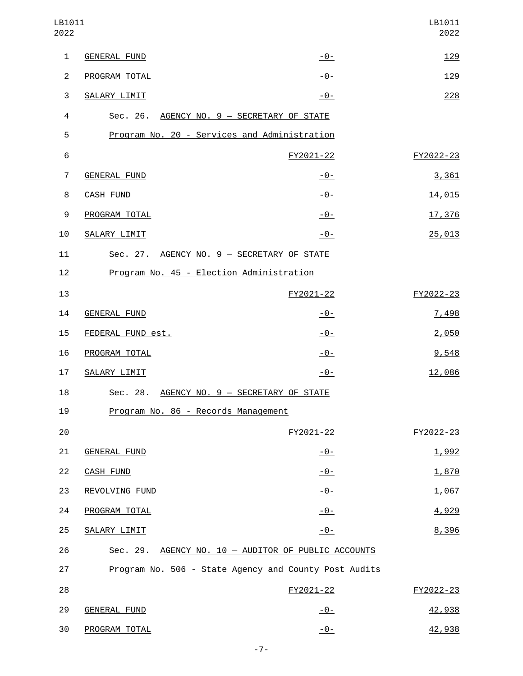| LB1011<br>2022 |                                              |                                                       | LB1011<br>2022 |
|----------------|----------------------------------------------|-------------------------------------------------------|----------------|
| $\mathbf{1}$   | <b>GENERAL FUND</b>                          | $-0-$                                                 | 129            |
| $\overline{2}$ | PROGRAM TOTAL                                | $-0-$                                                 | 129            |
| 3              | SALARY LIMIT                                 | -0-                                                   | 228            |
| 4              | Sec. 26. AGENCY NO. 9 - SECRETARY OF STATE   |                                                       |                |
| 5              | Program No. 20 - Services and Administration |                                                       |                |
| 6              |                                              | FY2021-22                                             | FY2022-23      |
| $\overline{7}$ | GENERAL FUND                                 | <u> - 0 - </u>                                        | 3,361          |
| 8              | <b>CASH FUND</b>                             | $-0-$                                                 | 14,015         |
| 9              | PROGRAM TOTAL                                | $-0-$                                                 | 17,376         |
| 10             | SALARY LIMIT                                 | -0-                                                   | 25,013         |
| 11             | Sec. 27. AGENCY NO. 9 - SECRETARY OF STATE   |                                                       |                |
| 12             | Program No. 45 - Election Administration     |                                                       |                |
| 13             |                                              | FY2021-22                                             | FY2022-23      |
| 14             | <b>GENERAL FUND</b>                          | <u> - 0 - </u>                                        | 7,498          |
| 15             | FEDERAL FUND est.                            | $-0-$                                                 | 2,050          |
| 16             | PROGRAM TOTAL                                | $-0-$                                                 | 9,548          |
| 17             | SALARY LIMIT                                 | $-0-$                                                 | 12,086         |
| 18             | Sec. 28. AGENCY NO. 9 - SECRETARY OF STATE   |                                                       |                |
| 19             | Program No. 86 - Records Management          |                                                       |                |
| 20             |                                              | FY2021-22                                             | FY2022-23      |
| 21             | <b>GENERAL FUND</b>                          | $-0-$                                                 | 1,992          |
| 22             | <b>CASH FUND</b>                             | $-0-$                                                 | 1,870          |
| 23             | REVOLVING FUND                               | $-0-$                                                 | 1,067          |
| 24             | PROGRAM TOTAL                                | $-0-$                                                 | 4,929          |
| 25             | SALARY LIMIT                                 | $-0-$                                                 | 8,396          |
| 26             |                                              | Sec. 29. AGENCY NO. 10 - AUDITOR OF PUBLIC ACCOUNTS   |                |
| 27             |                                              | Program No. 506 - State Agency and County Post Audits |                |
| 28             |                                              | FY2021-22                                             | FY2022-23      |
| 29             | <b>GENERAL FUND</b>                          | $-0-$                                                 | 42,938         |
| 30             | PROGRAM TOTAL                                | $-0-$                                                 | 42,938         |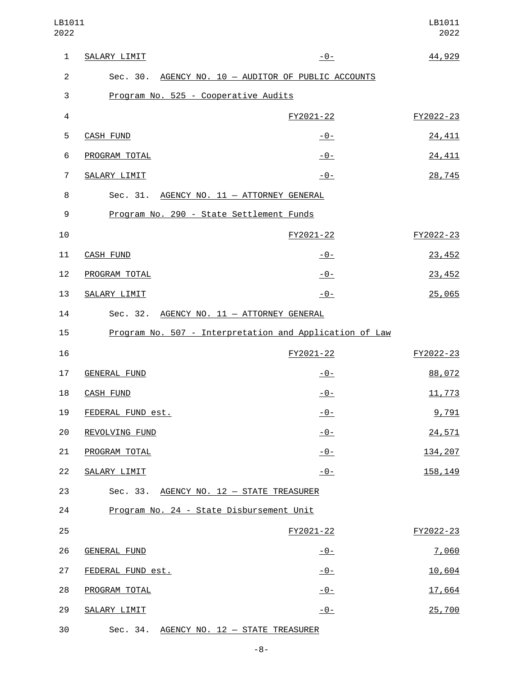| LB1011<br>2022 |                                                         |           | LB1011<br>2022 |
|----------------|---------------------------------------------------------|-----------|----------------|
| 1              | SALARY LIMIT                                            | $-0-$     | 44,929         |
| $\overline{c}$ | Sec. 30. AGENCY NO. 10 - AUDITOR OF PUBLIC ACCOUNTS     |           |                |
| 3              | Program No. 525 - Cooperative Audits                    |           |                |
| $\overline{4}$ |                                                         | FY2021-22 | FY2022-23      |
| 5              | <b>CASH FUND</b>                                        | $-0-$     | 24,411         |
| 6              | PROGRAM TOTAL                                           | $-0-$     | 24,411         |
| $\overline{7}$ | SALARY LIMIT                                            | $-0-$     | 28,745         |
| 8              | Sec. 31. AGENCY NO. 11 - ATTORNEY GENERAL               |           |                |
| 9              | Program No. 290 - State Settlement Funds                |           |                |
| 10             |                                                         | FY2021-22 | FY2022-23      |
| 11             | <b>CASH FUND</b>                                        | $-0-$     | 23,452         |
| 12             | PROGRAM TOTAL                                           | $-0-$     | 23,452         |
| 13             | SALARY LIMIT                                            | $-0-$     | 25,065         |
| 14             | Sec. 32. AGENCY NO. 11 - ATTORNEY GENERAL               |           |                |
| 15             | Program No. 507 - Interpretation and Application of Law |           |                |
| 16             |                                                         | FY2021-22 | FY2022-23      |
| 17             | <b>GENERAL FUND</b>                                     | $-0-$     | 88,072         |
| 18             | CASH FUND                                               | $-0-$     | 11,773         |
| 19             | FEDERAL FUND est.                                       | $-0-$     | 9,791          |
| 20             | REVOLVING FUND                                          | $-0-$     | 24,571         |
| 21             | PROGRAM TOTAL                                           | $-0-$     | 134,207        |
| 22             | SALARY LIMIT                                            | $-0-$     | 158, 149       |
| 23             | Sec. 33. AGENCY NO. 12 - STATE TREASURER                |           |                |
| 24             | Program No. 24 - State Disbursement Unit                |           |                |
| 25             |                                                         | FY2021-22 | FY2022-23      |
| 26             | <b>GENERAL FUND</b>                                     | $-0-$     | 7,060          |
| 27             | FEDERAL FUND est.                                       | $-0-$     | 10,604         |
| 28             | PROGRAM TOTAL                                           | $-0-$     | 17,664         |
| 29             | SALARY LIMIT                                            | $-0-$     | 25,700         |
|                |                                                         |           |                |

Sec. 34. AGENCY NO. 12 - STATE TREASURER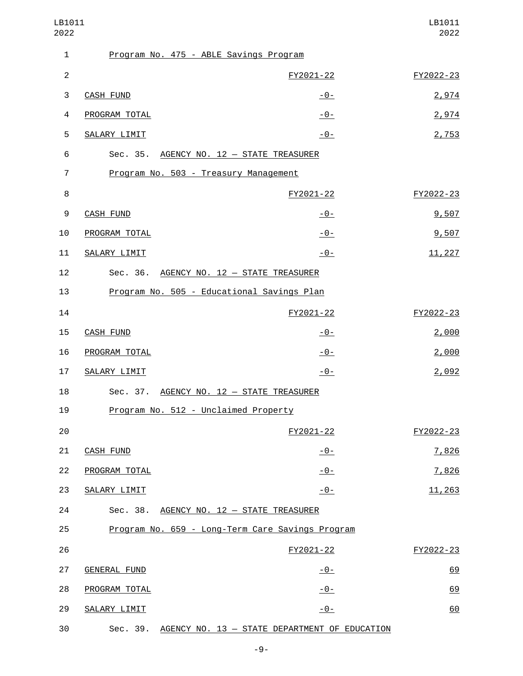| LB1011<br>2022 |                                                        |                | LB1011<br>2022 |
|----------------|--------------------------------------------------------|----------------|----------------|
| $\mathbf{1}$   | Program No. 475 - ABLE Savings Program                 |                |                |
| $\mathbf{2}$   |                                                        | FY2021-22      | FY2022-23      |
| 3              | <b>CASH FUND</b>                                       | <u>-0-</u>     | 2,974          |
| 4              | PROGRAM TOTAL                                          | $-0-$          | 2,974          |
| 5              | SALARY LIMIT                                           | $-0-$          | 2,753          |
| 6              | Sec. 35. AGENCY NO. 12 - STATE TREASURER               |                |                |
| $\overline{7}$ | Program No. 503 - Treasury Management                  |                |                |
| 8              |                                                        | FY2021-22      | FY2022-23      |
| 9              | <b>CASH FUND</b>                                       | <u> - 0 - </u> | 9,507          |
| 10             | PROGRAM TOTAL                                          | $-0-$          | 9,507          |
| 11             | SALARY LIMIT                                           | $-0-$          | 11,227         |
| 12             | Sec. 36. AGENCY NO. 12 - STATE TREASURER               |                |                |
| 13             | Program No. 505 - Educational Savings Plan             |                |                |
| 14             |                                                        | FY2021-22      | FY2022-23      |
| 15             | <b>CASH FUND</b>                                       | $-0-$          | 2,000          |
| 16             | PROGRAM TOTAL                                          | $-0-$          | 2,000          |
| 17             | SALARY LIMIT                                           | $-0-$          | 2,092          |
| 18             | Sec. 37. AGENCY NO. 12 - STATE TREASURER               |                |                |
| 19             | Program No. 512 - Unclaimed Property                   |                |                |
| 20             |                                                        | FY2021-22      | FY2022-23      |
| 21             | <b>CASH FUND</b>                                       | $-0-$          | 7,826          |
| 22             | PROGRAM TOTAL                                          | $-0-$          | 7,826          |
| 23             | SALARY LIMIT                                           | $-0-$          | 11,263         |
| 24             | Sec. 38. AGENCY NO. 12 - STATE TREASURER               |                |                |
| 25             | Program No. 659 - Long-Term Care Savings Program       |                |                |
| 26             |                                                        | FY2021-22      | FY2022-23      |
| 27             | <b>GENERAL FUND</b>                                    | $-0-$          | 69             |
| 28             | PROGRAM TOTAL                                          | $-0-$          | 69             |
| 29             | SALARY LIMIT                                           | $-0-$          | 60             |
| 30             | Sec. 39. AGENCY NO. 13 - STATE DEPARTMENT OF EDUCATION |                |                |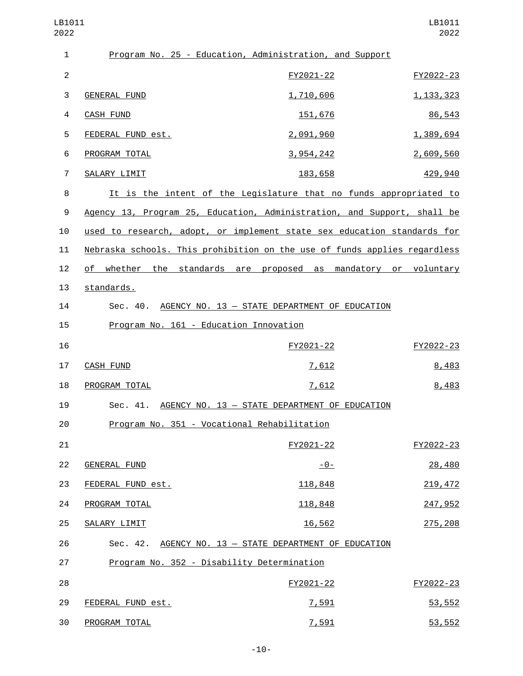| LB1011<br>2022 |                                                                           |                                                                   | LB1011<br>2022         |
|----------------|---------------------------------------------------------------------------|-------------------------------------------------------------------|------------------------|
| $\mathbf{1}$   |                                                                           | Program No. 25 - Education, Administration, and Support           |                        |
| $\overline{c}$ |                                                                           | FY2021-22                                                         | FY2022-23              |
| 3              | <b>GENERAL FUND</b>                                                       | 1,710,606                                                         | 1, 133, 323            |
| 4              | <b>CASH FUND</b>                                                          | 151,676                                                           | 86,543                 |
| 5              | FEDERAL FUND est.                                                         | 2,091,960                                                         | 1,389,694              |
| 6              | PROGRAM TOTAL                                                             | 3,954,242                                                         | 2,609,560              |
| $\overline{7}$ | SALARY LIMIT                                                              | 183,658                                                           | 429,940                |
| 8              |                                                                           | It is the intent of the Legislature that no funds appropriated to |                        |
| 9              | Agency 13, Program 25, Education, Administration, and Support, shall be   |                                                                   |                        |
| 10             | used to research, adopt, or implement state sex education standards for   |                                                                   |                        |
| 11             | Nebraska schools. This prohibition on the use of funds applies regardless |                                                                   |                        |
| 12             | whether the standards are<br>of                                           | proposed as                                                       | mandatory or voluntary |
| 13             | standards.                                                                |                                                                   |                        |
| 14             |                                                                           | Sec. 40. AGENCY NO. 13 - STATE DEPARTMENT OF EDUCATION            |                        |
| 15             | Program No. 161 - Education Innovation                                    |                                                                   |                        |
| 16             |                                                                           | FY2021-22                                                         | FY2022-23              |
| 17             | <b>CASH FUND</b>                                                          | 7,612                                                             | 8,483                  |
| 18             | PROGRAM TOTAL                                                             | 7,612                                                             | 8,483                  |
| 19             |                                                                           | Sec. 41. AGENCY NO. 13 - STATE DEPARTMENT OF EDUCATION            |                        |
| 20             | Program No. 351 - Vocational Rehabilitation                               |                                                                   |                        |
| 21             |                                                                           | FY2021-22                                                         | FY2022-23              |
| 22             | <b>GENERAL FUND</b>                                                       | $-0-$                                                             | 28,480                 |
| 23             | FEDERAL FUND est.                                                         | 118,848                                                           | 219,472                |
| 24             | PROGRAM TOTAL                                                             | 118,848                                                           | 247,952                |
| 25             | SALARY LIMIT                                                              | 16,562                                                            | 275,208                |
| 26             |                                                                           | Sec. 42. AGENCY NO. 13 - STATE DEPARTMENT OF EDUCATION            |                        |
| 27             | Program No. 352 - Disability Determination                                |                                                                   |                        |
| 28             |                                                                           | FY2021-22                                                         | FY2022-23              |
| 29             | FEDERAL FUND est.                                                         | 7,591                                                             | 53,552                 |
| 30             | PROGRAM TOTAL                                                             | 7,591                                                             | 53,552                 |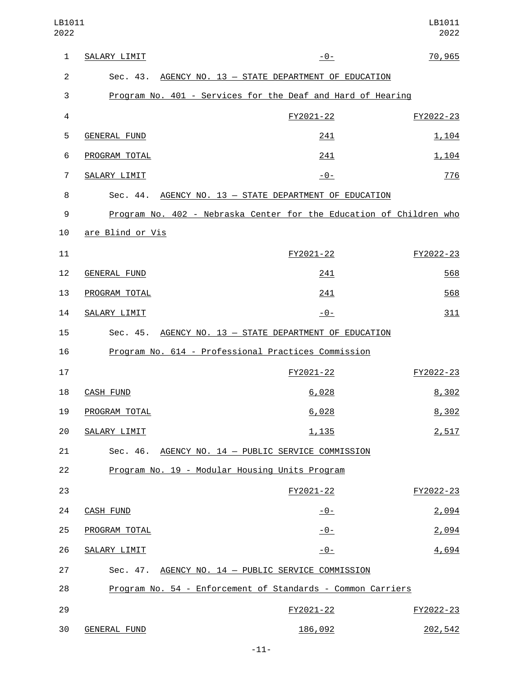| $\mathbf{1}$   | SALARY LIMIT        | $-0-$                                                               | 70,965    |
|----------------|---------------------|---------------------------------------------------------------------|-----------|
| $\overline{2}$ | Sec. 43.            | AGENCY NO. 13 - STATE DEPARTMENT OF EDUCATION                       |           |
| 3              |                     | Program No. 401 - Services for the Deaf and Hard of Hearing         |           |
| 4              |                     | FY2021-22                                                           | FY2022-23 |
| 5              | <b>GENERAL FUND</b> | 241                                                                 | 1,104     |
| 6              | PROGRAM TOTAL       | 241                                                                 | 1,104     |
| $\overline{7}$ | SALARY LIMIT        | $-0-$                                                               | 776       |
| 8              | Sec. 44.            | AGENCY NO. 13 - STATE DEPARTMENT OF EDUCATION                       |           |
| 9              |                     | Program No. 402 - Nebraska Center for the Education of Children who |           |
| 10             | are Blind or Vis    |                                                                     |           |
| 11             |                     | FY2021-22                                                           | FY2022-23 |
| 12             | <b>GENERAL FUND</b> | 241                                                                 | 568       |
| 13             | PROGRAM TOTAL       | 241                                                                 | 568       |
| 14             | SALARY LIMIT        | $-0-$                                                               | 311       |
| 15             | Sec. 45.            | AGENCY NO. 13 - STATE DEPARTMENT OF EDUCATION                       |           |
| 16             |                     | Program No. 614 - Professional Practices Commission                 |           |
| 17             |                     | FY2021-22                                                           | FY2022-23 |
| 18             | <b>CASH FUND</b>    | 6,028                                                               | 8,302     |
| 19             | PROGRAM TOTAL       | 6,028                                                               | 8,302     |
| 20             | SALARY LIMIT        | 1,135                                                               | 2,517     |
| 21             |                     | Sec. 46. AGENCY NO. 14 - PUBLIC SERVICE COMMISSION                  |           |
| 22             |                     | Program No. 19 - Modular Housing Units Program                      |           |
| 23             |                     | FY2021-22                                                           | FY2022-23 |
| 24             | <b>CASH FUND</b>    | <u> - 0 - </u>                                                      | 2,094     |
| 25             | PROGRAM TOTAL       | $-0-$                                                               | 2,094     |
| 26             | SALARY LIMIT        | $-0-$                                                               | 4,694     |
| 27             |                     | Sec. 47. AGENCY NO. 14 - PUBLIC SERVICE COMMISSION                  |           |
| 28             |                     | Program No. 54 - Enforcement of Standards - Common Carriers         |           |
| 29             |                     | FY2021-22                                                           | FY2022-23 |
| 30             | <b>GENERAL FUND</b> | 186,092                                                             | 202,542   |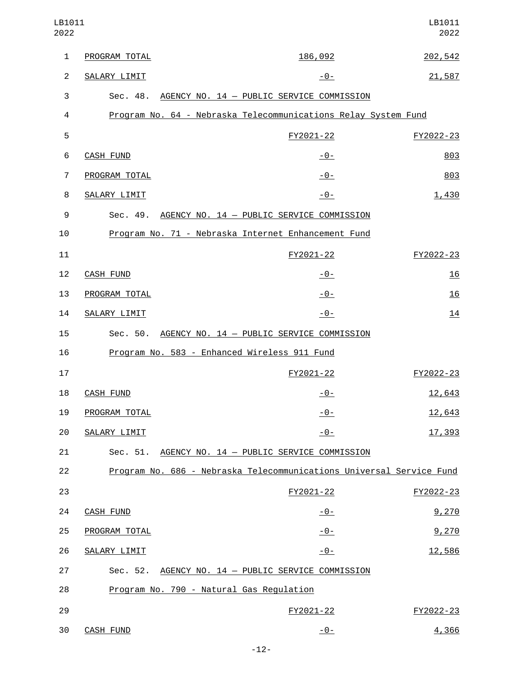| LB1011<br>2022 |                  |                                                                      | LB1011<br>2022 |
|----------------|------------------|----------------------------------------------------------------------|----------------|
| $\mathbf{1}$   | PROGRAM TOTAL    | 186,092                                                              | 202,542        |
| $\overline{2}$ | SALARY LIMIT     | $-0-$                                                                | 21,587         |
| $\sqrt{3}$     | Sec. 48.         | AGENCY NO. 14 - PUBLIC SERVICE COMMISSION                            |                |
| 4              |                  | Program No. 64 - Nebraska Telecommunications Relay System Fund       |                |
| 5              |                  | FY2021-22                                                            | FY2022-23      |
| 6              | <b>CASH FUND</b> | <u> - 0 - </u>                                                       | 803            |
| $\overline{7}$ | PROGRAM TOTAL    | -0-                                                                  | 803            |
| 8              | SALARY LIMIT     | -0-                                                                  | 1,430          |
| 9              | Sec. 49.         | AGENCY NO. 14 - PUBLIC SERVICE COMMISSION                            |                |
| 10             |                  | Program No. 71 - Nebraska Internet Enhancement Fund                  |                |
| 11             |                  | FY2021-22                                                            | FY2022-23      |
| 12             | <b>CASH FUND</b> | <u> - 0 - </u>                                                       | 16             |
| 13             | PROGRAM TOTAL    | $-0-$                                                                | 16             |
| 14             | SALARY LIMIT     | -0-                                                                  | 14             |
| 15             | Sec. 50.         | AGENCY NO. 14 - PUBLIC SERVICE COMMISSION                            |                |
| 16             |                  | Program No. 583 - Enhanced Wireless 911 Fund                         |                |
| 17             |                  | FY2021-22                                                            | FY2022-23      |
| 18             | CASH FUND        | $-0-$                                                                | 12,643         |
| 19             | PROGRAM TOTAL    | $-0-$                                                                | 12,643         |
| 20             | SALARY LIMIT     | $-0-$                                                                | 17,393         |
| 21             |                  | Sec. 51. AGENCY NO. 14 - PUBLIC SERVICE COMMISSION                   |                |
| 22             |                  | Program No. 686 - Nebraska Telecommunications Universal Service Fund |                |
| 23             |                  | FY2021-22                                                            | FY2022-23      |
| 24             | <b>CASH FUND</b> | $-0-$                                                                | 9,270          |
| 25             | PROGRAM TOTAL    | $-0-$                                                                | 9,270          |
| 26             | SALARY LIMIT     | $-0-$                                                                | 12,586         |
| 27             |                  | Sec. 52. AGENCY NO. 14 - PUBLIC SERVICE COMMISSION                   |                |
| 28             |                  | Program No. 790 - Natural Gas Regulation                             |                |
| 29             |                  | FY2021-22                                                            | FY2022-23      |
| 30             | <b>CASH FUND</b> | $-0-$                                                                | 4,366          |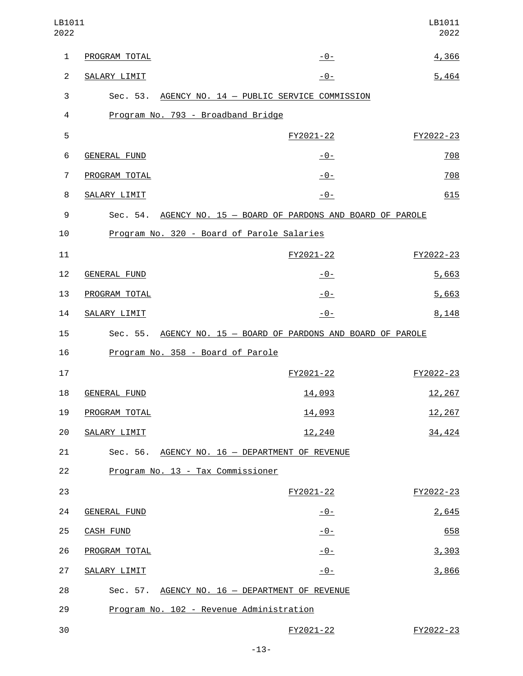| LB1011<br>2022 |                                          |                                                               | LB1011<br>2022 |
|----------------|------------------------------------------|---------------------------------------------------------------|----------------|
| 1              | PROGRAM TOTAL                            | $-0-$                                                         | 4,366          |
| $\overline{2}$ | SALARY LIMIT                             | $-0-$                                                         | 5,464          |
| 3              |                                          | Sec. 53. AGENCY NO. 14 - PUBLIC SERVICE COMMISSION            |                |
| 4              | Program No. 793 - Broadband Bridge       |                                                               |                |
| 5              |                                          | FY2021-22                                                     | FY2022-23      |
| 6              | <b>GENERAL FUND</b>                      | $-0-$                                                         | 708            |
| $\overline{7}$ | PROGRAM TOTAL                            | $-0-$                                                         | 708            |
| 8              | SALARY LIMIT                             | $-0-$                                                         | 615            |
| 9              |                                          | Sec. 54. AGENCY NO. 15 - BOARD OF PARDONS AND BOARD OF PAROLE |                |
| 10             |                                          | Program No. 320 - Board of Parole Salaries                    |                |
| 11             |                                          | FY2021-22                                                     | FY2022-23      |
| 12             | <b>GENERAL FUND</b>                      | <u> - 0 - </u>                                                | 5,663          |
| 13             | PROGRAM TOTAL                            | $-0-$                                                         | 5,663          |
| 14             | SALARY LIMIT                             | $-0-$                                                         | 8,148          |
| 15             |                                          | Sec. 55. AGENCY NO. 15 - BOARD OF PARDONS AND BOARD OF PAROLE |                |
| 16             | Program No. 358 - Board of Parole        |                                                               |                |
| 17             |                                          | FY2021-22                                                     | FY2022-23      |
| 18             | <b>GENERAL FUND</b>                      | 14,093                                                        | 12,267         |
| 19             | PROGRAM TOTAL                            | 14,093                                                        | 12,267         |
| 20             | SALARY LIMIT                             | 12,240                                                        | 34,424         |
| 21             |                                          | Sec. 56. AGENCY NO. 16 - DEPARTMENT OF REVENUE                |                |
| 22             | Program No. 13 - Tax Commissioner        |                                                               |                |
| 23             |                                          | FY2021-22                                                     | FY2022-23      |
| 24             | <b>GENERAL FUND</b>                      | $-0-$                                                         | 2,645          |
| 25             | <b>CASH FUND</b>                         | $-0-$                                                         | 658            |
| 26             | PROGRAM TOTAL                            | $-0-$                                                         | 3,303          |
| 27             | SALARY LIMIT                             | $-0-$                                                         | 3,866          |
| 28             |                                          | Sec. 57. AGENCY NO. 16 - DEPARTMENT OF REVENUE                |                |
| 29             | Program No. 102 - Revenue Administration |                                                               |                |
| 30             |                                          | FY2021-22                                                     | FY2022-23      |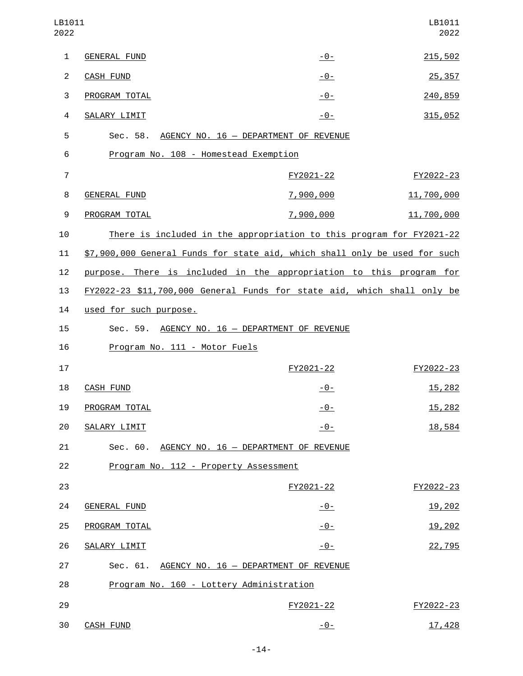| LB1011<br>2022 |                                                                            |                                       | LB1011<br>2022 |  |
|----------------|----------------------------------------------------------------------------|---------------------------------------|----------------|--|
| 1              | <b>GENERAL FUND</b>                                                        | $-0-$                                 | 215,502        |  |
| $\overline{2}$ | <b>CASH FUND</b>                                                           | $-0-$                                 | 25, 357        |  |
| 3              | PROGRAM TOTAL                                                              | $-0-$                                 | 240,859        |  |
| 4              | SALARY LIMIT                                                               | $-0-$                                 | 315,052        |  |
| 5              | Sec. 58.                                                                   | AGENCY NO. 16 - DEPARTMENT OF REVENUE |                |  |
| 6              | Program No. 108 - Homestead Exemption                                      |                                       |                |  |
| $\overline{7}$ |                                                                            | FY2021-22                             | FY2022-23      |  |
| 8              | <b>GENERAL FUND</b>                                                        | 7,900,000                             | 11,700,000     |  |
| 9              | PROGRAM TOTAL                                                              | 7,900,000                             | 11,700,000     |  |
| 10             | There is included in the appropriation to this program for FY2021-22       |                                       |                |  |
| 11             | \$7,900,000 General Funds for state aid, which shall only be used for such |                                       |                |  |
| 12             | purpose. There is included in the appropriation to this program for        |                                       |                |  |
| 13             | FY2022-23 \$11,700,000 General Funds for state aid, which shall only be    |                                       |                |  |
| 14             | used for such purpose.                                                     |                                       |                |  |
| 15             | Sec. 59. AGENCY NO. 16 - DEPARTMENT OF REVENUE                             |                                       |                |  |
| 16             | Program No. 111 - Motor Fuels                                              |                                       |                |  |
| 17             |                                                                            | FY2021-22                             | FY2022-23      |  |
| 18             | <b>CASH FUND</b>                                                           | $-0-$                                 | 15,282         |  |
| 19             | PROGRAM TOTAL                                                              | $-0-$                                 | 15,282         |  |
| 20             | SALARY LIMIT                                                               | $-0-$                                 | 18,584         |  |
| 21             | Sec. 60. AGENCY NO. 16 - DEPARTMENT OF REVENUE                             |                                       |                |  |
| 22             | Program No. 112 - Property Assessment                                      |                                       |                |  |
| 23             |                                                                            | FY2021-22                             | FY2022-23      |  |
| 24             | <b>GENERAL FUND</b>                                                        | $-0-$                                 | 19,202         |  |
| 25             | PROGRAM TOTAL                                                              | $-0-$                                 | 19,202         |  |
| 26             | SALARY LIMIT                                                               | $-0-$                                 | 22,795         |  |
| 27             | Sec. 61. AGENCY NO. 16 - DEPARTMENT OF REVENUE                             |                                       |                |  |
| 28             | Program No. 160 - Lottery Administration                                   |                                       |                |  |
| 29             |                                                                            | FY2021-22                             | FY2022-23      |  |
| 30             | <b>CASH FUND</b>                                                           | $-0-$                                 | 17,428         |  |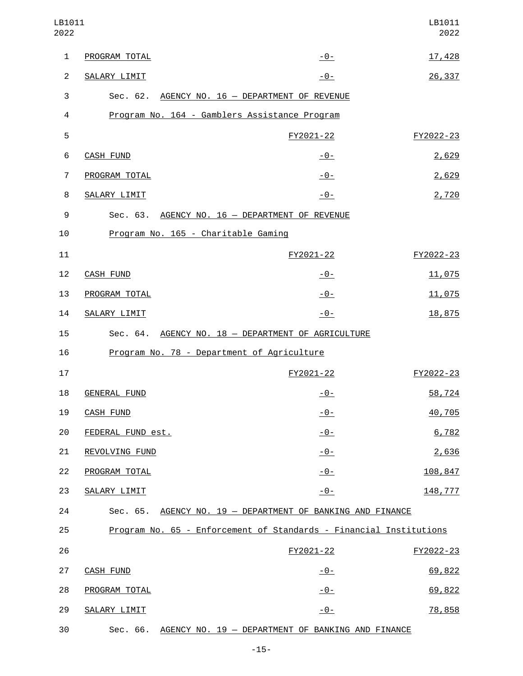| LB1011<br>2022 |                                     |                                                                    | LB1011<br>2022 |
|----------------|-------------------------------------|--------------------------------------------------------------------|----------------|
| $\mathbf{1}$   | PROGRAM TOTAL                       | $-0-$                                                              | 17,428         |
| $\overline{c}$ | SALARY LIMIT                        | $-0-$                                                              | 26,337         |
| 3              |                                     | Sec. 62. AGENCY NO. 16 - DEPARTMENT OF REVENUE                     |                |
| 4              |                                     | Program No. 164 - Gamblers Assistance Program                      |                |
| 5              |                                     | FY2021-22                                                          | FY2022-23      |
| 6              | <b>CASH FUND</b>                    | <u>- 0 - </u>                                                      | 2,629          |
| 7              | PROGRAM TOTAL                       | <u> - 0 - </u>                                                     | 2,629          |
| 8              | SALARY LIMIT                        | $-0-$                                                              | 2,720          |
| 9              | Sec. 63.                            | AGENCY NO. 16 - DEPARTMENT OF REVENUE                              |                |
| 10             | Program No. 165 - Charitable Gaming |                                                                    |                |
| 11             |                                     | FY2021-22                                                          | FY2022-23      |
| 12             | <b>CASH FUND</b>                    | $-0-$                                                              | 11,075         |
| 13             | PROGRAM TOTAL                       | $-0-$                                                              | 11,075         |
| 14             | SALARY LIMIT                        | $-0-$                                                              | 18,875         |
| 15             | Sec. 64.                            | AGENCY NO. 18 - DEPARTMENT OF AGRICULTURE                          |                |
| 16             |                                     | Program No. 78 - Department of Agriculture                         |                |
| 17             |                                     | FY2021-22                                                          | FY2022-23      |
| 18             | <b>GENERAL FUND</b>                 | $-0-$                                                              | 58,724         |
| 19             | <b>CASH FUND</b>                    | $-0-$                                                              | 40,705         |
| 20             | FEDERAL FUND est.                   | $-0-$                                                              | 6,782          |
| 21             | REVOLVING FUND                      | $-0-$                                                              | 2,636          |
| 22             | PROGRAM TOTAL                       | $-0-$                                                              | 108,847        |
| 23             | SALARY LIMIT                        | $-0-$                                                              | 148,777        |
| 24             |                                     | Sec. 65. AGENCY NO. 19 - DEPARTMENT OF BANKING AND FINANCE         |                |
| 25             |                                     | Program No. 65 - Enforcement of Standards - Financial Institutions |                |
| 26             |                                     | FY2021-22                                                          | FY2022-23      |
| 27             | <b>CASH FUND</b>                    | <u>- 0 - </u>                                                      | 69,822         |
| 28             | PROGRAM TOTAL                       | $-0-$                                                              | 69,822         |
| 29             | SALARY LIMIT                        | $-0-$                                                              | 78,858         |
| 30             |                                     | Sec. 66. AGENCY NO. 19 - DEPARTMENT OF BANKING AND FINANCE         |                |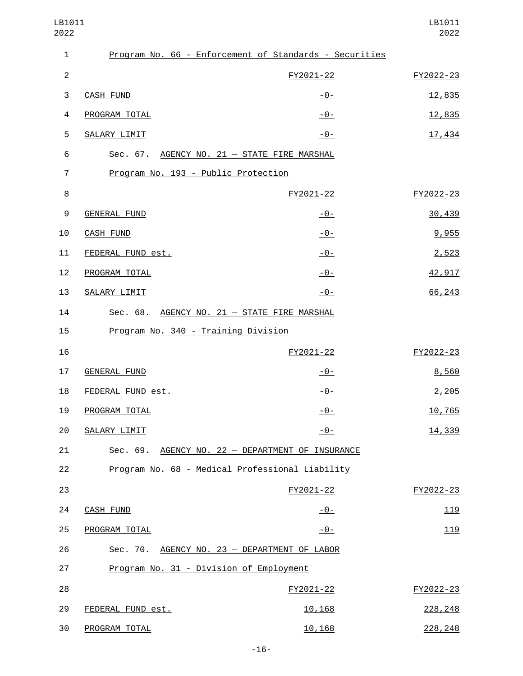| LB1011<br>2022 |                                             |                                                        | LB1011<br>2022 |  |  |
|----------------|---------------------------------------------|--------------------------------------------------------|----------------|--|--|
| 1              |                                             | Program No. 66 - Enforcement of Standards - Securities |                |  |  |
| 2              |                                             | FY2021-22                                              | FY2022-23      |  |  |
| 3              | <b>CASH FUND</b>                            | <u> - 0 - </u>                                         | 12,835         |  |  |
| 4              | PROGRAM TOTAL                               | $-0-$                                                  | 12,835         |  |  |
| 5              | SALARY LIMIT                                | $-0-$                                                  | 17,434         |  |  |
| 6              | Sec. 67. AGENCY NO. 21 - STATE FIRE MARSHAL |                                                        |                |  |  |
| $\overline{7}$ | Program No. 193 - Public Protection         |                                                        |                |  |  |
| 8              |                                             | FY2021-22                                              | FY2022-23      |  |  |
| 9              | <b>GENERAL FUND</b>                         | <u> - 0 - </u>                                         | 30,439         |  |  |
| 10             | <b>CASH FUND</b>                            | $-0-$                                                  | 9,955          |  |  |
| 11             | FEDERAL FUND est.                           | $-0-$                                                  | 2,523          |  |  |
| 12             | PROGRAM TOTAL                               | $-0-$                                                  | 42,917         |  |  |
| 13             | SALARY LIMIT                                | $-0-$                                                  | 66,243         |  |  |
| 14             | Sec. 68. AGENCY NO. 21 - STATE FIRE MARSHAL |                                                        |                |  |  |
| 15             | Program No. 340 - Training Division         |                                                        |                |  |  |
| 16             |                                             | FY2021-22                                              | FY2022-23      |  |  |
| 17             | <b>GENERAL FUND</b>                         | <u> - 0 - </u>                                         | 8,560          |  |  |
| 18             | FEDERAL FUND est.                           | $-0-$                                                  | 2,205          |  |  |
| 19             | PROGRAM TOTAL                               | $-0-$                                                  | 10,765         |  |  |
| 20             | SALARY LIMIT                                | $-0-$                                                  | 14,339         |  |  |
| 21             |                                             | Sec. 69. AGENCY NO. 22 - DEPARTMENT OF INSURANCE       |                |  |  |
| 22             |                                             | Program No. 68 - Medical Professional Liability        |                |  |  |
| 23             |                                             | FY2021-22                                              | FY2022-23      |  |  |
| 24             | <b>CASH FUND</b>                            | $-0-$                                                  | 119            |  |  |
| 25             | PROGRAM TOTAL                               | $-0-$                                                  | 119            |  |  |
| 26             |                                             | Sec. 70. AGENCY NO. 23 - DEPARTMENT OF LABOR           |                |  |  |
| 27             | Program No. 31 - Division of Employment     |                                                        |                |  |  |
| 28             |                                             | FY2021-22                                              | FY2022-23      |  |  |
| 29             | FEDERAL FUND est.                           | 10,168                                                 | 228, 248       |  |  |
| 30             | PROGRAM TOTAL                               | 10,168                                                 | 228, 248       |  |  |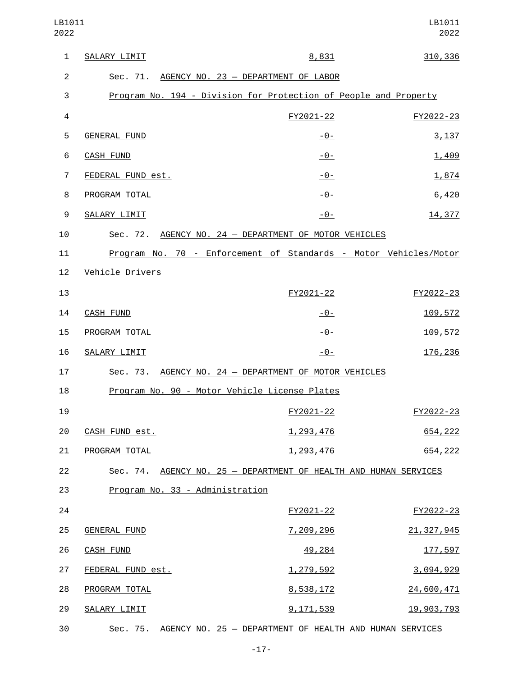| LB1011<br>2022 |                                                                  |                  | LB1011<br>2022 |
|----------------|------------------------------------------------------------------|------------------|----------------|
| $\mathbf{1}$   | SALARY LIMIT                                                     | 8,831            | 310, 336       |
| $\overline{c}$ | Sec. 71. AGENCY NO. 23 - DEPARTMENT OF LABOR                     |                  |                |
| 3              | Program No. 194 - Division for Protection of People and Property |                  |                |
| $\overline{4}$ |                                                                  | FY2021-22        | FY2022-23      |
| 5              | <b>GENERAL FUND</b>                                              | <u> - 0 - </u>   | 3,137          |
| 6              | <b>CASH FUND</b>                                                 | <u>- 0 - </u>    | 1,409          |
| $\overline{7}$ | FEDERAL FUND est.                                                | <u> - 0 - </u>   | 1,874          |
| 8              | PROGRAM TOTAL                                                    | <u> - 0 - </u>   | 6,420          |
| 9              | SALARY LIMIT                                                     | $-0-$            | 14,377         |
| 10             | Sec. 72. AGENCY NO. 24 - DEPARTMENT OF MOTOR VEHICLES            |                  |                |
| 11             | Program No. 70 - Enforcement of Standards - Motor Vehicles/Motor |                  |                |
| 12             | Vehicle Drivers                                                  |                  |                |
| 13             |                                                                  | FY2021-22        | FY2022-23      |
| 14             | <b>CASH FUND</b>                                                 | $-0-$            | 109,572        |
| 15             | PROGRAM TOTAL                                                    | $-0-$            | 109,572        |
| 16             | SALARY LIMIT                                                     | $-0-$            | 176,236        |
| 17             | Sec. 73. AGENCY NO. 24 - DEPARTMENT OF MOTOR VEHICLES            |                  |                |
| 18             | Program No. 90 - Motor Vehicle License Plates                    |                  |                |
| 19             |                                                                  | FY2021-22        | FY2022-23      |
| 20             | CASH FUND est.                                                   | <u>1,293,476</u> | 654,222        |
| 21             | PROGRAM TOTAL                                                    | 1,293,476        | 654,222        |
| 22             | Sec. 74. AGENCY NO. 25 - DEPARTMENT OF HEALTH AND HUMAN SERVICES |                  |                |
| 23             | Program No. 33 - Administration                                  |                  |                |
| 24             |                                                                  | FY2021-22        | FY2022-23      |
| 25             | <b>GENERAL FUND</b>                                              | <u>7,209,296</u> | 21, 327, 945   |
| 26             | <b>CASH FUND</b>                                                 | 49,284           | <u>177,597</u> |
| 27             | FEDERAL FUND est.                                                | 1,279,592        | 3,094,929      |
| 28             | PROGRAM TOTAL                                                    | 8,538,172        | 24,600,471     |
| 29             | SALARY LIMIT                                                     | 9,171,539        | 19,903,793     |
| 30             | Sec. 75. AGENCY NO. 25 - DEPARTMENT OF HEALTH AND HUMAN SERVICES |                  |                |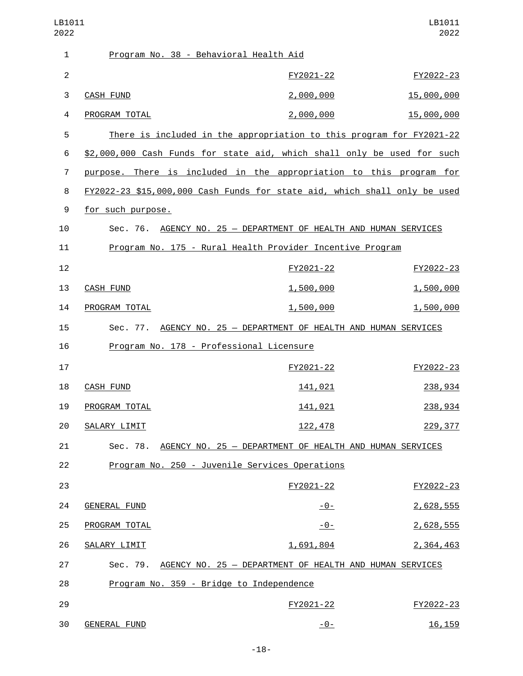| LB1011<br>2022 |                                                                           |                                                         | LB1011<br>2022 |
|----------------|---------------------------------------------------------------------------|---------------------------------------------------------|----------------|
| 1              | Program No. 38 - Behavioral Health Aid                                    |                                                         |                |
| $\overline{2}$ |                                                                           | FY2021-22                                               | FY2022-23      |
| 3              | <b>CASH FUND</b>                                                          | 2,000,000                                               | 15,000,000     |
| 4              | PROGRAM TOTAL                                                             | 2,000,000                                               | 15,000,000     |
| 5              | There is included in the appropriation to this program for FY2021-22      |                                                         |                |
| 6              | \$2,000,000 Cash Funds for state aid, which shall only be used for such   |                                                         |                |
| $\overline{7}$ | purpose. There is included in the appropriation to this program for       |                                                         |                |
| 8              | FY2022-23 \$15,000,000 Cash Funds for state aid, which shall only be used |                                                         |                |
| 9              | for such purpose.                                                         |                                                         |                |
| 10             | Sec. 76.                                                                  | AGENCY NO. 25 - DEPARTMENT OF HEALTH AND HUMAN SERVICES |                |
| 11             | Program No. 175 - Rural Health Provider Incentive Program                 |                                                         |                |
| 12             |                                                                           | FY2021-22                                               | FY2022-23      |
| 13             | <b>CASH FUND</b>                                                          | 1,500,000                                               | 1,500,000      |
| 14             | PROGRAM TOTAL                                                             | 1,500,000                                               | 1,500,000      |
| 15             | Sec. 77.                                                                  | AGENCY NO. 25 - DEPARTMENT OF HEALTH AND HUMAN SERVICES |                |
| 16             | Program No. 178 - Professional Licensure                                  |                                                         |                |
| 17             |                                                                           | FY2021-22                                               | FY2022-23      |
| 18             | <b>CASH FUND</b>                                                          | 141,021                                                 | 238,934        |
| 19             | PROGRAM TOTAL                                                             | 141,021                                                 | 238,934        |
| 20             | SALARY LIMIT                                                              | 122,478                                                 | 229, 377       |
| 21             | Sec. 78. AGENCY NO. 25 - DEPARTMENT OF HEALTH AND HUMAN SERVICES          |                                                         |                |
| 22             | Program No. 250 - Juvenile Services Operations                            |                                                         |                |
| 23             |                                                                           | FY2021-22                                               | FY2022-23      |
| 24             | <b>GENERAL FUND</b>                                                       | $-0-$                                                   | 2,628,555      |
| 25             | PROGRAM TOTAL                                                             | $-0-$                                                   | 2,628,555      |
| 26             | SALARY LIMIT                                                              | 1,691,804                                               | 2,364,463      |
| 27             | Sec. 79. AGENCY NO. 25 - DEPARTMENT OF HEALTH AND HUMAN SERVICES          |                                                         |                |
| 28             | Program No. 359 - Bridge to Independence                                  |                                                         |                |
| 29             |                                                                           | FY2021-22                                               | FY2022-23      |
| 30             | <b>GENERAL FUND</b>                                                       | $-0-$                                                   | 16, 159        |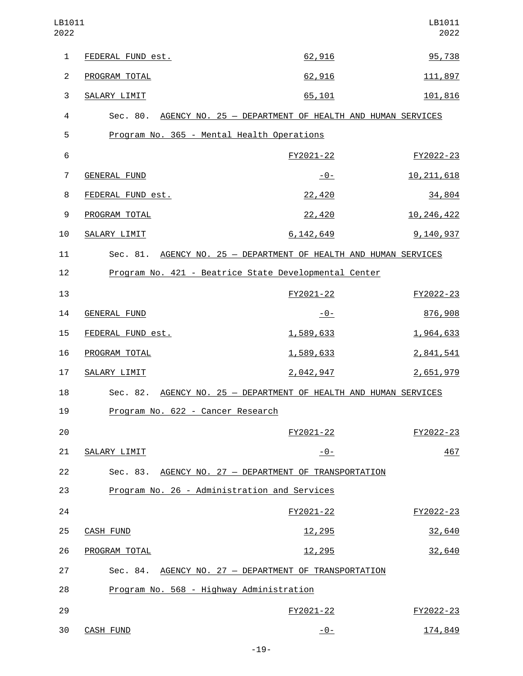| LB1011<br>2022 |                                              |                                                                  | LB1011<br>2022 |
|----------------|----------------------------------------------|------------------------------------------------------------------|----------------|
| $\mathbf{1}$   | FEDERAL FUND est.                            | 62,916                                                           | 95,738         |
| $\overline{2}$ | PROGRAM TOTAL                                | 62,916                                                           | 111,897        |
| 3              | SALARY LIMIT                                 | 65,101                                                           | 101,816        |
| 4              |                                              | Sec. 80. AGENCY NO. 25 - DEPARTMENT OF HEALTH AND HUMAN SERVICES |                |
| 5              | Program No. 365 - Mental Health Operations   |                                                                  |                |
| $\,6$          |                                              | FY2021-22                                                        | FY2022-23      |
| $\overline{7}$ | GENERAL FUND                                 | <u> - 0 - </u>                                                   | 10, 211, 618   |
| 8              | FEDERAL FUND est.                            | 22,420                                                           | 34,804         |
| 9              | PROGRAM TOTAL                                | 22,420                                                           | 10, 246, 422   |
| 10             | SALARY LIMIT                                 | 6, 142, 649                                                      | 9,140,937      |
| 11             |                                              | Sec. 81. AGENCY NO. 25 - DEPARTMENT OF HEALTH AND HUMAN SERVICES |                |
| 12             |                                              | Program No. 421 - Beatrice State Developmental Center            |                |
| 13             |                                              | FY2021-22                                                        | FY2022-23      |
| 14             | GENERAL FUND                                 | <u> - 0 - </u>                                                   | 876,908        |
| 15             | FEDERAL FUND est.                            | 1,589,633                                                        | 1,964,633      |
| 16             | PROGRAM TOTAL                                | 1,589,633                                                        | 2,841,541      |
| 17             | SALARY LIMIT                                 | 2,042,947                                                        | 2,651,979      |
| 18             |                                              | Sec. 82. AGENCY NO. 25 - DEPARTMENT OF HEALTH AND HUMAN SERVICES |                |
| 19             | Program No. 622 - Cancer Research            |                                                                  |                |
| 20             |                                              | FY2021-22                                                        | FY2022-23      |
| 21             | SALARY LIMIT                                 | <u> - 0 - </u>                                                   | 467            |
| 22             |                                              | Sec. 83. AGENCY NO. 27 - DEPARTMENT OF TRANSPORTATION            |                |
| 23             | Program No. 26 - Administration and Services |                                                                  |                |
| 24             |                                              | FY2021-22                                                        | FY2022-23      |
| 25             | <b>CASH FUND</b>                             | <u>12,295</u>                                                    | 32,640         |
| 26             | PROGRAM TOTAL                                | <u>12,295</u>                                                    | 32,640         |
| 27             |                                              | Sec. 84. AGENCY NO. 27 - DEPARTMENT OF TRANSPORTATION            |                |
| 28             | Program No. 568 - Highway Administration     |                                                                  |                |
| 29             |                                              | FY2021-22                                                        | FY2022-23      |
| 30             | <b>CASH FUND</b>                             | $-0-$                                                            | 174,849        |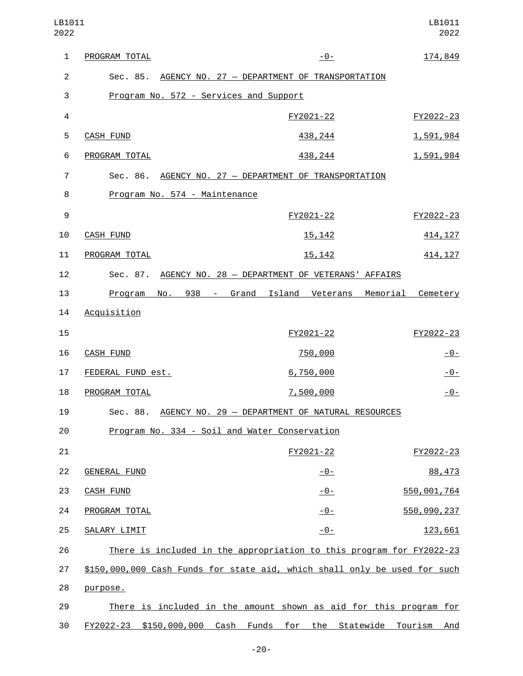| LB1011<br>2022   |                                                                           |                                                                      | LB1011<br>2022   |
|------------------|---------------------------------------------------------------------------|----------------------------------------------------------------------|------------------|
| 1                | PROGRAM TOTAL                                                             | $-0-$                                                                | 174,849          |
| $\overline{2}$   |                                                                           | Sec. 85. AGENCY NO. 27 - DEPARTMENT OF TRANSPORTATION                |                  |
| 3                | Program No. 572 - Services and Support                                    |                                                                      |                  |
| $\overline{4}$   |                                                                           | FY2021-22                                                            | FY2022-23        |
| 5                | <b>CASH FUND</b>                                                          | 438, 244                                                             | <u>1,591,984</u> |
| 6                | PROGRAM TOTAL                                                             | 438, 244                                                             | 1,591,984        |
| 7                |                                                                           | Sec. 86. AGENCY NO. 27 - DEPARTMENT OF TRANSPORTATION                |                  |
| 8                | Program No. 574 - Maintenance                                             |                                                                      |                  |
| $\boldsymbol{9}$ |                                                                           | FY2021-22                                                            | FY2022-23        |
| 10               | <b>CASH FUND</b>                                                          | 15, 142                                                              | 414, 127         |
| 11               | PROGRAM TOTAL                                                             | 15, 142                                                              | 414, 127         |
| 12               |                                                                           | Sec. 87. AGENCY NO. 28 - DEPARTMENT OF VETERANS' AFFAIRS             |                  |
| 13               | No. 938 -<br>Program                                                      | Grand Island Veterans Memorial Cemetery                              |                  |
| 14               | Acquisition                                                               |                                                                      |                  |
| 15               |                                                                           | FY2021-22                                                            | FY2022-23        |
| 16               | <b>CASH FUND</b>                                                          | 750,000                                                              | $-0-$            |
| 17               | FEDERAL FUND est.                                                         | 6,750,000                                                            | $-0-$            |
| 18               | PROGRAM TOTAL                                                             | 7,500,000                                                            | $-0-$            |
| 19               |                                                                           | Sec. 88. AGENCY NO. 29 - DEPARTMENT OF NATURAL RESOURCES             |                  |
| 20               | Program No. 334 - Soil and Water Conservation                             |                                                                      |                  |
| 21               |                                                                           | FY2021-22                                                            | FY2022-23        |
| 22               | <b>GENERAL FUND</b>                                                       | <u>- 0 - </u>                                                        | 88,473           |
| 23               | <b>CASH FUND</b>                                                          | $-0-$                                                                | 550,001,764      |
| 24               | PROGRAM TOTAL                                                             | $-0-$                                                                | 550,090,237      |
| 25               | SALARY LIMIT                                                              | $-0-$                                                                | <u>123,661</u>   |
| 26               |                                                                           | There is included in the appropriation to this program for FY2022-23 |                  |
| 27               | \$150,000,000 Cash Funds for state aid, which shall only be used for such |                                                                      |                  |
| 28               | purpose.                                                                  |                                                                      |                  |
| 29               |                                                                           | There is included in the amount shown as aid for this program for    |                  |
| 30               | FY2022-23 \$150,000,000 Cash Funds for the Statewide Tourism              |                                                                      | And              |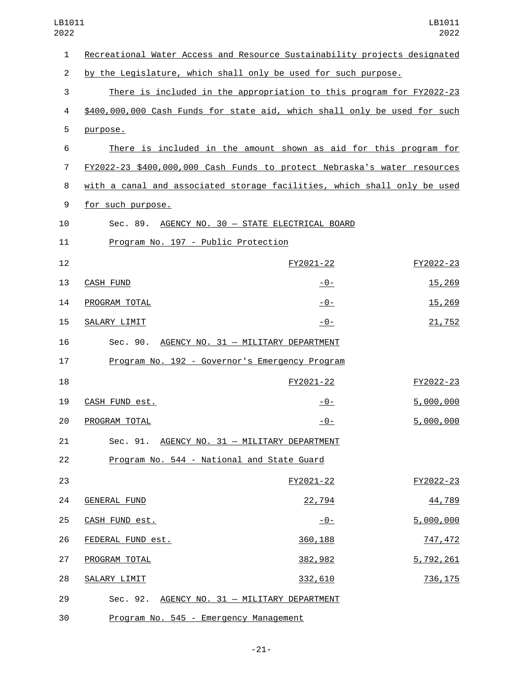| $\mathbf{1}$   | Recreational Water Access and Resource Sustainability projects designated |                |                |  |
|----------------|---------------------------------------------------------------------------|----------------|----------------|--|
| $\overline{2}$ | by the Legislature, which shall only be used for such purpose.            |                |                |  |
| 3              | There is included in the appropriation to this program for FY2022-23      |                |                |  |
| 4              | \$400,000,000 Cash Funds for state aid, which shall only be used for such |                |                |  |
| 5              | purpose.                                                                  |                |                |  |
| 6              | There is included in the amount shown as aid for this program for         |                |                |  |
| 7              | FY2022-23 \$400,000,000 Cash Funds to protect Nebraska's water resources  |                |                |  |
| 8              | with a canal and associated storage facilities, which shall only be used  |                |                |  |
| 9              | for such purpose.                                                         |                |                |  |
| 10             | Sec. 89. AGENCY NO. 30 - STATE ELECTRICAL BOARD                           |                |                |  |
| 11             | Program No. 197 - Public Protection                                       |                |                |  |
| 12             |                                                                           | FY2021-22      | FY2022-23      |  |
| 13             | <b>CASH FUND</b>                                                          | $-0-$          | 15,269         |  |
| 14             | PROGRAM TOTAL                                                             | $-0-$          | 15,269         |  |
| 15             | SALARY LIMIT                                                              | $-0-$          | 21,752         |  |
| 16             | Sec. 90. AGENCY NO. 31 - MILITARY DEPARTMENT                              |                |                |  |
| 17             | Program No. 192 - Governor's Emergency Program                            |                |                |  |
| 18             |                                                                           | FY2021-22      | FY2022-23      |  |
| 19             | CASH FUND est.                                                            | <u> - 0 - </u> | 5,000,000      |  |
| 20             | PROGRAM TOTAL                                                             | $-0-$          | 5,000,000      |  |
| 21             | Sec. 91. AGENCY NO. 31 - MILITARY DEPARTMENT                              |                |                |  |
| 22             | Program No. 544 - National and State Guard                                |                |                |  |
| 23             |                                                                           | FY2021-22      | FY2022-23      |  |
| 24             | GENERAL FUND                                                              | 22,794         | 44,789         |  |
| 25             | CASH FUND est.                                                            | <u>- 0 - </u>  | 5,000,000      |  |
| 26             | FEDERAL FUND est.                                                         | 360, 188       | <u>747,472</u> |  |
| 27             | PROGRAM TOTAL                                                             | 382,982        | 5,792,261      |  |
| 28             | SALARY LIMIT                                                              | 332,610        | 736, 175       |  |
| 29             | Sec. 92. AGENCY NO. 31 - MILITARY DEPARTMENT                              |                |                |  |
|                |                                                                           |                |                |  |

30 Program No. 545 - Emergency Management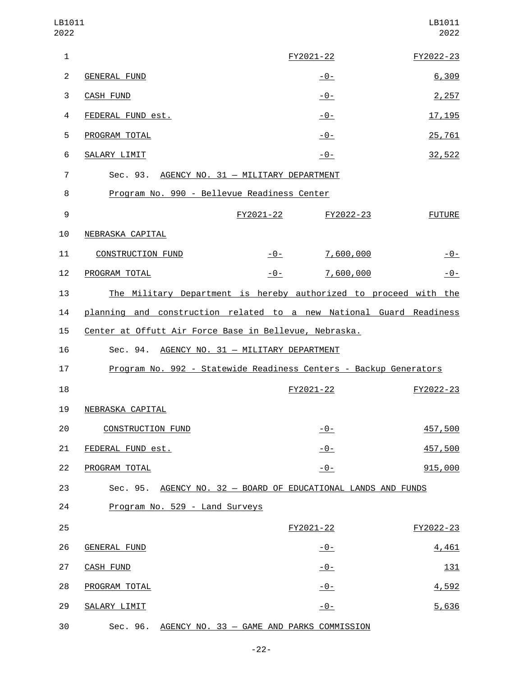| LB1011<br>2022 |                                                                     |           |                  | LB1011<br>2022 |
|----------------|---------------------------------------------------------------------|-----------|------------------|----------------|
| $\mathbf{1}$   |                                                                     |           | FY2021-22        | FY2022-23      |
| $\overline{2}$ | <b>GENERAL FUND</b>                                                 |           | -0-              | 6,309          |
| 3              | CASH FUND                                                           |           | -0-              | 2,257          |
| $\overline{4}$ | FEDERAL FUND est.                                                   |           | <u> - 0 - </u>   | <u>17, 195</u> |
| 5              | PROGRAM TOTAL                                                       |           | $-0-$            | 25,761         |
| 6              | SALARY LIMIT                                                        |           | $-0-$            | 32,522         |
| $\overline{7}$ | Sec. 93. AGENCY NO. 31 - MILITARY DEPARTMENT                        |           |                  |                |
| 8              | Program No. 990 - Bellevue Readiness Center                         |           |                  |                |
| 9              |                                                                     | FY2021-22 | FY2022-23        | <b>FUTURE</b>  |
| 10             | NEBRASKA CAPITAL                                                    |           |                  |                |
| 11             | <b>CONSTRUCTION FUND</b>                                            | $-0-$     | <u>7,600,000</u> | $-0-$          |
| 12             | PROGRAM TOTAL                                                       | $-0-$     | 7,600,000        | $-0-$          |
| 13             | The Military Department is hereby authorized to proceed with the    |           |                  |                |
| 14             | planning and construction related to a new National Guard Readiness |           |                  |                |
| 15             | Center at Offutt Air Force Base in Bellevue, Nebraska.              |           |                  |                |
| 16             | Sec. 94. AGENCY NO. 31 - MILITARY DEPARTMENT                        |           |                  |                |
| 17             | Program No. 992 - Statewide Readiness Centers - Backup Generators   |           |                  |                |
| 18             |                                                                     |           | FY2021-22        | FY2022-23      |
| 19             | NEBRASKA CAPITAL                                                    |           |                  |                |
| 20             | <b>CONSTRUCTION FUND</b>                                            |           | $-0-$            | 457,500        |
| 21             | FEDERAL FUND est.                                                   |           | $-0-$            | 457,500        |
| 22             | PROGRAM TOTAL                                                       |           | $-0-$            | 915,000        |
| 23             | Sec. 95. AGENCY NO. 32 - BOARD OF EDUCATIONAL LANDS AND FUNDS       |           |                  |                |
| 24             | Program No. 529 - Land Surveys                                      |           |                  |                |
| 25             |                                                                     |           | FY2021-22        | FY2022-23      |
| 26             | <b>GENERAL FUND</b>                                                 |           | $-0-$            | 4,461          |
| 27             | <b>CASH FUND</b>                                                    |           | $-0-$            | <u>131</u>     |
| 28             | PROGRAM TOTAL                                                       |           | $-0-$            | 4,592          |
| 29             | SALARY LIMIT                                                        |           | $-0-$            | 5,636          |
| 30             | Sec. 96. AGENCY NO. 33 - GAME AND PARKS COMMISSION                  |           |                  |                |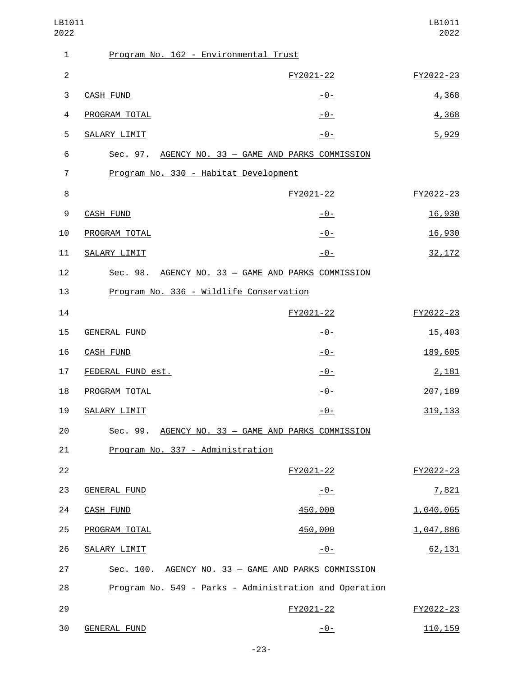| LB1011<br>2022 |                                         |                                                        | LB1011<br>2022  |
|----------------|-----------------------------------------|--------------------------------------------------------|-----------------|
| $\mathbf{1}$   | Program No. 162 - Environmental Trust   |                                                        |                 |
| $\overline{2}$ |                                         | FY2021-22                                              | FY2022-23       |
| 3              | <b>CASH FUND</b>                        | <u> - 0 - </u>                                         | 4,368           |
| $\overline{a}$ | PROGRAM TOTAL                           | $-0-$                                                  | 4,368           |
| 5              | SALARY LIMIT                            | $-0-$                                                  | 5,929           |
| 6              | Sec. 97.                                | <u> AGENCY NO. 33 - GAME AND PARKS COMMISSION</u>      |                 |
| 7              | Program No. 330 - Habitat Development   |                                                        |                 |
| 8              |                                         | FY2021-22                                              | FY2022-23       |
| 9              | <b>CASH FUND</b>                        | <u> - 0 - </u>                                         | 16,930          |
| 10             | PROGRAM TOTAL                           | $-0-$                                                  | 16,930          |
| 11             | SALARY LIMIT                            | $-0-$                                                  | 32, 172         |
| 12             | Sec. 98.                                | AGENCY NO. 33 - GAME AND PARKS COMMISSION              |                 |
| 13             | Program No. 336 - Wildlife Conservation |                                                        |                 |
| 14             |                                         | FY2021-22                                              | FY2022-23       |
| 15             | <b>GENERAL FUND</b>                     | <u>- 0 - </u>                                          | 15,403          |
| 16             | CASH FUND                               | $-0-$                                                  | 189,605         |
| 17             | FEDERAL FUND est.                       | $-0-$                                                  | 2,181           |
| 18             | PROGRAM TOTAL                           | $-0-$                                                  | 207,189         |
| 19             | SALARY LIMIT                            | $-0-$                                                  | 319, 133        |
| 20             |                                         | Sec. 99. AGENCY NO. 33 - GAME AND PARKS COMMISSION     |                 |
| 21             | Program No. 337 - Administration        |                                                        |                 |
| 22             |                                         | FY2021-22                                              | FY2022-23       |
| 23             | <b>GENERAL FUND</b>                     | $-0-$                                                  | 7,821           |
| 24             | <b>CASH FUND</b>                        | 450,000                                                | 1,040,065       |
| 25             | PROGRAM TOTAL                           | 450,000                                                | 1,047,886       |
| 26             | SALARY LIMIT                            | $-0-$                                                  | 62,131          |
| 27             |                                         | Sec. 100. AGENCY NO. 33 - GAME AND PARKS COMMISSION    |                 |
| 28             |                                         | Program No. 549 - Parks - Administration and Operation |                 |
| 29             |                                         | FY2021-22                                              | FY2022-23       |
| 30             | <b>GENERAL FUND</b>                     | $-0-$                                                  | <u>110, 159</u> |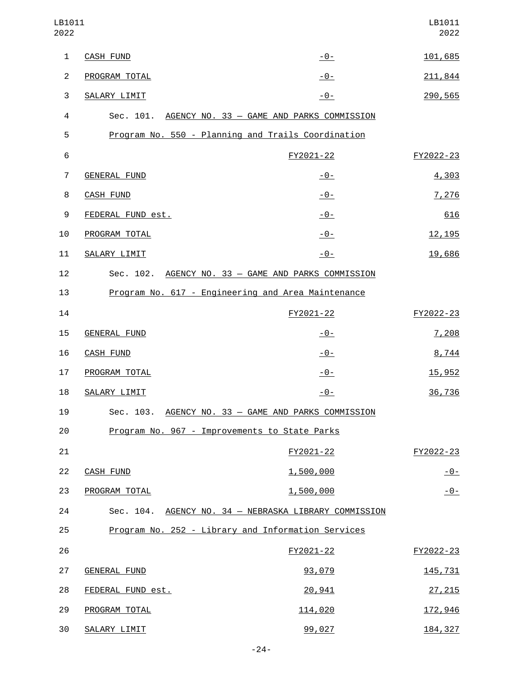| LB1011<br>2022   |                                               |                                                       | LB1011<br>2022 |
|------------------|-----------------------------------------------|-------------------------------------------------------|----------------|
| $\mathbf{1}$     | <b>CASH FUND</b>                              | $-0-$                                                 | 101,685        |
| $\overline{c}$   | PROGRAM TOTAL                                 | $-0-$                                                 | 211,844        |
| 3                | SALARY LIMIT                                  | $-0-$                                                 | 290,565        |
| 4                |                                               | Sec. 101. AGENCY NO. 33 - GAME AND PARKS COMMISSION   |                |
| 5                |                                               | Program No. 550 - Planning and Trails Coordination    |                |
| 6                |                                               | FY2021-22                                             | FY2022-23      |
| $\overline{7}$   | <b>GENERAL FUND</b>                           | $-0-$                                                 | 4,303          |
| 8                | <b>CASH FUND</b>                              | $-0-$                                                 | 7,276          |
| $\boldsymbol{9}$ | FEDERAL FUND est.                             | $-0-$                                                 | 616            |
| 10               | PROGRAM TOTAL                                 | $-0-$                                                 | 12, 195        |
| 11               | SALARY LIMIT                                  | $-0-$                                                 | 19,686         |
| 12               |                                               | Sec. 102. AGENCY NO. 33 - GAME AND PARKS COMMISSION   |                |
| 13               |                                               | Program No. 617 - Engineering and Area Maintenance    |                |
| 14               |                                               | FY2021-22                                             | FY2022-23      |
| 15               | <b>GENERAL FUND</b>                           | <u>- 0 - </u>                                         | 7,208          |
| 16               | <b>CASH FUND</b>                              | $-0-$                                                 | 8,744          |
| 17               | PROGRAM TOTAL                                 | $-0-$                                                 | 15,952         |
| 18               | SALARY LIMIT                                  | $-0-$                                                 | 36,736         |
| 19               |                                               | Sec. 103. AGENCY NO. 33 - GAME AND PARKS COMMISSION   |                |
| 20               | Program No. 967 - Improvements to State Parks |                                                       |                |
| 21               |                                               | FY2021-22                                             | FY2022-23      |
| 22               | <b>CASH FUND</b>                              | 1,500,000                                             | $-0-$          |
| 23               | PROGRAM TOTAL                                 | 1,500,000                                             | $-0-$          |
| 24               |                                               | Sec. 104. AGENCY NO. 34 - NEBRASKA LIBRARY COMMISSION |                |
| 25               |                                               | Program No. 252 - Library and Information Services    |                |
| 26               |                                               | FY2021-22                                             | FY2022-23      |
| 27               | <b>GENERAL FUND</b>                           | 93,079                                                | 145,731        |
| 28               | FEDERAL FUND est.                             | 20,941                                                | 27,215         |
| 29               | PROGRAM TOTAL                                 | 114,020                                               | 172,946        |
| 30               | SALARY LIMIT                                  | 99,027                                                | 184, 327       |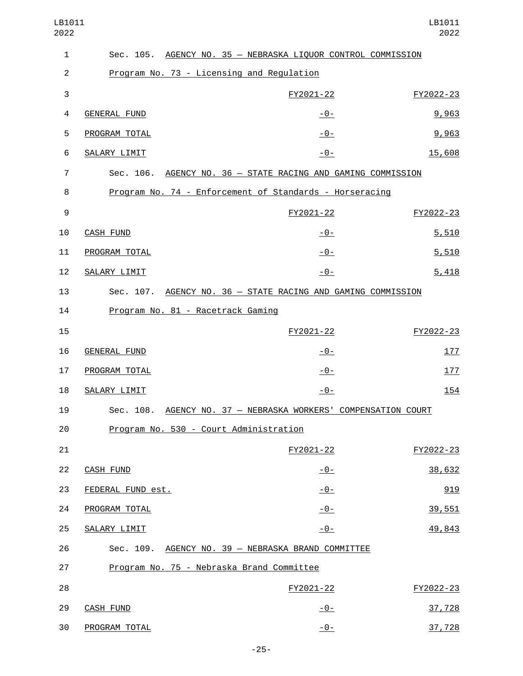| LB1011<br>2022 |                                           |                                                                | LB1011<br>2022 |
|----------------|-------------------------------------------|----------------------------------------------------------------|----------------|
| $\mathbf{1}$   |                                           | Sec. 105. AGENCY NO. 35 - NEBRASKA LIQUOR CONTROL COMMISSION   |                |
| $\overline{2}$ | Program No. 73 - Licensing and Regulation |                                                                |                |
| $\sqrt{3}$     |                                           | FY2021-22                                                      | FY2022-23      |
| $\overline{a}$ | GENERAL FUND                              | <u> - 0 - </u>                                                 | 9,963          |
| 5              | PROGRAM TOTAL                             | $-0-$                                                          | 9,963          |
| 6              | SALARY LIMIT                              | $-0-$                                                          | 15,608         |
| $\overline{7}$ |                                           | Sec. 106. AGENCY NO. 36 - STATE RACING AND GAMING COMMISSION   |                |
| 8              |                                           | Program No. 74 - Enforcement of Standards - Horseracing        |                |
| 9              |                                           | FY2021-22                                                      | FY2022-23      |
| 10             | <b>CASH FUND</b>                          | $-0-$                                                          | 5,510          |
| 11             | PROGRAM TOTAL                             | $-0-$                                                          | 5,510          |
| 12             | SALARY LIMIT                              | $-0-$                                                          | 5,418          |
| 13             |                                           | Sec. 107. AGENCY NO. 36 - STATE RACING AND GAMING COMMISSION   |                |
| 14             | Program No. 81 - Racetrack Gaming         |                                                                |                |
| 15             |                                           | FY2021-22                                                      | FY2022-23      |
| 16             | <b>GENERAL FUND</b>                       | $-0-$                                                          | 177            |
| 17             | PROGRAM TOTAL                             | $-0-$                                                          | 177            |
| 18             | SALARY LIMIT                              | $-0-$                                                          | <u>154</u>     |
| 19             |                                           | Sec. 108. AGENCY NO. 37 - NEBRASKA WORKERS' COMPENSATION COURT |                |
| 20             | Program No. 530 - Court Administration    |                                                                |                |
| 21             |                                           | FY2021-22                                                      | FY2022-23      |
| 22             | <b>CASH FUND</b>                          | $-0-$                                                          | 38,632         |
| 23             | FEDERAL FUND est.                         | $-0-$                                                          | 919            |
| 24             | PROGRAM TOTAL                             | $-0-$                                                          | 39,551         |
| 25             | SALARY LIMIT                              | $-0-$                                                          | 49,843         |
| 26             |                                           | Sec. 109. AGENCY NO. 39 - NEBRASKA BRAND COMMITTEE             |                |
| 27             | Program No. 75 - Nebraska Brand Committee |                                                                |                |
| 28             |                                           | FY2021-22                                                      | FY2022-23      |
| 29             | <b>CASH FUND</b>                          | <u>- 0 - </u>                                                  | 37,728         |
| 30             | PROGRAM TOTAL                             | $-0-$                                                          | 37,728         |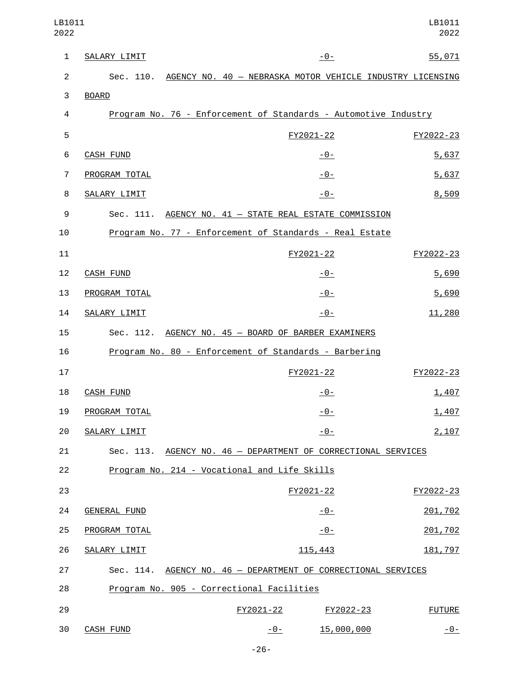| LB1011<br>2022 |                  |                                                                     | LB1011<br>2022 |
|----------------|------------------|---------------------------------------------------------------------|----------------|
| $\mathbf{1}$   | SALARY LIMIT     | $-0-$                                                               | 55,071         |
| $\overline{c}$ |                  | Sec. 110. AGENCY NO. 40 - NEBRASKA MOTOR VEHICLE INDUSTRY LICENSING |                |
| 3              | <b>BOARD</b>     |                                                                     |                |
| 4              |                  | Program No. 76 - Enforcement of Standards - Automotive Industry     |                |
| 5              |                  | FY2021-22                                                           | FY2022-23      |
| 6              | <b>CASH FUND</b> | <u> - 0 - </u>                                                      | 5,637          |
| $\overline{7}$ | PROGRAM TOTAL    | $-0-$                                                               | 5,637          |
| 8              | SALARY LIMIT     | $-0-$                                                               | 8,509          |
| 9              |                  | Sec. 111. AGENCY NO. 41 - STATE REAL ESTATE COMMISSION              |                |
| 10             |                  | Program No. 77 - Enforcement of Standards - Real Estate             |                |
| 11             |                  | FY2021-22                                                           | FY2022-23      |
| 12             | <b>CASH FUND</b> | $-0-$                                                               | 5,690          |
| 13             | PROGRAM TOTAL    | $-0-$                                                               | 5,690          |
| 14             | SALARY LIMIT     | $-0-$                                                               | 11,280         |
| 15             | Sec. 112.        | AGENCY NO. 45 - BOARD OF BARBER EXAMINERS                           |                |
| 16             |                  | Program No. 80 - Enforcement of Standards - Barbering               |                |
| 17             |                  | FY2021-22                                                           | FY2022-23      |
| 18             | <b>CASH FUND</b> | $-0-$                                                               | 1,407          |
| 19             | PROGRAM TOTAL    | $-0-$                                                               | 1,407          |
| 20             | SALARY LIMIT     | $-0-$                                                               | 2,107          |
| 21             |                  | Sec. 113. AGENCY NO. 46 - DEPARTMENT OF CORRECTIONAL SERVICES       |                |
| 22             |                  | Program No. 214 - Vocational and Life Skills                        |                |
| 23             |                  | FY2021-22                                                           | FY2022-23      |
| 24             | GENERAL FUND     | <u> - 0 - </u>                                                      | 201,702        |
| 25             | PROGRAM TOTAL    | $-0-$                                                               | 201,702        |
| 26             | SALARY LIMIT     | 115, 443                                                            | 181,797        |
| 27             |                  | Sec. 114. AGENCY NO. 46 - DEPARTMENT OF CORRECTIONAL SERVICES       |                |
| 28             |                  | Program No. 905 - Correctional Facilities                           |                |
| 29             |                  | FY2021-22<br>FY2022-23                                              | <b>FUTURE</b>  |
| 30             | <b>CASH FUND</b> | 15,000,000<br>$-0-$                                                 | $-0-$          |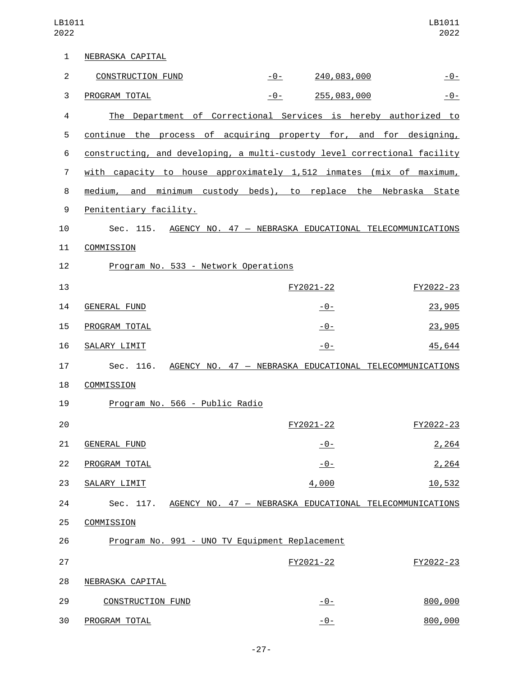| LB1011<br>2022           |                                                                           |       |                | LB1011<br>2022 |
|--------------------------|---------------------------------------------------------------------------|-------|----------------|----------------|
| $\mathbf{1}$             | NEBRASKA CAPITAL                                                          |       |                |                |
| $\overline{c}$           | CONSTRUCTION FUND                                                         | $-0-$ | 240,083,000    | $-0-$          |
| $\mathsf 3$              | PROGRAM TOTAL                                                             | -0-   | 255,083,000    | $-0-$          |
| $\overline{\mathcal{L}}$ | The Department of Correctional Services is hereby authorized to           |       |                |                |
| 5                        | continue the process of acquiring property for, and for designing,        |       |                |                |
| 6                        | constructing, and developing, a multi-custody level correctional facility |       |                |                |
| $\overline{7}$           | with capacity to house approximately $1,512$ inmates (mix of maximum,     |       |                |                |
| 8                        | medium, and minimum custody beds), to replace the Nebraska State          |       |                |                |
| 9                        | Penitentiary facility.                                                    |       |                |                |
| 10                       | Sec. 115. AGENCY NO. 47 - NEBRASKA EDUCATIONAL TELECOMMUNICATIONS         |       |                |                |
| 11                       | COMMISSION                                                                |       |                |                |
| 12                       | Program No. 533 - Network Operations                                      |       |                |                |
| 13                       |                                                                           |       | FY2021-22      | FY2022-23      |
| 14                       | <b>GENERAL FUND</b>                                                       |       | <u>- 0 - </u>  | 23,905         |
| 15                       | PROGRAM TOTAL                                                             |       | <u> - 0 - </u> | 23,905         |
| 16                       | SALARY LIMIT                                                              |       | $-0-$          | 45,644         |
| 17                       | Sec. 116. AGENCY NO. 47 - NEBRASKA EDUCATIONAL TELECOMMUNICATIONS         |       |                |                |
| 18                       | COMMISSION                                                                |       |                |                |
| 19                       | Program No. 566 - Public Radio                                            |       |                |                |
| 20                       |                                                                           |       | FY2021-22      | FY2022-23      |
| 21                       | GENERAL FUND                                                              |       | <u>-0-</u>     | 2,264          |
| 22                       | PROGRAM TOTAL                                                             |       | $-0-$          | 2,264          |
| 23                       | SALARY LIMIT                                                              |       | 4,000          | 10,532         |
| 24                       | Sec. 117. AGENCY NO. 47 - NEBRASKA EDUCATIONAL TELECOMMUNICATIONS         |       |                |                |
| 25                       | <b>COMMISSION</b>                                                         |       |                |                |
| 26                       | Program No. 991 - UNO TV Equipment Replacement                            |       |                |                |
| 27                       |                                                                           |       | FY2021-22      | FY2022-23      |
| 28                       | NEBRASKA CAPITAL                                                          |       |                |                |
| 29                       | <b>CONSTRUCTION FUND</b>                                                  |       | $-0-$          | 800,000        |
| 30                       | PROGRAM TOTAL                                                             |       | $-0-$          | 800,000        |

-27-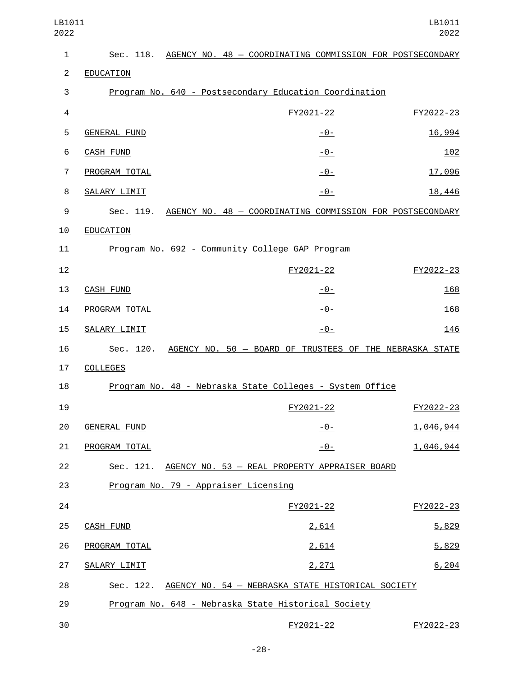| LB1011<br>2022           |                                      |                                                                     | LB1011<br>2022 |
|--------------------------|--------------------------------------|---------------------------------------------------------------------|----------------|
| 1                        |                                      | Sec. 118. AGENCY NO. 48 - COORDINATING COMMISSION FOR POSTSECONDARY |                |
| $\overline{2}$           | EDUCATION                            |                                                                     |                |
| 3                        |                                      | Program No. 640 - Postsecondary Education Coordination              |                |
| $\overline{\mathcal{L}}$ |                                      | FY2021-22                                                           | FY2022-23      |
| 5                        | <b>GENERAL FUND</b>                  | <u>- 0 - </u>                                                       | 16,994         |
| 6                        | CASH FUND                            | -0-                                                                 | 102            |
| $\overline{7}$           | PROGRAM TOTAL                        | $-0-$                                                               | 17,096         |
| 8                        | SALARY LIMIT                         | $-0-$                                                               | 18,446         |
| 9                        |                                      | Sec. 119. AGENCY NO. 48 - COORDINATING COMMISSION FOR POSTSECONDARY |                |
| 10                       | EDUCATION                            |                                                                     |                |
| 11                       |                                      | Program No. 692 - Community College GAP Program                     |                |
| 12                       |                                      | FY2021-22                                                           | FY2022-23      |
| 13                       | <b>CASH FUND</b>                     | -0-                                                                 | 168            |
| 14                       | PROGRAM TOTAL                        | -0-                                                                 | 168            |
| 15                       | SALARY LIMIT                         | $-0-$                                                               | 146            |
| 16                       | Sec. 120.                            | AGENCY NO. 50 - BOARD OF TRUSTEES OF THE NEBRASKA STATE             |                |
| 17                       | <b>COLLEGES</b>                      |                                                                     |                |
| 18                       |                                      | Program No. 48 - Nebraska State Colleges - System Office            |                |
| 19                       |                                      | FY2021-22                                                           | FY2022-23      |
| 20                       | <b>GENERAL FUND</b>                  | $-0-$                                                               | 1,046,944      |
| 21                       | PROGRAM TOTAL                        | $-0-$                                                               | 1,046,944      |
| 22                       |                                      | Sec. 121. AGENCY NO. 53 - REAL PROPERTY APPRAISER BOARD             |                |
| 23                       | Program No. 79 - Appraiser Licensing |                                                                     |                |
| 24                       |                                      | FY2021-22                                                           | FY2022-23      |
| 25                       | <b>CASH FUND</b>                     | 2,614                                                               | 5,829          |
| 26                       | PROGRAM TOTAL                        | 2,614                                                               | 5,829          |
| 27                       | SALARY LIMIT                         | 2,271                                                               | 6, 204         |
| 28                       |                                      | Sec. 122. AGENCY NO. 54 - NEBRASKA STATE HISTORICAL SOCIETY         |                |
| 29                       |                                      | Program No. 648 - Nebraska State Historical Society                 |                |
| 30                       |                                      | FY2021-22                                                           | FY2022-23      |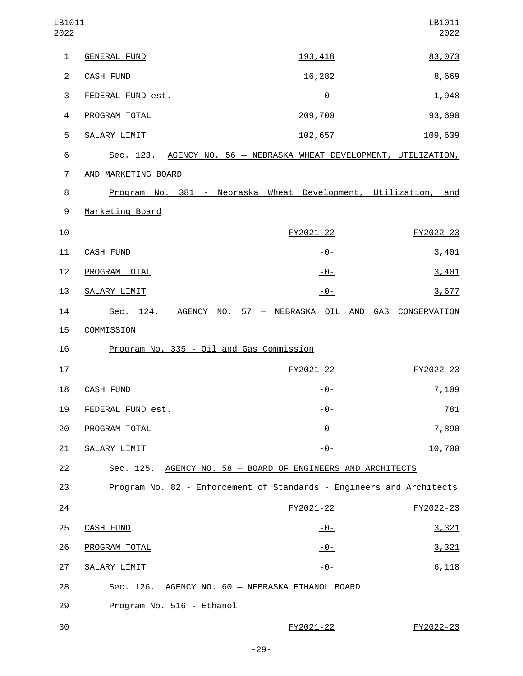| LB1011<br>2022 |                                                                      |            | LB1011<br>2022 |
|----------------|----------------------------------------------------------------------|------------|----------------|
| $\mathbf{1}$   | <b>GENERAL FUND</b>                                                  | 193, 418   | 83,073         |
| $\overline{c}$ | <b>CASH FUND</b>                                                     | 16,282     | 8,669          |
| 3              | FEDERAL FUND est.                                                    | $-0-$      | 1,948          |
| 4              | PROGRAM TOTAL                                                        | 209,700    | 93,690         |
| 5              | SALARY LIMIT                                                         | 102,657    | 109,639        |
| 6              | Sec. 123. AGENCY NO. 56 - NEBRASKA WHEAT DEVELOPMENT, UTILIZATION,   |            |                |
| $\overline{7}$ | AND MARKETING BOARD                                                  |            |                |
| 8              | Program No. 381 - Nebraska Wheat Development, Utilization,           |            | and            |
| 9              | Marketing Board                                                      |            |                |
| 10             |                                                                      | FY2021-22  | FY2022-23      |
| 11             | <b>CASH FUND</b>                                                     | <u>-0-</u> | 3,401          |
| 12             | PROGRAM TOTAL                                                        | $-0-$      | 3,401          |
| 13             | SALARY LIMIT                                                         | $-0-$      | 3,677          |
| 14             | Sec. 124. AGENCY NO. 57 - NEBRASKA OIL AND GAS CONSERVATION          |            |                |
| 15             | COMMISSION                                                           |            |                |
| 16             | Program No. 335 - Oil and Gas Commission                             |            |                |
| 17             |                                                                      | FY2021-22  | FY2022-23      |
| 18             | <b>CASH FUND</b>                                                     | $-0-$      | 7,109          |
| 19             | FEDERAL FUND est.                                                    | $-0-$      | 781            |
| 20             | PROGRAM TOTAL                                                        | $-0-$      | 7,890          |
| 21             | SALARY LIMIT                                                         | $-0-$      | 10,700         |
| 22             | Sec. 125. AGENCY NO. 58 - BOARD OF ENGINEERS AND ARCHITECTS          |            |                |
| 23             | Program No. 82 - Enforcement of Standards - Engineers and Architects |            |                |
| 24             |                                                                      | FY2021-22  | FY2022-23      |
| 25             | <b>CASH FUND</b>                                                     | $-0-$      | 3,321          |
| 26             | PROGRAM TOTAL                                                        | $-0-$      | 3,321          |
| 27             | SALARY LIMIT                                                         | $-0-$      | 6,118          |
| 28             | Sec. 126. AGENCY NO. 60 - NEBRASKA ETHANOL BOARD                     |            |                |
| 29             | Program No. 516 - Ethanol                                            |            |                |
| 30             |                                                                      | FY2021-22  | FY2022-23      |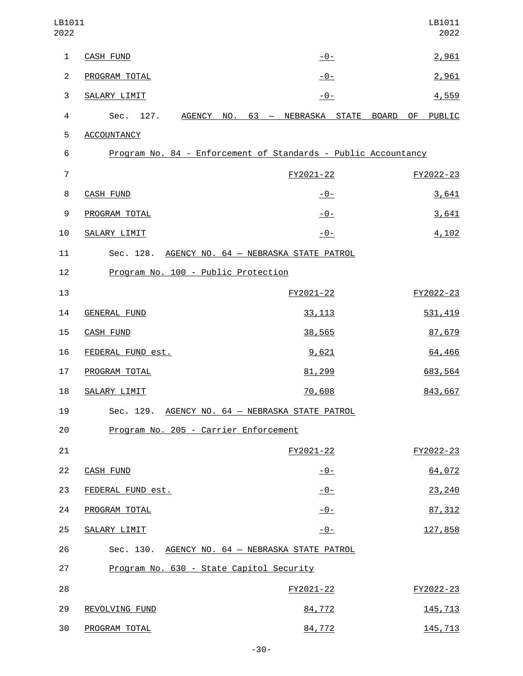| LB1011<br>2022           |                                                                |                                         | LB1011<br>2022 |
|--------------------------|----------------------------------------------------------------|-----------------------------------------|----------------|
| $\mathbf{1}$             | <b>CASH FUND</b>                                               | $-0-$                                   | 2,961          |
| $\overline{2}$           | PROGRAM TOTAL                                                  | $-0-$                                   | 2,961          |
| 3                        | SALARY LIMIT                                                   | $-0-$                                   | 4,559          |
| $\overline{\mathcal{L}}$ | Sec. 127.                                                      | AGENCY NO. 63 - NEBRASKA STATE BOARD OF | PUBLIC         |
| 5                        | <b>ACCOUNTANCY</b>                                             |                                         |                |
| 6                        | Program No. 84 - Enforcement of Standards - Public Accountancy |                                         |                |
| $\overline{7}$           |                                                                | FY2021-22                               | FY2022-23      |
| 8                        | <b>CASH FUND</b>                                               | $-0-$                                   | 3,641          |
| $\boldsymbol{9}$         | PROGRAM TOTAL                                                  | $-0-$                                   | 3,641          |
| 10                       | SALARY LIMIT                                                   | $-0-$                                   | 4,102          |
| 11                       | Sec. 128. AGENCY NO. 64 - NEBRASKA STATE PATROL                |                                         |                |
| 12                       | Program No. 100 - Public Protection                            |                                         |                |
| 13                       |                                                                | FY2021-22                               | FY2022-23      |
| 14                       | <b>GENERAL FUND</b>                                            | 33, 113                                 | 531, 419       |
| 15                       | <b>CASH FUND</b>                                               | 38,565                                  | 87,679         |
| 16                       | FEDERAL FUND est.                                              | 9,621                                   | 64,466         |
| 17                       | PROGRAM TOTAL                                                  | 81,299                                  | 683,564        |
| 18                       | SALARY LIMIT                                                   | 70,608                                  | 843,667        |
| 19                       | Sec. 129. AGENCY NO. 64 - NEBRASKA STATE PATROL                |                                         |                |
| 20                       | Program No. 205 - Carrier Enforcement                          |                                         |                |
| 21                       |                                                                | FY2021-22                               | FY2022-23      |
| 22                       | <b>CASH FUND</b>                                               | $-0-$                                   | 64,072         |
| 23                       | FEDERAL FUND est.                                              | $-0-$                                   | 23,240         |
| 24                       | PROGRAM TOTAL                                                  | $-0-$                                   | 87,312         |
| 25                       | SALARY LIMIT                                                   | $-0-$                                   | 127,858        |
| 26                       | Sec. 130. AGENCY NO. 64 - NEBRASKA STATE PATROL                |                                         |                |
| 27                       | Program No. 630 - State Capitol Security                       |                                         |                |
| 28                       |                                                                | FY2021-22                               | FY2022-23      |
| 29                       | REVOLVING FUND                                                 | 84,772                                  | 145,713        |
| 30                       | PROGRAM TOTAL                                                  | 84,772                                  | 145, 713       |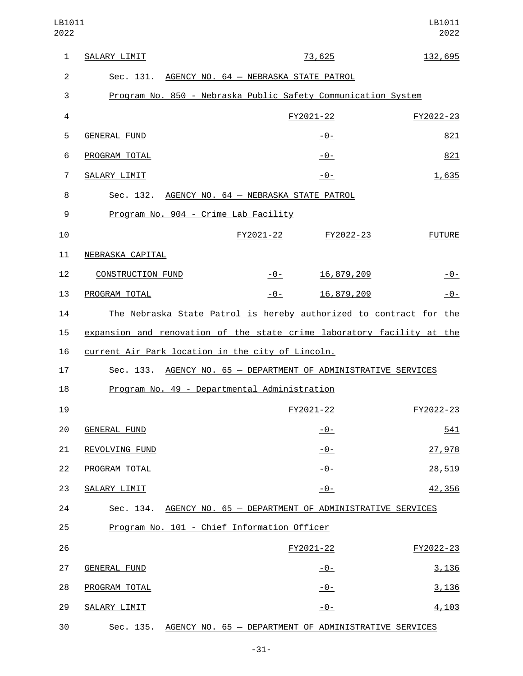| LB1011<br>2022           |                                                                        |           |                | LB1011<br>2022 |
|--------------------------|------------------------------------------------------------------------|-----------|----------------|----------------|
| $\mathbf{1}$             | SALARY LIMIT                                                           |           | 73,625         | 132,695        |
| $\overline{c}$           | Sec. 131. AGENCY NO. 64 - NEBRASKA STATE PATROL                        |           |                |                |
| 3                        | Program No. 850 - Nebraska Public Safety Communication System          |           |                |                |
| $\overline{\mathcal{L}}$ |                                                                        | FY2021-22 |                | FY2022-23      |
| 5                        | <b>GENERAL FUND</b>                                                    |           | <u> - 0 - </u> | 821            |
| 6                        | PROGRAM TOTAL                                                          |           | <u>- 0 - </u>  | 821            |
| $\overline{7}$           | SALARY LIMIT                                                           |           | -0-            | 1,635          |
| 8                        | Sec. 132. AGENCY NO. 64 - NEBRASKA STATE PATROL                        |           |                |                |
| 9                        | Program No. 904 - Crime Lab Facility                                   |           |                |                |
| 10                       | FY2021-22                                                              |           | FY2022-23      | <b>FUTURE</b>  |
| 11                       | NEBRASKA CAPITAL                                                       |           |                |                |
| 12                       | <b>CONSTRUCTION FUND</b>                                               | $-0-$     | 16,879,209     | $-0-$          |
| 13                       | PROGRAM TOTAL                                                          | $-0-$     | 16,879,209     | $-0-$          |
| 14                       | The Nebraska State Patrol is hereby authorized to contract for the     |           |                |                |
| 15                       | expansion and renovation of the state crime laboratory facility at the |           |                |                |
| 16                       | current Air Park location in the city of Lincoln.                      |           |                |                |
| 17                       | Sec. 133. AGENCY NO. 65 - DEPARTMENT OF ADMINISTRATIVE SERVICES        |           |                |                |
| 18                       | Program No. 49 - Departmental Administration                           |           |                |                |
| 19                       |                                                                        | FY2021-22 |                | FY2022-23      |
| 20                       | <b>GENERAL FUND</b>                                                    |           | $-0-$          | <u>541</u>     |
| 21                       | REVOLVING FUND                                                         |           | $-0-$          | 27,978         |
| 22                       | PROGRAM TOTAL                                                          |           | $-0-$          | 28,519         |
| 23                       | SALARY LIMIT                                                           |           | $-0-$          | 42,356         |
| 24                       | Sec. 134. AGENCY NO. 65 - DEPARTMENT OF ADMINISTRATIVE SERVICES        |           |                |                |
| 25                       | Program No. 101 - Chief Information Officer                            |           |                |                |
| 26                       |                                                                        | FY2021-22 |                | FY2022-23      |
| 27                       | <b>GENERAL FUND</b>                                                    |           | <u>- 0 - </u>  | 3,136          |
| 28                       | PROGRAM TOTAL                                                          |           | <u> - 0 - </u> | 3,136          |
| 29                       | SALARY LIMIT                                                           |           | $-0-$          | 4,103          |
| 30                       | Sec. 135. AGENCY NO. 65 - DEPARTMENT OF ADMINISTRATIVE SERVICES        |           |                |                |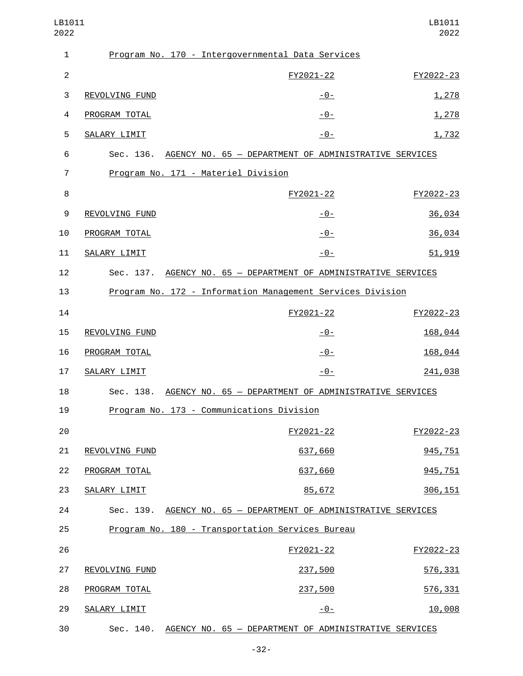| LB1011<br>2022 |                |                                                                 | LB1011<br>2022 |
|----------------|----------------|-----------------------------------------------------------------|----------------|
| 1              |                | Program No. 170 - Intergovernmental Data Services               |                |
| $\overline{c}$ |                | FY2021-22                                                       | FY2022-23      |
| 3              | REVOLVING FUND | <u>-0-</u>                                                      | 1,278          |
| 4              | PROGRAM TOTAL  | $-0-$                                                           | 1,278          |
| 5              | SALARY LIMIT   | $-0-$                                                           | 1,732          |
| 6              |                | Sec. 136. AGENCY NO. 65 - DEPARTMENT OF ADMINISTRATIVE SERVICES |                |
| 7              |                | Program No. 171 - Materiel Division                             |                |
| 8              |                | FY2021-22                                                       | FY2022-23      |
| 9              | REVOLVING FUND | $-0-$                                                           | 36,034         |
| 10             | PROGRAM TOTAL  | <u>-0-</u>                                                      | 36,034         |
| 11             | SALARY LIMIT   | $-0-$                                                           | 51,919         |
| 12             |                | Sec. 137. AGENCY NO. 65 - DEPARTMENT OF ADMINISTRATIVE SERVICES |                |
| 13             |                | Program No. 172 - Information Management Services Division      |                |
| 14             |                | FY2021-22                                                       | FY2022-23      |
| 15             | REVOLVING FUND | <u> - 0 - </u>                                                  | 168,044        |
| 16             | PROGRAM TOTAL  | -0-                                                             | 168,044        |
| 17             | SALARY LIMIT   | $-0-$                                                           | 241,038        |
| 18             |                | Sec. 138. AGENCY NO. 65 - DEPARTMENT OF ADMINISTRATIVE SERVICES |                |
| 19             |                | Program No. 173 - Communications Division                       |                |
| 20             |                | FY2021-22                                                       | FY2022-23      |
| 21             | REVOLVING FUND | 637,660                                                         | 945,751        |
| 22             | PROGRAM TOTAL  | 637,660                                                         | 945,751        |
| 23             | SALARY LIMIT   | 85,672                                                          | 306, 151       |
| 24             |                | Sec. 139. AGENCY NO. 65 - DEPARTMENT OF ADMINISTRATIVE SERVICES |                |
| 25             |                | Program No. 180 - Transportation Services Bureau                |                |
| 26             |                | FY2021-22                                                       | FY2022-23      |
| 27             | REVOLVING FUND | 237,500                                                         | 576,331        |
| 28             | PROGRAM TOTAL  | 237,500                                                         | 576,331        |
| 29             | SALARY LIMIT   | <u>- 0 - </u>                                                   | 10,008         |
| 30             |                | Sec. 140. AGENCY NO. 65 - DEPARTMENT OF ADMINISTRATIVE SERVICES |                |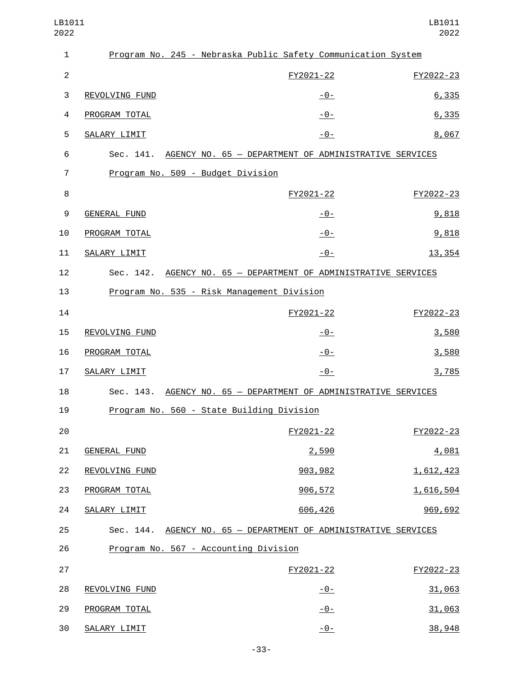| LB1011<br>2022 |                                   |                                                                 | LB1011<br>2022 |
|----------------|-----------------------------------|-----------------------------------------------------------------|----------------|
| 1              |                                   | Program No. 245 - Nebraska Public Safety Communication System   |                |
| $\overline{c}$ |                                   | FY2021-22                                                       | FY2022-23      |
| 3              | REVOLVING FUND                    | <u>-0-</u>                                                      | 6,335          |
| 4              | PROGRAM TOTAL                     | $-0-$                                                           | 6,335          |
| 5              | SALARY LIMIT                      | $-0-$                                                           | 8,067          |
| 6              |                                   | Sec. 141. AGENCY NO. 65 - DEPARTMENT OF ADMINISTRATIVE SERVICES |                |
| 7              | Program No. 509 - Budget Division |                                                                 |                |
| 8              |                                   | FY2021-22                                                       | FY2022-23      |
| 9              | <b>GENERAL FUND</b>               | $-0-$                                                           | 9,818          |
| 10             | PROGRAM TOTAL                     | <u>-0-</u>                                                      | 9,818          |
| 11             | SALARY LIMIT                      | $-0-$                                                           | 13,354         |
| 12             |                                   | Sec. 142. AGENCY NO. 65 - DEPARTMENT OF ADMINISTRATIVE SERVICES |                |
| 13             |                                   | Program No. 535 - Risk Management Division                      |                |
| 14             |                                   | FY2021-22                                                       | FY2022-23      |
| 15             | REVOLVING FUND                    | <u> - 0 - </u>                                                  | 3,580          |
| 16             | PROGRAM TOTAL                     | -0-                                                             | 3,580          |
| 17             | SALARY LIMIT                      | $-0-$                                                           | 3,785          |
| 18             |                                   | Sec. 143. AGENCY NO. 65 - DEPARTMENT OF ADMINISTRATIVE SERVICES |                |
| 19             |                                   | Program No. 560 - State Building Division                       |                |
| 20             |                                   | FY2021-22                                                       | FY2022-23      |
| 21             | <b>GENERAL FUND</b>               | 2,590                                                           | 4,081          |
| 22             | REVOLVING FUND                    | 903, 982                                                        | 1,612,423      |
| 23             | PROGRAM TOTAL                     | 906, 572                                                        | 1,616,504      |
| 24             | SALARY LIMIT                      | 606,426                                                         | 969,692        |
| 25             |                                   | Sec. 144. AGENCY NO. 65 - DEPARTMENT OF ADMINISTRATIVE SERVICES |                |
| 26             |                                   | Program No. 567 - Accounting Division                           |                |
| 27             |                                   | FY2021-22                                                       | FY2022-23      |
| 28             | REVOLVING FUND                    | $-0-$                                                           | 31,063         |
| 29             | PROGRAM TOTAL                     | $-0-$                                                           | 31,063         |
| 30             | SALARY LIMIT                      | $-0-$                                                           | 38,948         |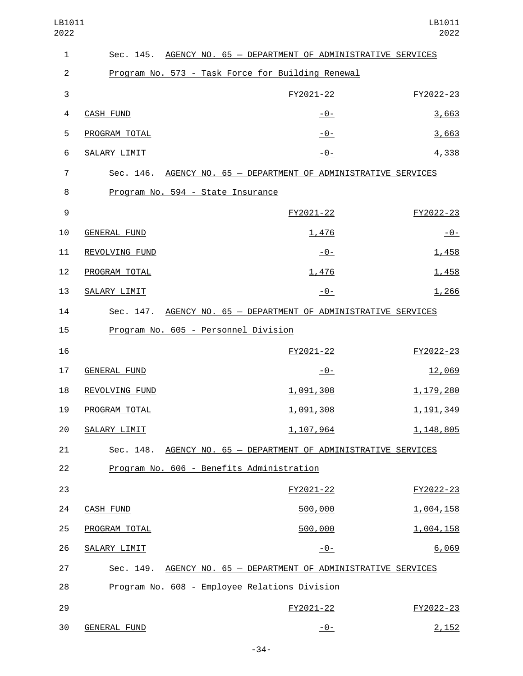| LB1011<br>2022 |                                                   |                                                                 | LB1011<br>2022 |
|----------------|---------------------------------------------------|-----------------------------------------------------------------|----------------|
| 1              |                                                   | Sec. 145. AGENCY NO. 65 - DEPARTMENT OF ADMINISTRATIVE SERVICES |                |
| $\overline{c}$ | Program No. 573 - Task Force for Building Renewal |                                                                 |                |
| 3              |                                                   | FY2021-22                                                       | FY2022-23      |
| 4              | <b>CASH FUND</b>                                  | $-0-$                                                           | 3,663          |
| 5              | PROGRAM TOTAL                                     | $-0-$                                                           | 3,663          |
| 6              | SALARY LIMIT                                      | $-0-$                                                           | 4,338          |
| $\overline{7}$ |                                                   | Sec. 146. AGENCY NO. 65 - DEPARTMENT OF ADMINISTRATIVE SERVICES |                |
| 8              | Program No. 594 - State Insurance                 |                                                                 |                |
| 9              |                                                   | FY2021-22                                                       | FY2022-23      |
| 10             | <b>GENERAL FUND</b>                               | 1,476                                                           | $-0-$          |
| 11             | REVOLVING FUND                                    | <u> - 0 - </u>                                                  | 1,458          |
| 12             | PROGRAM TOTAL                                     | 1,476                                                           | 1,458          |
| 13             | SALARY LIMIT                                      | $-0-$                                                           | 1,266          |
| 14             |                                                   | Sec. 147. AGENCY NO. 65 - DEPARTMENT OF ADMINISTRATIVE SERVICES |                |
| 15             | Program No. 605 - Personnel Division              |                                                                 |                |
| 16             |                                                   | FY2021-22                                                       | FY2022-23      |
| 17             | <b>GENERAL FUND</b>                               | $-0-$                                                           | 12,069         |
| 18             | REVOLVING FUND                                    | 1,091,308                                                       | 1,179,280      |
| 19             | PROGRAM TOTAL                                     | <u>1,091,308</u>                                                | 1, 191, 349    |
| 20             | SALARY LIMIT                                      | <u>1, 107, 964</u>                                              | 1,148,805      |
| 21             |                                                   | Sec. 148. AGENCY NO. 65 - DEPARTMENT OF ADMINISTRATIVE SERVICES |                |
| 22             | Program No. 606 - Benefits Administration         |                                                                 |                |
| 23             |                                                   | FY2021-22                                                       | FY2022-23      |
| 24             | <b>CASH FUND</b>                                  | 500,000                                                         | 1,004,158      |
| 25             | PROGRAM TOTAL                                     | 500,000                                                         | 1,004,158      |
| 26             | SALARY LIMIT                                      | $-0-$                                                           | 6,069          |
| 27             |                                                   | Sec. 149. AGENCY NO. 65 - DEPARTMENT OF ADMINISTRATIVE SERVICES |                |
| 28             | Program No. 608 - Employee Relations Division     |                                                                 |                |
| 29             |                                                   | FY2021-22                                                       | FY2022-23      |
| 30             | <b>GENERAL FUND</b>                               | $-0-$                                                           | 2,152          |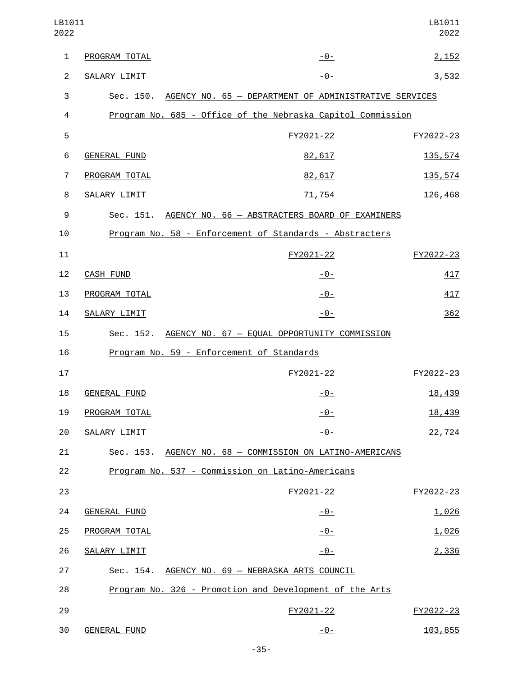| LB1011<br>2022 |                                           |                                                                 | LB1011<br>2022 |
|----------------|-------------------------------------------|-----------------------------------------------------------------|----------------|
| 1              | PROGRAM TOTAL                             | $-0-$                                                           | 2,152          |
| $\overline{2}$ | SALARY LIMIT                              | $-0-$                                                           | 3,532          |
| 3              |                                           | Sec. 150. AGENCY NO. 65 - DEPARTMENT OF ADMINISTRATIVE SERVICES |                |
| 4              |                                           | Program No. 685 - Office of the Nebraska Capitol Commission     |                |
| 5              |                                           | FY2021-22                                                       | FY2022-23      |
| 6              | <b>GENERAL FUND</b>                       | 82,617                                                          | 135,574        |
| $\overline{7}$ | PROGRAM TOTAL                             | 82,617                                                          | 135,574        |
| 8              | SALARY LIMIT                              | 71,754                                                          | 126,468        |
| 9              |                                           | Sec. 151. AGENCY NO. 66 - ABSTRACTERS BOARD OF EXAMINERS        |                |
| 10             |                                           | Program No. 58 - Enforcement of Standards - Abstracters         |                |
| 11             |                                           | FY2021-22                                                       | FY2022-23      |
| 12             | <b>CASH FUND</b>                          | <u> - 0 - </u>                                                  | 417            |
| 13             | PROGRAM TOTAL                             | $-0-$                                                           | 417            |
| 14             | SALARY LIMIT                              | $-0-$                                                           | 362            |
| 15             |                                           | Sec. 152. AGENCY NO. 67 - EQUAL OPPORTUNITY COMMISSION          |                |
| 16             | Program No. 59 - Enforcement of Standards |                                                                 |                |
| 17             |                                           | FY2021-22                                                       | FY2022-23      |
| 18             | GENERAL FUND                              | $-0-$                                                           | 18,439         |
| 19             | PROGRAM TOTAL                             | $-0-$                                                           | 18,439         |
| 20             | SALARY LIMIT                              | $-0-$                                                           | 22,724         |
| 21             |                                           | Sec. 153. AGENCY NO. 68 - COMMISSION ON LATINO-AMERICANS        |                |
| 22             |                                           | Program No. 537 - Commission on Latino-Americans                |                |
| 23             |                                           | FY2021-22                                                       | FY2022-23      |
| 24             | <b>GENERAL FUND</b>                       | $-0-$                                                           | 1,026          |
| 25             | PROGRAM TOTAL                             | $-0-$                                                           | 1,026          |
| 26             | SALARY LIMIT                              | $-0-$                                                           | 2,336          |
| 27             |                                           | Sec. 154. AGENCY NO. 69 - NEBRASKA ARTS COUNCIL                 |                |
| 28             |                                           | Program No. 326 - Promotion and Development of the Arts         |                |
| 29             |                                           | FY2021-22                                                       | FY2022-23      |
| 30             | <b>GENERAL FUND</b>                       | $-0-$                                                           | 103,855        |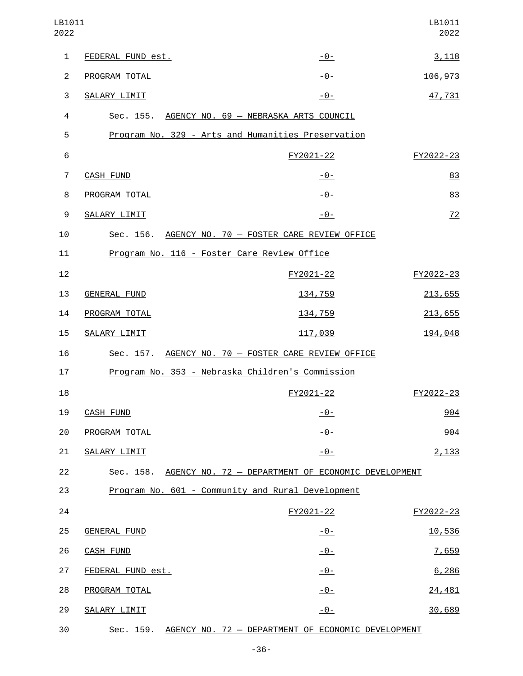| LB1011<br>2022 |                     |                                                              | LB1011<br>2022 |
|----------------|---------------------|--------------------------------------------------------------|----------------|
| 1              | FEDERAL FUND est.   | $-0-$                                                        | 3,118          |
| $\overline{2}$ | PROGRAM TOTAL       | -0-                                                          | 106,973        |
| 3              | SALARY LIMIT        | $-0-$                                                        | 47,731         |
| 4              |                     | Sec. 155. AGENCY NO. 69 - NEBRASKA ARTS COUNCIL              |                |
| 5              |                     | Program No. 329 - Arts and Humanities Preservation           |                |
| $\,6$          |                     | FY2021-22                                                    | FY2022-23      |
| $\overline{7}$ | <b>CASH FUND</b>    | <u> - 0 - </u>                                               | 83             |
| 8              | PROGRAM TOTAL       | <u> - 0 - </u>                                               | 83             |
| 9              | SALARY LIMIT        | $-0-$                                                        | 72             |
| 10             |                     | Sec. 156. AGENCY NO. 70 - FOSTER CARE REVIEW OFFICE          |                |
| 11             |                     | Program No. 116 - Foster Care Review Office                  |                |
| 12             |                     | FY2021-22                                                    | FY2022-23      |
| 13             | <b>GENERAL FUND</b> | 134,759                                                      | 213,655        |
| 14             | PROGRAM TOTAL       | 134,759                                                      | 213,655        |
| 15             | SALARY LIMIT        | 117,039                                                      | 194,048        |
| 16             |                     | Sec. 157. AGENCY NO. 70 - FOSTER CARE REVIEW OFFICE          |                |
| 17             |                     | Program No. 353 - Nebraska Children's Commission             |                |
| 18             |                     | FY2021-22                                                    | FY2022-23      |
| 19             | <b>CASH FUND</b>    | $-0-$                                                        | 904            |
| 20             | PROGRAM TOTAL       | $-0-$                                                        | 904            |
| 21             | SALARY LIMIT        | $-0-$                                                        | 2,133          |
| 22             |                     | Sec. 158. AGENCY NO. 72 - DEPARTMENT OF ECONOMIC DEVELOPMENT |                |
| 23             |                     | Program No. 601 - Community and Rural Development            |                |
| 24             |                     | FY2021-22                                                    | FY2022-23      |
| 25             | <b>GENERAL FUND</b> | $-0-$                                                        | 10,536         |
| 26             | <b>CASH FUND</b>    | $-0-$                                                        | 7,659          |
| 27             | FEDERAL FUND est.   | $-0-$                                                        | 6,286          |
| 28             | PROGRAM TOTAL       | $-0-$                                                        | 24,481         |
| 29             | SALARY LIMIT        | $-0-$                                                        | 30,689         |
| 30             |                     | Sec. 159. AGENCY NO. 72 - DEPARTMENT OF ECONOMIC DEVELOPMENT |                |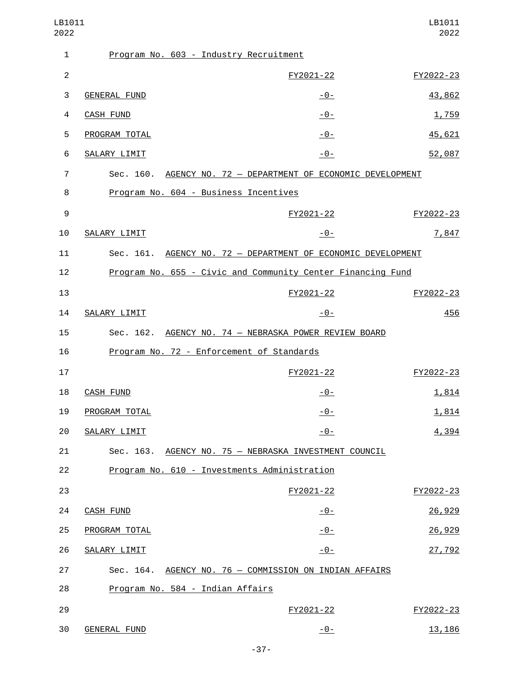| LB1011<br>2022 |                                                              |                | LB1011<br>2022 |
|----------------|--------------------------------------------------------------|----------------|----------------|
| 1              | Program No. 603 - Industry Recruitment                       |                |                |
| $\overline{c}$ |                                                              | FY2021-22      | FY2022-23      |
| $\sqrt{3}$     | <b>GENERAL FUND</b>                                          | $-0-$          | 43,862         |
| 4              | <b>CASH FUND</b>                                             | $-0-$          | 1,759          |
| 5              | PROGRAM TOTAL                                                | $-0-$          | 45,621         |
| 6              | SALARY LIMIT                                                 | $-0-$          | 52,087         |
| 7              | Sec. 160. AGENCY NO. 72 - DEPARTMENT OF ECONOMIC DEVELOPMENT |                |                |
| 8              | Program No. 604 - Business Incentives                        |                |                |
| 9              |                                                              | FY2021-22      | FY2022-23      |
| 10             | SALARY LIMIT                                                 | $-0-$          | 7,847          |
| 11             | Sec. 161. AGENCY NO. 72 - DEPARTMENT OF ECONOMIC DEVELOPMENT |                |                |
| 12             | Program No. 655 - Civic and Community Center Financing Fund  |                |                |
| 13             |                                                              | FY2021-22      | FY2022-23      |
| 14             | SALARY LIMIT                                                 | $-0-$          | 456            |
| 15             | Sec. 162. AGENCY NO. 74 - NEBRASKA POWER REVIEW BOARD        |                |                |
| 16             | Program No. 72 - Enforcement of Standards                    |                |                |
| 17             |                                                              | FY2021-22      | FY2022-23      |
| 18             | <b>CASH FUND</b>                                             | <u> - 0 - </u> | 1,814          |
| 19             | PROGRAM TOTAL                                                | <u>- 0 - </u>  | 1,814          |
| 20             | SALARY LIMIT                                                 | -0-            | 4,394          |
| 21             | Sec. 163. AGENCY NO. 75 - NEBRASKA INVESTMENT COUNCIL        |                |                |
| 22             | Program No. 610 - Investments Administration                 |                |                |
| 23             |                                                              | FY2021-22      | FY2022-23      |
| 24             | <b>CASH FUND</b>                                             | <u> - 0 - </u> | 26,929         |
| 25             | PROGRAM TOTAL                                                | $-0-$          | 26,929         |
| 26             | SALARY LIMIT                                                 | $-0-$          | 27,792         |
| 27             | Sec. 164. AGENCY NO. 76 - COMMISSION ON INDIAN AFFAIRS       |                |                |
| 28             | Program No. 584 - Indian Affairs                             |                |                |
| 29             |                                                              | FY2021-22      | FY2022-23      |
| 30             | <b>GENERAL FUND</b>                                          | <u>- 0 - </u>  | 13,186         |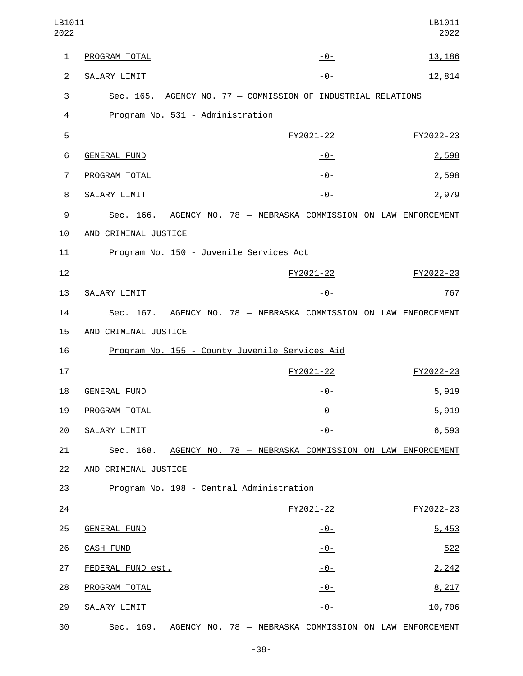| LB1011<br>2022 |                      |                                                                  | LB1011<br>2022 |
|----------------|----------------------|------------------------------------------------------------------|----------------|
| $\mathbf{1}$   | PROGRAM TOTAL        | $-0-$                                                            | 13,186         |
| $\overline{2}$ | SALARY LIMIT         | $-0-$                                                            | 12,814         |
| 3              |                      | Sec. 165. AGENCY NO. 77 - COMMISSION OF INDUSTRIAL RELATIONS     |                |
| 4              |                      | Program No. 531 - Administration                                 |                |
| 5              |                      | FY2021-22                                                        | FY2022-23      |
| 6              | <b>GENERAL FUND</b>  | -0-                                                              | 2,598          |
| $\overline{7}$ | PROGRAM TOTAL        | $-0-$                                                            | 2,598          |
| 8              | SALARY LIMIT         | $-0-$                                                            | 2,979          |
| 9              | Sec. 166.            | AGENCY NO. 78 - NEBRASKA COMMISSION ON LAW ENFORCEMENT           |                |
| 10             | AND CRIMINAL JUSTICE |                                                                  |                |
| 11             |                      | Program No. 150 - Juvenile Services Act                          |                |
| 12             |                      | FY2021-22                                                        | FY2022-23      |
| 13             | SALARY LIMIT         | $-0-$                                                            | 767            |
| 14             | Sec. 167.            | AGENCY NO. 78 - NEBRASKA COMMISSION ON LAW ENFORCEMENT           |                |
| 15             | AND CRIMINAL JUSTICE |                                                                  |                |
| 16             |                      | Program No. 155 - County Juvenile Services Aid                   |                |
| 17             |                      | FY2021-22                                                        | FY2022-23      |
| 18             | <b>GENERAL FUND</b>  | $-0-$                                                            | 5,919          |
| 19             | PROGRAM TOTAL        | $-0-$                                                            | 5,919          |
| 20             | SALARY LIMIT         | $-0-$                                                            | 6,593          |
| 21             |                      | Sec. 168. AGENCY NO. 78 - NEBRASKA COMMISSION ON LAW ENFORCEMENT |                |
| 22             | AND CRIMINAL JUSTICE |                                                                  |                |
| 23             |                      | Program No. 198 - Central Administration                         |                |
| 24             |                      | FY2021-22                                                        | FY2022-23      |
| 25             | <b>GENERAL FUND</b>  | <u>- 0 - </u>                                                    | 5,453          |
| 26             | <b>CASH FUND</b>     | $-0-$                                                            | 522            |
| 27             | FEDERAL FUND est.    | $-0-$                                                            | 2,242          |
| 28             | PROGRAM TOTAL        | $-0-$                                                            | 8,217          |
| 29             | <b>SALARY LIMIT</b>  | $-0-$                                                            | 10,706         |
| 30             | Sec. 169.            | AGENCY NO. 78 - NEBRASKA COMMISSION ON LAW ENFORCEMENT           |                |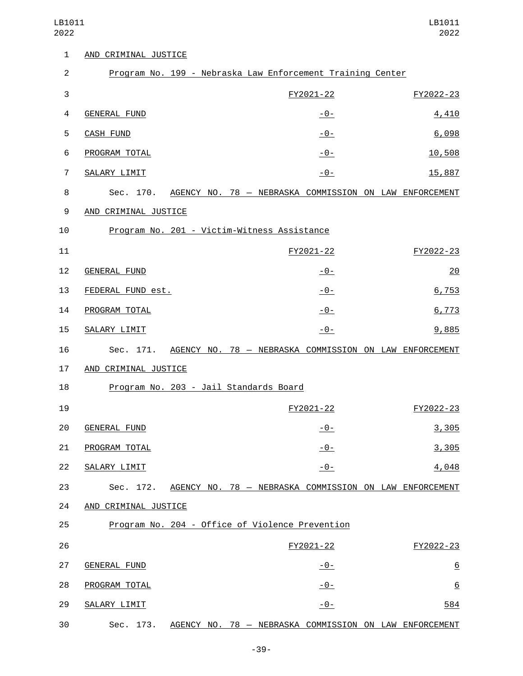| $\mathbf{1}$   | AND CRIMINAL JUSTICE |                                                                  |                 |
|----------------|----------------------|------------------------------------------------------------------|-----------------|
| $\overline{c}$ |                      | Program No. 199 - Nebraska Law Enforcement Training Center       |                 |
| 3              |                      | FY2021-22                                                        | FY2022-23       |
| 4              | GENERAL FUND         | <u> - 0 - </u>                                                   | 4,410           |
| 5              | <b>CASH FUND</b>     | $-0-$                                                            | 6,098           |
| 6              | PROGRAM TOTAL        | $-0-$                                                            | 10,508          |
| 7              | SALARY LIMIT         | $-0-$                                                            | 15,887          |
| 8              | Sec. 170.            | AGENCY NO. 78 - NEBRASKA COMMISSION ON LAW ENFORCEMENT           |                 |
| 9              | AND CRIMINAL JUSTICE |                                                                  |                 |
| 10             |                      | Program No. 201 - Victim-Witness Assistance                      |                 |
| 11             |                      | FY2021-22                                                        | FY2022-23       |
| 12             | <b>GENERAL FUND</b>  | $-0-$                                                            | 20              |
| 13             | FEDERAL FUND est.    | $-0-$                                                            | 6,753           |
| 14             | PROGRAM TOTAL        | $-0-$                                                            | 6,773           |
| 15             | SALARY LIMIT         | $-0-$                                                            | 9,885           |
| 16             | Sec. 171.            | AGENCY NO. 78 - NEBRASKA COMMISSION ON LAW ENFORCEMENT           |                 |
| 17             | AND CRIMINAL JUSTICE |                                                                  |                 |
| 18             |                      | Program No. 203 - Jail Standards Board                           |                 |
| 19             |                      | FY2021-22                                                        | FY2022-23       |
| 20             |                      |                                                                  |                 |
| 21             | <b>GENERAL FUND</b>  | <u> - 0 - </u>                                                   | 3,305           |
|                | PROGRAM TOTAL        | $-0-$                                                            | 3,305           |
| 22             | SALARY LIMIT         | $-0-$                                                            | 4,048           |
| 23             |                      | Sec. 172. AGENCY NO. 78 - NEBRASKA COMMISSION ON LAW ENFORCEMENT |                 |
| 24             | AND CRIMINAL JUSTICE |                                                                  |                 |
| 25             |                      | Program No. 204 - Office of Violence Prevention                  |                 |
| 26             |                      | FY2021-22                                                        | FY2022-23       |
| 27             | <b>GENERAL FUND</b>  | $-0-$                                                            | $\underline{6}$ |
| 28             | PROGRAM TOTAL        | $-0-$                                                            | $\underline{6}$ |
| 29             | <b>SALARY LIMIT</b>  | $-0-$                                                            | 584             |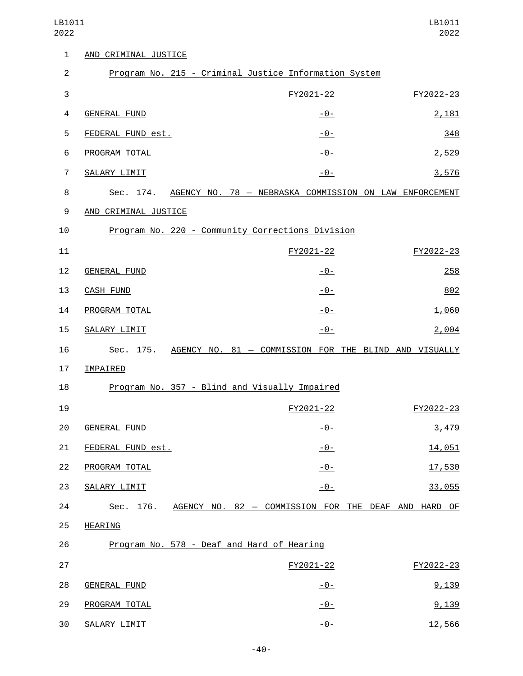| 1              | AND CRIMINAL JUSTICE                                             |               |           |
|----------------|------------------------------------------------------------------|---------------|-----------|
| $\overline{c}$ | Program No. 215 - Criminal Justice Information System            |               |           |
| 3              |                                                                  | FY2021-22     | FY2022-23 |
| 4              | <b>GENERAL FUND</b>                                              | <u>- 0 - </u> | 2,181     |
| 5              | FEDERAL FUND est.                                                | $-0-$         | 348       |
| 6              | PROGRAM TOTAL                                                    | $-0-$         | 2,529     |
| 7              | SALARY LIMIT                                                     | $-0-$         | 3,576     |
| 8              | Sec. 174. AGENCY NO. 78 - NEBRASKA COMMISSION ON LAW ENFORCEMENT |               |           |
| 9              | AND CRIMINAL JUSTICE                                             |               |           |
| 10             | Program No. 220 - Community Corrections Division                 |               |           |
| 11             |                                                                  | FY2021-22     | FY2022-23 |
| 12             | <b>GENERAL FUND</b>                                              | $-0-$         | 258       |
| 13             | <b>CASH FUND</b>                                                 | $-0-$         | 802       |
| 14             | PROGRAM TOTAL                                                    | $-0-$         | 1,060     |
| 15             | SALARY LIMIT                                                     | $-0-$         | 2,004     |
| 16             | Sec. 175. AGENCY NO. 81 - COMMISSION FOR THE BLIND AND VISUALLY  |               |           |
| 17             | <b>IMPAIRED</b>                                                  |               |           |
| 18             | Program No. 357 - Blind and Visually Impaired                    |               |           |
| 19             |                                                                  | FY2021-22     | FY2022-23 |
| 20             | <b>GENERAL FUND</b>                                              | $-0-$         | 3,479     |
| 21             | FEDERAL FUND est.                                                | $-0-$         | 14,051    |
| 22             | PROGRAM TOTAL                                                    | $-0-$         | 17,530    |
| 23             | SALARY LIMIT                                                     | $-0-$         | 33,055    |
| 24             | Sec. 176. AGENCY NO. 82 - COMMISSION FOR THE DEAF AND HARD OF    |               |           |
| 25             | <b>HEARING</b>                                                   |               |           |
| 26             | Program No. 578 - Deaf and Hard of Hearing                       |               |           |
| 27             |                                                                  | FY2021-22     | FY2022-23 |
| 28             | <b>GENERAL FUND</b>                                              | $-0-$         | 9,139     |
| 29             | PROGRAM TOTAL                                                    | $-0-$         | 9,139     |
|                |                                                                  | $-0-$         | 12,566    |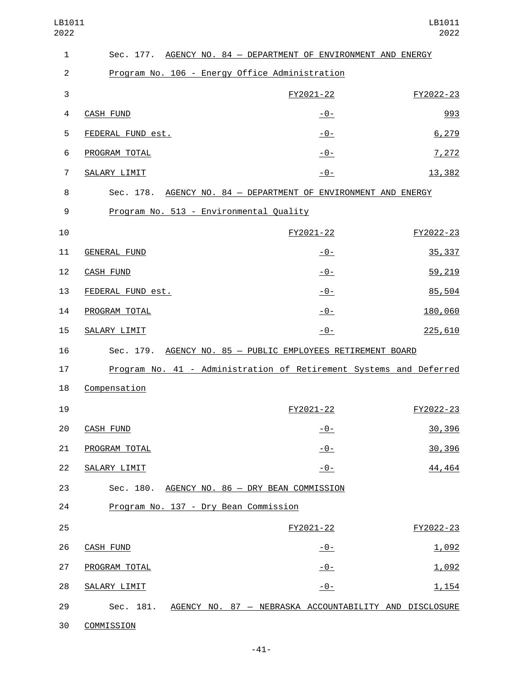| LB1011<br>2022 |                                         |                                                                    | LB1011<br>2022 |
|----------------|-----------------------------------------|--------------------------------------------------------------------|----------------|
| 1              |                                         | Sec. 177. AGENCY NO. 84 - DEPARTMENT OF ENVIRONMENT AND ENERGY     |                |
| $\overline{2}$ |                                         | Program No. 106 - Energy Office Administration                     |                |
| 3              |                                         | FY2021-22                                                          | FY2022-23      |
| 4              | <b>CASH FUND</b>                        | <u> - 0 - </u>                                                     | 993            |
| 5              | FEDERAL FUND est.                       | $-0-$                                                              | 6, 279         |
| 6              | PROGRAM TOTAL                           | $-0-$                                                              | 7,272          |
| $\overline{7}$ | SALARY LIMIT                            | $-0-$                                                              | 13,382         |
| 8              |                                         | Sec. 178. AGENCY NO. 84 - DEPARTMENT OF ENVIRONMENT AND ENERGY     |                |
| 9              | Program No. 513 - Environmental Quality |                                                                    |                |
| 10             |                                         | FY2021-22                                                          | FY2022-23      |
| 11             | GENERAL FUND                            | <u> - 0 - </u>                                                     | 35, 337        |
| 12             | <b>CASH FUND</b>                        | $-0-$                                                              | 59,219         |
| 13             | FEDERAL FUND est.                       | $-0-$                                                              | 85,504         |
| 14             | PROGRAM TOTAL                           | $-0-$                                                              | 180,060        |
| 15             | SALARY LIMIT                            | $-0-$                                                              | 225,610        |
| 16             |                                         | Sec. 179. AGENCY NO. 85 - PUBLIC EMPLOYEES RETIREMENT BOARD        |                |
| 17             |                                         | Program No. 41 - Administration of Retirement Systems and Deferred |                |
| 18             | Compensation                            |                                                                    |                |
| 19             |                                         | FY2021-22                                                          | FY2022-23      |
| 20             | CASH FUND                               | <u>-0-</u>                                                         | 30,396         |
| 21             | PROGRAM TOTAL                           | $-0-$                                                              | 30,396         |
| 22             | SALARY LIMIT                            | $-0-$                                                              | 44,464         |
| 23             |                                         | Sec. 180. AGENCY NO. 86 - DRY BEAN COMMISSION                      |                |
| 24             | Program No. 137 - Dry Bean Commission   |                                                                    |                |
| 25             |                                         | FY2021-22                                                          | FY2022-23      |
| 26             | <b>CASH FUND</b>                        | $-0-$                                                              | <u>1,092</u>   |
| 27             | PROGRAM TOTAL                           | $-0-$                                                              | 1,092          |
| 28             | SALARY LIMIT                            | $-0-$                                                              | 1,154          |
| 29             |                                         | Sec. 181. AGENCY NO. 87 - NEBRASKA ACCOUNTABILITY AND DISCLOSURE   |                |
| 30             | COMMISSION                              |                                                                    |                |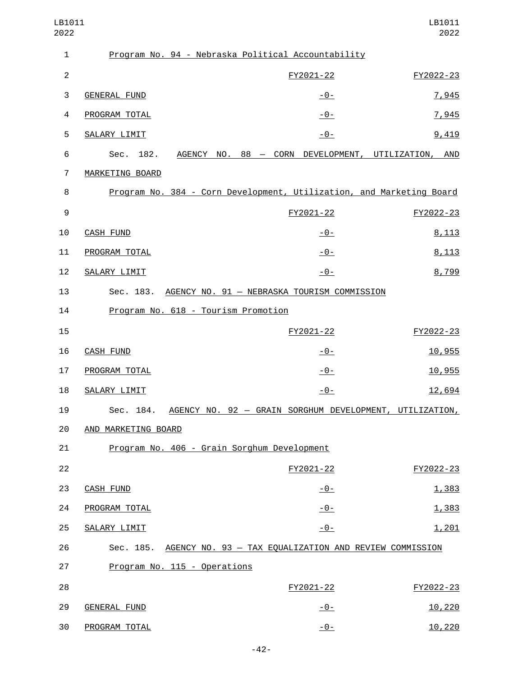| LB1011<br>2022   |                                                                      |               | LB1011<br>2022 |
|------------------|----------------------------------------------------------------------|---------------|----------------|
| $\mathbf{1}$     | Program No. 94 - Nebraska Political Accountability                   |               |                |
| $\overline{c}$   |                                                                      | FY2021-22     | FY2022-23      |
| 3                | <b>GENERAL FUND</b>                                                  | $-0-$         | 7,945          |
| 4                | PROGRAM TOTAL                                                        | $-0-$         | 7,945          |
| 5                | SALARY LIMIT                                                         | $-0-$         | 9,419          |
| 6                | Sec. 182. AGENCY NO. 88 - CORN DEVELOPMENT, UTILIZATION, AND         |               |                |
| $\overline{7}$   | MARKETING BOARD                                                      |               |                |
| 8                | Program No. 384 - Corn Development, Utilization, and Marketing Board |               |                |
| $\boldsymbol{9}$ |                                                                      | FY2021-22     | FY2022-23      |
| 10               | <b>CASH FUND</b>                                                     | $-0-$         | 8,113          |
| 11               | PROGRAM TOTAL                                                        | $-0-$         | 8,113          |
| 12               | SALARY LIMIT                                                         | $-0-$         | 8,799          |
| 13               | Sec. 183. AGENCY NO. 91 - NEBRASKA TOURISM COMMISSION                |               |                |
| 14               | Program No. 618 - Tourism Promotion                                  |               |                |
| 15               |                                                                      | FY2021-22     | FY2022-23      |
| 16               | <b>CASH FUND</b>                                                     | $-0-$         | 10,955         |
| 17               | PROGRAM TOTAL                                                        | $-0-$         | 10,955         |
| 18               | SALARY LIMIT                                                         | $-0-$         | 12,694         |
| 19               | Sec. 184. AGENCY NO. 92 - GRAIN SORGHUM DEVELOPMENT, UTILIZATION,    |               |                |
| 20               | AND MARKETING BOARD                                                  |               |                |
| 21               | Program No. 406 - Grain Sorghum Development                          |               |                |
| 22               |                                                                      | FY2021-22     | FY2022-23      |
| 23               | <b>CASH FUND</b>                                                     | <u>- 0 - </u> | 1,383          |
| 24               | PROGRAM TOTAL                                                        | $-0-$         | 1,383          |
| 25               | SALARY LIMIT                                                         | $-0-$         | 1,201          |
| 26               | Sec. 185. AGENCY NO. 93 - TAX EQUALIZATION AND REVIEW COMMISSION     |               |                |
| 27               | Program No. 115 - Operations                                         |               |                |
| 28               |                                                                      | FY2021-22     | FY2022-23      |
| 29               | <b>GENERAL FUND</b>                                                  | <u>- 0 - </u> | 10,220         |
| 30               | PROGRAM TOTAL                                                        | $-0-$         | 10,220         |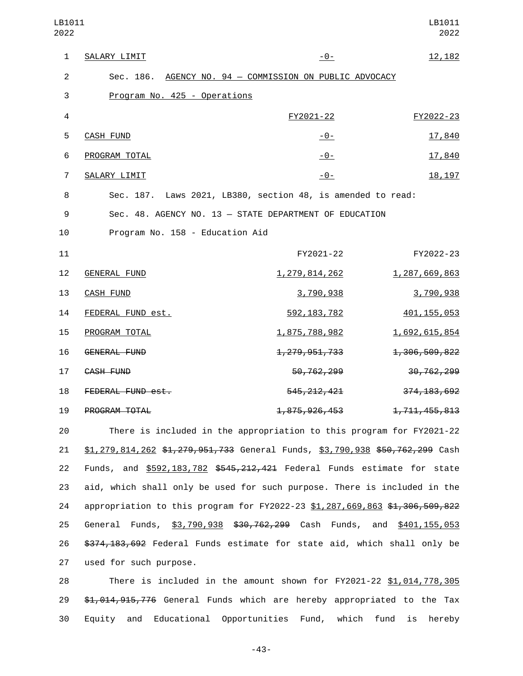| LB1011<br>2022 |                                                                              |                             | LB1011<br>2022 |
|----------------|------------------------------------------------------------------------------|-----------------------------|----------------|
| 1              | SALARY LIMIT                                                                 | $-0-$                       | 12, 182        |
| 2              | Sec. 186. AGENCY NO. 94 - COMMISSION ON PUBLIC ADVOCACY                      |                             |                |
| 3              | Program No. 425 - Operations                                                 |                             |                |
| 4              |                                                                              | FY2021-22                   | FY2022-23      |
| 5              | <b>CASH FUND</b>                                                             | <u> - 0 - </u>              | 17,840         |
| 6              | PROGRAM TOTAL                                                                | $-0-$                       | 17,840         |
| $\overline{7}$ | SALARY LIMIT                                                                 | $-0-$                       | 18, 197        |
| 8              | Sec. 187. Laws 2021, LB380, section 48, is amended to read:                  |                             |                |
| 9              | Sec. 48. AGENCY NO. 13 - STATE DEPARTMENT OF EDUCATION                       |                             |                |
| 10             | Program No. 158 - Education Aid                                              |                             |                |
| 11             |                                                                              | FY2021-22                   | FY2022-23      |
| 12             | <b>GENERAL FUND</b>                                                          | <u>1, 279, 814, 262</u>     | 1,287,669,863  |
| 13             | <b>CASH FUND</b>                                                             | 3,790,938                   | 3,790,938      |
| 14             | FEDERAL FUND est.                                                            | 592, 183, 782               | 401, 155, 053  |
| 15             | PROGRAM TOTAL                                                                | 1,875,788,982               | 1,692,615,854  |
| 16             | GENERAL FUND                                                                 | <del>1, 279, 951, 733</del> | 1,306,509,822  |
| 17             | CASH FUND                                                                    | 50, 762, 299                | 30, 762, 299   |
| 18             | FEDERAL FUND est.                                                            | 545, 212, 421               | 374, 183, 692  |
| 19             | PROGRAM TOTAL                                                                | 1,875,926,453               | 1,711,455,813  |
| 20             | There is included in the appropriation to this program for FY2021-22         |                             |                |
| 21             | \$1,279,814,262 \$1,279,951,733 General Funds, \$3,790,938 \$50,762,299 Cash |                             |                |
| 22             | Funds, and \$592,183,782 \$545,212,421 Federal Funds estimate for state      |                             |                |
| 23             | aid, which shall only be used for such purpose. There is included in the     |                             |                |
| 24             | appropriation to this program for FY2022-23 \$1,287,669,863 \$1,306,509,822  |                             |                |
| 25             | General Funds, \$3,790,938 \$30,762,299 Cash Funds, and \$401,155,053        |                             |                |
| 26             | \$374,183,692 Federal Funds estimate for state aid, which shall only be      |                             |                |
| 27             | used for such purpose.                                                       |                             |                |

28 There is included in the amount shown for FY2021-22 \$1,014,778,305 29 \$1,014,915,776 General Funds which are hereby appropriated to the Tax 30 Equity and Educational Opportunities Fund, which fund is hereby

-43-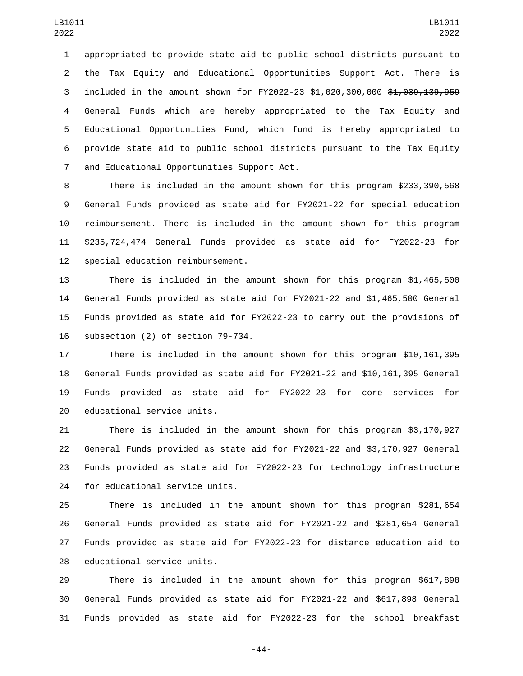appropriated to provide state aid to public school districts pursuant to the Tax Equity and Educational Opportunities Support Act. There is 3 included in the amount shown for FY2022-23 \$1,020,300,000 \$1,039,139,959 General Funds which are hereby appropriated to the Tax Equity and Educational Opportunities Fund, which fund is hereby appropriated to provide state aid to public school districts pursuant to the Tax Equity 7 and Educational Opportunities Support Act.

 There is included in the amount shown for this program \$233,390,568 General Funds provided as state aid for FY2021-22 for special education reimbursement. There is included in the amount shown for this program \$235,724,474 General Funds provided as state aid for FY2022-23 for 12 special education reimbursement.

 There is included in the amount shown for this program \$1,465,500 General Funds provided as state aid for FY2021-22 and \$1,465,500 General Funds provided as state aid for FY2022-23 to carry out the provisions of 16 subsection (2) of section 79-734.

 There is included in the amount shown for this program \$10,161,395 General Funds provided as state aid for FY2021-22 and \$10,161,395 General Funds provided as state aid for FY2022-23 for core services for 20 educational service units.

 There is included in the amount shown for this program \$3,170,927 General Funds provided as state aid for FY2021-22 and \$3,170,927 General Funds provided as state aid for FY2022-23 for technology infrastructure 24 for educational service units.

 There is included in the amount shown for this program \$281,654 General Funds provided as state aid for FY2021-22 and \$281,654 General Funds provided as state aid for FY2022-23 for distance education aid to 28 educational service units.

 There is included in the amount shown for this program \$617,898 General Funds provided as state aid for FY2021-22 and \$617,898 General Funds provided as state aid for FY2022-23 for the school breakfast

-44-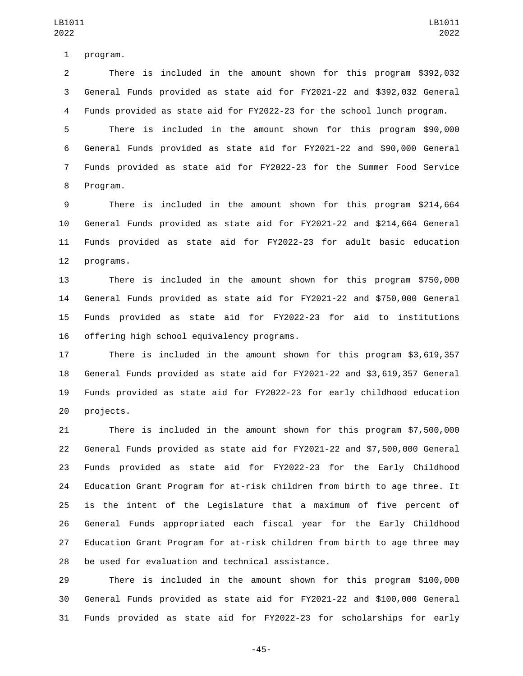1 program.

 There is included in the amount shown for this program \$392,032 General Funds provided as state aid for FY2021-22 and \$392,032 General Funds provided as state aid for FY2022-23 for the school lunch program.

 There is included in the amount shown for this program \$90,000 General Funds provided as state aid for FY2021-22 and \$90,000 General Funds provided as state aid for FY2022-23 for the Summer Food Service 8 Program.

 There is included in the amount shown for this program \$214,664 General Funds provided as state aid for FY2021-22 and \$214,664 General Funds provided as state aid for FY2022-23 for adult basic education 12 programs.

 There is included in the amount shown for this program \$750,000 General Funds provided as state aid for FY2021-22 and \$750,000 General Funds provided as state aid for FY2022-23 for aid to institutions 16 offering high school equivalency programs.

 There is included in the amount shown for this program \$3,619,357 General Funds provided as state aid for FY2021-22 and \$3,619,357 General Funds provided as state aid for FY2022-23 for early childhood education 20 projects.

 There is included in the amount shown for this program \$7,500,000 General Funds provided as state aid for FY2021-22 and \$7,500,000 General Funds provided as state aid for FY2022-23 for the Early Childhood Education Grant Program for at-risk children from birth to age three. It is the intent of the Legislature that a maximum of five percent of General Funds appropriated each fiscal year for the Early Childhood Education Grant Program for at-risk children from birth to age three may 28 be used for evaluation and technical assistance.

 There is included in the amount shown for this program \$100,000 General Funds provided as state aid for FY2021-22 and \$100,000 General Funds provided as state aid for FY2022-23 for scholarships for early

-45-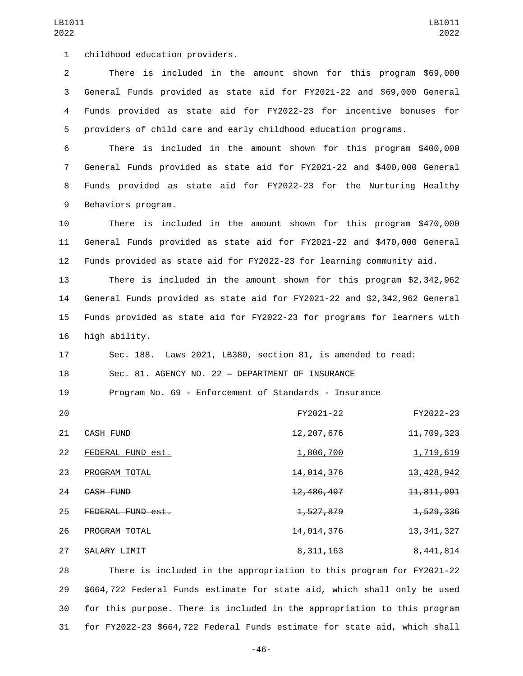1 childhood education providers.

 There is included in the amount shown for this program \$69,000 General Funds provided as state aid for FY2021-22 and \$69,000 General Funds provided as state aid for FY2022-23 for incentive bonuses for providers of child care and early childhood education programs.

 There is included in the amount shown for this program \$400,000 General Funds provided as state aid for FY2021-22 and \$400,000 General Funds provided as state aid for FY2022-23 for the Nurturing Healthy 9 Behaviors program.

 There is included in the amount shown for this program \$470,000 General Funds provided as state aid for FY2021-22 and \$470,000 General Funds provided as state aid for FY2022-23 for learning community aid.

 There is included in the amount shown for this program \$2,342,962 General Funds provided as state aid for FY2021-22 and \$2,342,962 General Funds provided as state aid for FY2022-23 for programs for learners with 16 high ability.

 Sec. 188. Laws 2021, LB380, section 81, is amended to read: Sec. 81. AGENCY NO. 22 — DEPARTMENT OF INSURANCE

Program No. 69 - Enforcement of Standards - Insurance

| 20 |                   | FY2021-22               | FY2022-23               |
|----|-------------------|-------------------------|-------------------------|
| 21 | <b>CASH FUND</b>  | 12, 207, 676            | 11,709,323              |
| 22 | FEDERAL FUND est. | 1,806,700               | <u>1,719,619</u>        |
| 23 | PROGRAM TOTAL     | <u>14,014,376</u>       | 13, 428, 942            |
| 24 | CASH FUND         | <del>12, 486, 497</del> | <del>11, 811, 991</del> |
| 25 | FEDERAL FUND est. | <del>1, 527, 879</del>  | <del>1, 529, 336</del>  |
| 26 | PROGRAM TOTAL     | <del>14,014,376</del>   | <del>13, 341, 327</del> |
| 27 | SALARY LIMIT      | 8,311,163               | 8, 441, 814             |

 There is included in the appropriation to this program for FY2021-22 \$664,722 Federal Funds estimate for state aid, which shall only be used for this purpose. There is included in the appropriation to this program for FY2022-23 \$664,722 Federal Funds estimate for state aid, which shall

-46-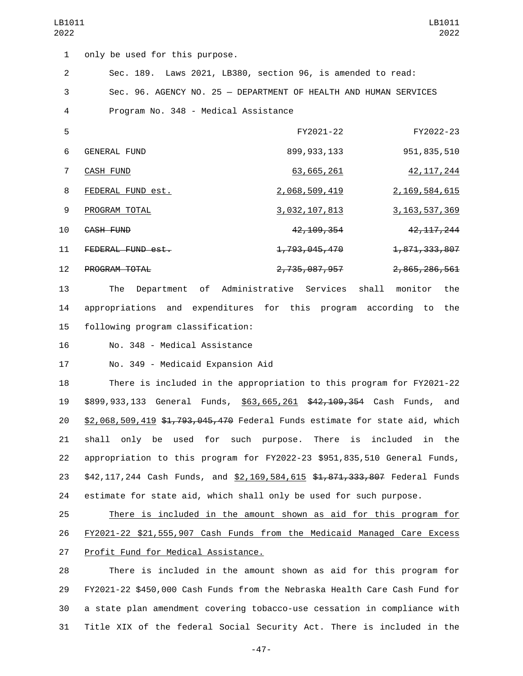| LB1011<br>2022 | LB1011<br>2022                                                                     |
|----------------|------------------------------------------------------------------------------------|
| 1              | only be used for this purpose.                                                     |
| $\overline{2}$ | Sec. 189. Laws 2021, LB380, section 96, is amended to read:                        |
| 3              | Sec. 96. AGENCY NO. 25 - DEPARTMENT OF HEALTH AND HUMAN SERVICES                   |
| 4              | Program No. 348 - Medical Assistance                                               |
| 5              | FY2021-22<br>FY2022-23                                                             |
| 6              | 899, 933, 133<br>951, 835, 510<br><b>GENERAL FUND</b>                              |
| $\overline{7}$ | <b>CASH FUND</b><br>63,665,261<br>42, 117, 244                                     |
| 8              | FEDERAL FUND est.<br>2,068,509,419<br>2,169,584,615                                |
| 9              | PROGRAM TOTAL<br>3,032,107,813<br>3, 163, 537, 369                                 |
| 10             | CASH FUND<br>42, 109, 354<br>42, 117, 244                                          |
| 11             | 1,871,333,807<br>FEDERAL FUND est.<br><del>1,793,045,470</del>                     |
| 12             | PROGRAM TOTAL<br><del>2,735,087,957</del><br>2,865,286,561                         |
| 13             | of Administrative Services shall<br>monitor<br>The<br>Department<br>the            |
| 14             | appropriations and expenditures for this program according<br>the<br>to            |
| 15             | following program classification:                                                  |
| 16             | No. 348 - Medical Assistance                                                       |
| 17             | No. 349 - Medicaid Expansion Aid                                                   |
| 18             | There is included in the appropriation to this program for FY2021-22               |
| 19             | \$899,933,133 General Funds, \$63,665,261 \$4 <del>2,109,354</del> Cash Funds, and |
| 20             | \$2,068,509,419 \$1,793,045,470 Federal Funds estimate for state aid, which        |
| 21             | shall only be used for such purpose. There is included in the                      |
| 22             | appropriation to this program for FY2022-23 \$951,835,510 General Funds,           |
| 23             | \$42,117,244 Cash Funds, and \$2,169,584,615 \$1,871,333,807 Federal Funds         |
| 24             | estimate for state aid, which shall only be used for such purpose.                 |
| 25             | There is included in the amount shown as aid for this program for                  |
| 26             | FY2021-22 \$21,555,907 Cash Funds from the Medicaid Managed Care Excess            |
| 27             | Profit Fund for Medical Assistance.                                                |

 There is included in the amount shown as aid for this program for FY2021-22 \$450,000 Cash Funds from the Nebraska Health Care Cash Fund for a state plan amendment covering tobacco-use cessation in compliance with Title XIX of the federal Social Security Act. There is included in the

-47-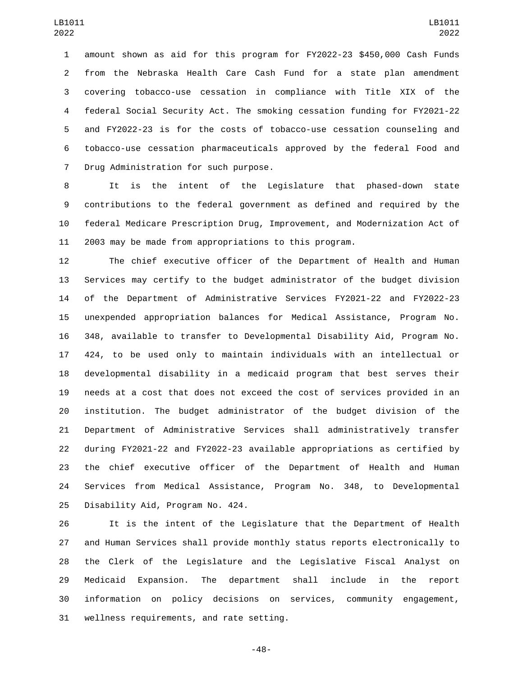amount shown as aid for this program for FY2022-23 \$450,000 Cash Funds from the Nebraska Health Care Cash Fund for a state plan amendment covering tobacco-use cessation in compliance with Title XIX of the federal Social Security Act. The smoking cessation funding for FY2021-22 and FY2022-23 is for the costs of tobacco-use cessation counseling and tobacco-use cessation pharmaceuticals approved by the federal Food and 7 Drug Administration for such purpose.

 It is the intent of the Legislature that phased-down state contributions to the federal government as defined and required by the federal Medicare Prescription Drug, Improvement, and Modernization Act of 2003 may be made from appropriations to this program.

 The chief executive officer of the Department of Health and Human Services may certify to the budget administrator of the budget division of the Department of Administrative Services FY2021-22 and FY2022-23 unexpended appropriation balances for Medical Assistance, Program No. 348, available to transfer to Developmental Disability Aid, Program No. 424, to be used only to maintain individuals with an intellectual or developmental disability in a medicaid program that best serves their needs at a cost that does not exceed the cost of services provided in an institution. The budget administrator of the budget division of the Department of Administrative Services shall administratively transfer during FY2021-22 and FY2022-23 available appropriations as certified by the chief executive officer of the Department of Health and Human Services from Medical Assistance, Program No. 348, to Developmental 25 Disability Aid, Program No. 424.

 It is the intent of the Legislature that the Department of Health and Human Services shall provide monthly status reports electronically to the Clerk of the Legislature and the Legislative Fiscal Analyst on Medicaid Expansion. The department shall include in the report information on policy decisions on services, community engagement, 31 wellness requirements, and rate setting.

-48-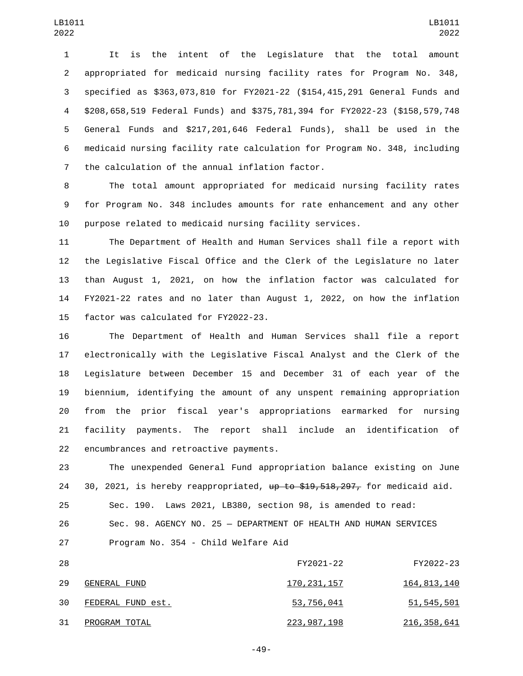It is the intent of the Legislature that the total amount appropriated for medicaid nursing facility rates for Program No. 348, specified as \$363,073,810 for FY2021-22 (\$154,415,291 General Funds and \$208,658,519 Federal Funds) and \$375,781,394 for FY2022-23 (\$158,579,748 General Funds and \$217,201,646 Federal Funds), shall be used in the medicaid nursing facility rate calculation for Program No. 348, including 7 the calculation of the annual inflation factor.

 The total amount appropriated for medicaid nursing facility rates for Program No. 348 includes amounts for rate enhancement and any other purpose related to medicaid nursing facility services.

 The Department of Health and Human Services shall file a report with the Legislative Fiscal Office and the Clerk of the Legislature no later than August 1, 2021, on how the inflation factor was calculated for FY2021-22 rates and no later than August 1, 2022, on how the inflation 15 factor was calculated for FY2022-23.

 The Department of Health and Human Services shall file a report electronically with the Legislative Fiscal Analyst and the Clerk of the Legislature between December 15 and December 31 of each year of the biennium, identifying the amount of any unspent remaining appropriation from the prior fiscal year's appropriations earmarked for nursing facility payments. The report shall include an identification of 22 encumbrances and retroactive payments.

 The unexpended General Fund appropriation balance existing on June 24 30, 2021, is hereby reappropriated, up to \$19,518,297, for medicaid aid.

Sec. 190. Laws 2021, LB380, section 98, is amended to read:

Sec. 98. AGENCY NO. 25 — DEPARTMENT OF HEALTH AND HUMAN SERVICES

27 Program No. 354 - Child Welfare Aid

| 28 |                   | FY2021-22     | FY2022-23            |
|----|-------------------|---------------|----------------------|
| 29 | GENERAL FUND      | 170, 231, 157 | <u>164, 813, 140</u> |
| 30 | FEDERAL FUND est. | 53,756,041    | <u>51,545,501</u>    |
| 31 | PROGRAM TOTAL     | 223, 987, 198 | <u>216, 358, 641</u> |

-49-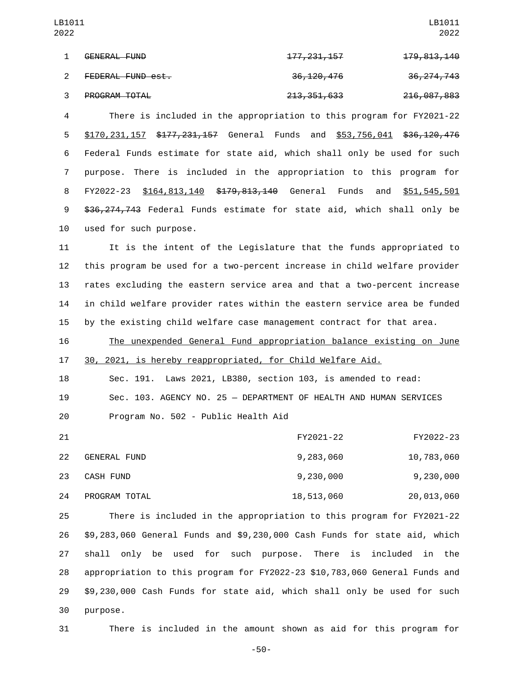| LB1011<br>2022 |                                                                             |                          | LB1011<br>2022        |
|----------------|-----------------------------------------------------------------------------|--------------------------|-----------------------|
| $\mathbf{1}$   | <b>GENERAL FUND</b>                                                         | <del>177, 231, 157</del> | 179, 813, 140         |
| $\overline{2}$ | FEDERAL FUND est.                                                           | 36, 120, 476             | 36, 274, 743          |
| 3              | PROGRAM TOTAL                                                               | 213, 351, 633            | 216,087,883           |
| 4              | There is included in the appropriation to this program for FY2021-22        |                          |                       |
| 5              | $$170,231,157$ $$177,231,157$ General Funds and $$53,756,041$ $$36,120,476$ |                          |                       |
| 6              | Federal Funds estimate for state aid, which shall only be used for such     |                          |                       |
| 7              | purpose. There is included in the appropriation to this program for         |                          |                       |
| 8              | \$164,813,140 \$179,813,140 General Funds<br>FY2022-23                      |                          | and<br>\$51,545,501   |
| 9              | \$36,274,743 Federal Funds estimate for state aid, which shall only be      |                          |                       |
| 10             | used for such purpose.                                                      |                          |                       |
| 11             | It is the intent of the Legislature that the funds appropriated to          |                          |                       |
| 12             | this program be used for a two-percent increase in child welfare provider   |                          |                       |
| 13             | rates excluding the eastern service area and that a two-percent increase    |                          |                       |
| 14             | in child welfare provider rates within the eastern service area be funded   |                          |                       |
| 15             | by the existing child welfare case management contract for that area.       |                          |                       |
| 16             | The unexpended General Fund appropriation balance existing on June          |                          |                       |
| 17             | 30, 2021, is hereby reappropriated, for Child Welfare Aid.                  |                          |                       |
| 18             | Sec. 191. Laws 2021, LB380, section 103, is amended to read:                |                          |                       |
| 19             | Sec. 103. AGENCY NO. 25 - DEPARTMENT OF HEALTH AND HUMAN SERVICES           |                          |                       |
| 20             | Program No. 502 - Public Health Aid                                         |                          |                       |
| 21             |                                                                             | FY2021-22                | FY2022-23             |
| 22             | GENERAL FUND                                                                | 9,283,060                | 10,783,060            |
| 23             | CASH FUND                                                                   | 9,230,000                | 9,230,000             |
| 24             | PROGRAM TOTAL                                                               | 18,513,060               | 20,013,060            |
| 25             | There is included in the appropriation to this program for FY2021-22        |                          |                       |
| 26             | \$9,283,060 General Funds and \$9,230,000 Cash Funds for state aid, which   |                          |                       |
| 27             | only be used for such<br>shall                                              | There is<br>purpose.     | included<br>in<br>the |
| 28             | appropriation to this program for FY2022-23 \$10,783,060 General Funds and  |                          |                       |
| 29             | \$9,230,000 Cash Funds for state aid, which shall only be used for such     |                          |                       |

There is included in the amount shown as aid for this program for

-50-

30 purpose.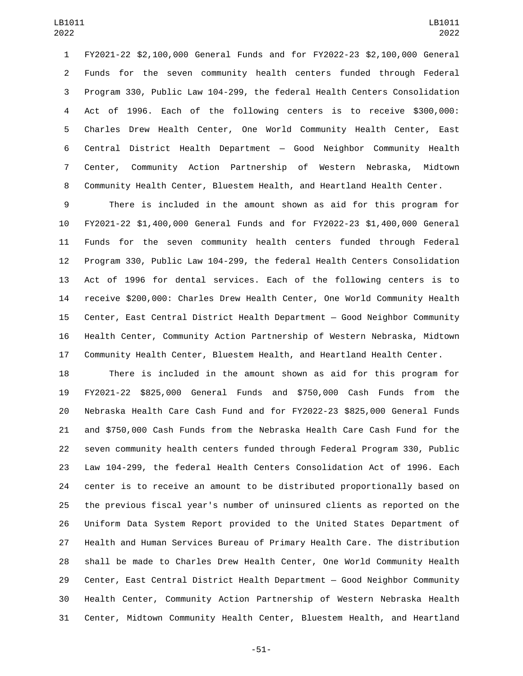FY2021-22 \$2,100,000 General Funds and for FY2022-23 \$2,100,000 General Funds for the seven community health centers funded through Federal Program 330, Public Law 104-299, the federal Health Centers Consolidation Act of 1996. Each of the following centers is to receive \$300,000: Charles Drew Health Center, One World Community Health Center, East Central District Health Department — Good Neighbor Community Health Center, Community Action Partnership of Western Nebraska, Midtown Community Health Center, Bluestem Health, and Heartland Health Center.

 There is included in the amount shown as aid for this program for FY2021-22 \$1,400,000 General Funds and for FY2022-23 \$1,400,000 General Funds for the seven community health centers funded through Federal Program 330, Public Law 104-299, the federal Health Centers Consolidation Act of 1996 for dental services. Each of the following centers is to receive \$200,000: Charles Drew Health Center, One World Community Health Center, East Central District Health Department — Good Neighbor Community Health Center, Community Action Partnership of Western Nebraska, Midtown Community Health Center, Bluestem Health, and Heartland Health Center.

 There is included in the amount shown as aid for this program for FY2021-22 \$825,000 General Funds and \$750,000 Cash Funds from the Nebraska Health Care Cash Fund and for FY2022-23 \$825,000 General Funds and \$750,000 Cash Funds from the Nebraska Health Care Cash Fund for the seven community health centers funded through Federal Program 330, Public Law 104-299, the federal Health Centers Consolidation Act of 1996. Each center is to receive an amount to be distributed proportionally based on the previous fiscal year's number of uninsured clients as reported on the Uniform Data System Report provided to the United States Department of Health and Human Services Bureau of Primary Health Care. The distribution shall be made to Charles Drew Health Center, One World Community Health Center, East Central District Health Department — Good Neighbor Community Health Center, Community Action Partnership of Western Nebraska Health Center, Midtown Community Health Center, Bluestem Health, and Heartland

-51-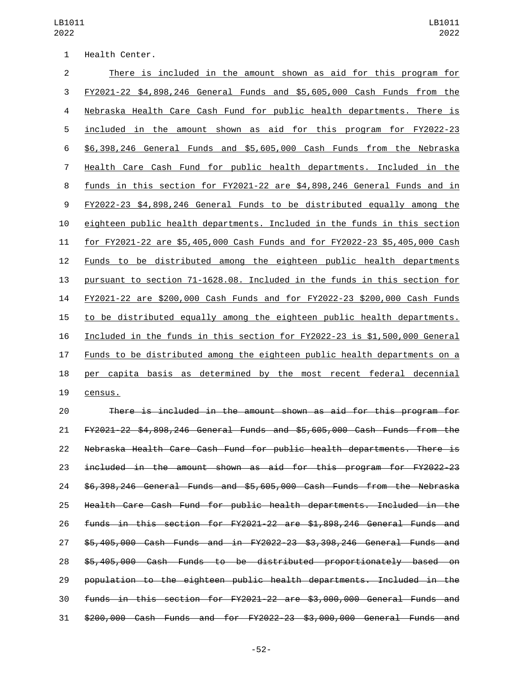## LB1011

1 Health Center.

| $\overline{2}$   | There is included in the amount shown as aid for this program for           |
|------------------|-----------------------------------------------------------------------------|
| 3                | FY2021-22 \$4,898,246 General Funds and \$5,605,000 Cash Funds from the     |
| 4                | Nebraska Health Care Cash Fund for public health departments. There is      |
| 5                | included in the amount shown as aid for this program for FY2022-23          |
| 6                | \$6,398,246 General Funds and \$5,605,000 Cash Funds from the Nebraska      |
| 7                | Health Care Cash Fund for public health departments. Included in the        |
| 8                | funds in this section for FY2021-22 are \$4,898,246 General Funds and in    |
| $\boldsymbol{9}$ | FY2022-23 \$4,898,246 General Funds to be distributed equally among the     |
| 10               | eighteen public health departments. Included in the funds in this section   |
| 11               | for FY2021-22 are \$5,405,000 Cash Funds and for FY2022-23 \$5,405,000 Cash |
| 12               | Funds to be distributed among the eighteen public health departments        |
| 13               | pursuant to section 71-1628.08. Included in the funds in this section for   |
| 14               | FY2021-22 are \$200,000 Cash Funds and for FY2022-23 \$200,000 Cash Funds   |
| 15               | to be distributed equally among the eighteen public health departments.     |
| 16               | Included in the funds in this section for FY2022-23 is \$1,500,000 General  |
| 17               | Funds to be distributed among the eighteen public health departments on a   |
| 18               | per capita basis as determined by the most recent federal decennial         |
| 19               | census.                                                                     |

 There is included in the amount shown as aid for this program for FY2021-22 \$4,898,246 General Funds and \$5,605,000 Cash Funds from the Nebraska Health Care Cash Fund for public health departments. There is included in the amount shown as aid for this program for FY2022-23 \$6,398,246 General Funds and \$5,605,000 Cash Funds from the Nebraska Health Care Cash Fund for public health departments. Included in the funds in this section for FY2021-22 are \$1,898,246 General Funds and \$5,405,000 Cash Funds and in FY2022-23 \$3,398,246 General Funds and \$5,405,000 Cash Funds to be distributed proportionately based on population to the eighteen public health departments. Included in the funds in this section for FY2021-22 are \$3,000,000 General Funds and \$200,000 Cash Funds and for FY2022-23 \$3,000,000 General Funds and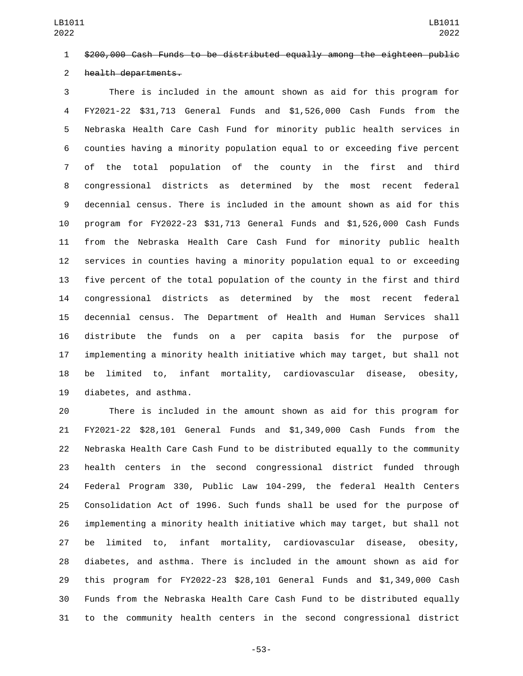## \$200,000 Cash Funds to be distributed equally among the eighteen public

2 health departments.

 There is included in the amount shown as aid for this program for FY2021-22 \$31,713 General Funds and \$1,526,000 Cash Funds from the Nebraska Health Care Cash Fund for minority public health services in counties having a minority population equal to or exceeding five percent of the total population of the county in the first and third congressional districts as determined by the most recent federal decennial census. There is included in the amount shown as aid for this program for FY2022-23 \$31,713 General Funds and \$1,526,000 Cash Funds from the Nebraska Health Care Cash Fund for minority public health services in counties having a minority population equal to or exceeding five percent of the total population of the county in the first and third congressional districts as determined by the most recent federal decennial census. The Department of Health and Human Services shall distribute the funds on a per capita basis for the purpose of implementing a minority health initiative which may target, but shall not be limited to, infant mortality, cardiovascular disease, obesity, 19 diabetes, and asthma.

 There is included in the amount shown as aid for this program for FY2021-22 \$28,101 General Funds and \$1,349,000 Cash Funds from the Nebraska Health Care Cash Fund to be distributed equally to the community health centers in the second congressional district funded through Federal Program 330, Public Law 104-299, the federal Health Centers Consolidation Act of 1996. Such funds shall be used for the purpose of implementing a minority health initiative which may target, but shall not be limited to, infant mortality, cardiovascular disease, obesity, diabetes, and asthma. There is included in the amount shown as aid for this program for FY2022-23 \$28,101 General Funds and \$1,349,000 Cash Funds from the Nebraska Health Care Cash Fund to be distributed equally to the community health centers in the second congressional district

-53-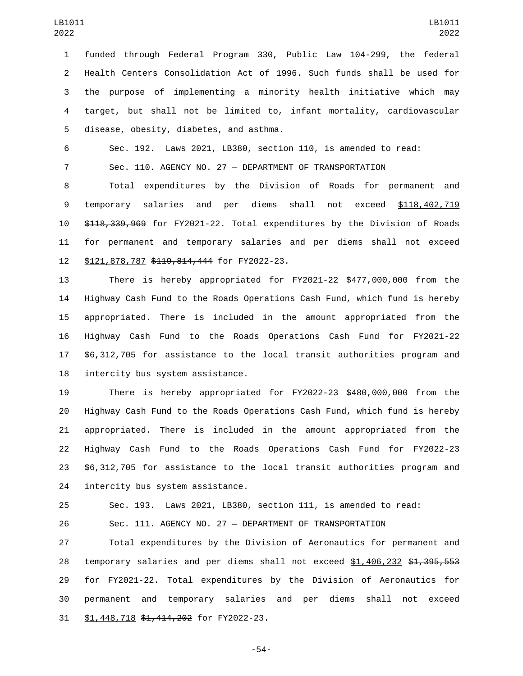funded through Federal Program 330, Public Law 104-299, the federal Health Centers Consolidation Act of 1996. Such funds shall be used for the purpose of implementing a minority health initiative which may target, but shall not be limited to, infant mortality, cardiovascular disease, obesity, diabetes, and asthma.5

Sec. 192. Laws 2021, LB380, section 110, is amended to read:

Sec. 110. AGENCY NO. 27 — DEPARTMENT OF TRANSPORTATION

 Total expenditures by the Division of Roads for permanent and temporary salaries and per diems shall not exceed \$118,402,719 \$118,339,969 for FY2021-22. Total expenditures by the Division of Roads for permanent and temporary salaries and per diems shall not exceed 12 \$121,878,787 \$119,814,444 for FY2022-23.

 There is hereby appropriated for FY2021-22 \$477,000,000 from the Highway Cash Fund to the Roads Operations Cash Fund, which fund is hereby appropriated. There is included in the amount appropriated from the Highway Cash Fund to the Roads Operations Cash Fund for FY2021-22 \$6,312,705 for assistance to the local transit authorities program and 18 intercity bus system assistance.

 There is hereby appropriated for FY2022-23 \$480,000,000 from the Highway Cash Fund to the Roads Operations Cash Fund, which fund is hereby appropriated. There is included in the amount appropriated from the Highway Cash Fund to the Roads Operations Cash Fund for FY2022-23 \$6,312,705 for assistance to the local transit authorities program and 24 intercity bus system assistance.

Sec. 193. Laws 2021, LB380, section 111, is amended to read:

Sec. 111. AGENCY NO. 27 — DEPARTMENT OF TRANSPORTATION

 Total expenditures by the Division of Aeronautics for permanent and 28 temporary salaries and per diems shall not exceed \$1,406,232 \$<del>1,395,553</del> for FY2021-22. Total expenditures by the Division of Aeronautics for permanent and temporary salaries and per diems shall not exceed 31 \$1,448,718 \$1,414,202 for FY2022-23.

-54-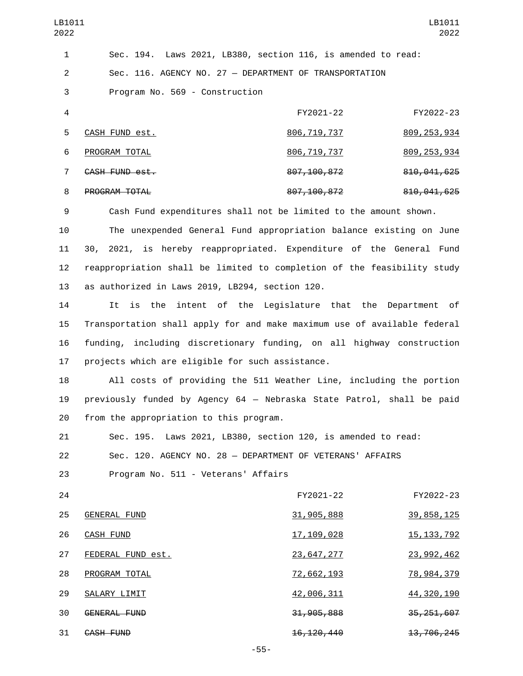| LB1011<br>2022 |                                                                          |                                                  | LB1011<br>2022    |  |  |  |  |  |
|----------------|--------------------------------------------------------------------------|--------------------------------------------------|-------------------|--|--|--|--|--|
| $\mathbf{1}$   | Sec. 194. Laws 2021, LB380, section 116, is amended to read:             |                                                  |                   |  |  |  |  |  |
| $\overline{2}$ | Sec. 116. AGENCY NO. 27 - DEPARTMENT OF TRANSPORTATION                   |                                                  |                   |  |  |  |  |  |
| 3              | Program No. 569 - Construction                                           |                                                  |                   |  |  |  |  |  |
| 4              |                                                                          | FY2021-22                                        | FY2022-23         |  |  |  |  |  |
| 5              | CASH FUND est.                                                           | <u>806, 719, 737</u>                             | 809, 253, 934     |  |  |  |  |  |
| 6              | PROGRAM TOTAL                                                            | 806, 719, 737                                    | 809, 253, 934     |  |  |  |  |  |
| $\overline{7}$ | CASH FUND est.                                                           | 807, 100, 872                                    | 810, 041, 625     |  |  |  |  |  |
| 8              | PROGRAM TOTAL                                                            | 807, 100, 872                                    | 810, 041, 625     |  |  |  |  |  |
| 9              | Cash Fund expenditures shall not be limited to the amount shown.         |                                                  |                   |  |  |  |  |  |
| 10             | The unexpended General Fund appropriation balance existing on June       |                                                  |                   |  |  |  |  |  |
| 11             | 30, 2021, is hereby reappropriated. Expenditure of the General Fund      |                                                  |                   |  |  |  |  |  |
| 12             | reappropriation shall be limited to completion of the feasibility study  |                                                  |                   |  |  |  |  |  |
| 13             | as authorized in Laws 2019, LB294, section 120.                          |                                                  |                   |  |  |  |  |  |
| 14             | It is the                                                                | intent of the Legislature that the Department of |                   |  |  |  |  |  |
| 15             | Transportation shall apply for and make maximum use of available federal |                                                  |                   |  |  |  |  |  |
| 16             | funding, including discretionary funding, on all highway construction    |                                                  |                   |  |  |  |  |  |
| 17             | projects which are eligible for such assistance.                         |                                                  |                   |  |  |  |  |  |
| 18             | All costs of providing the 511 Weather Line, including the portion       |                                                  |                   |  |  |  |  |  |
| 19             | previously funded by Agency 64 - Nebraska State Patrol, shall be paid    |                                                  |                   |  |  |  |  |  |
| 20             | from the appropriation to this program.                                  |                                                  |                   |  |  |  |  |  |
| 21             | Sec. 195. Laws 2021, LB380, section 120, is amended to read:             |                                                  |                   |  |  |  |  |  |
| 22             | Sec. 120. AGENCY NO. 28 - DEPARTMENT OF VETERANS' AFFAIRS                |                                                  |                   |  |  |  |  |  |
| 23             | Program No. 511 - Veterans' Affairs                                      |                                                  |                   |  |  |  |  |  |
| 24             |                                                                          | FY2021-22                                        | FY2022-23         |  |  |  |  |  |
| 25             | <b>GENERAL FUND</b>                                                      | <u>31,905,888</u>                                | 39, 858, 125      |  |  |  |  |  |
| 26             | <b>CASH FUND</b>                                                         | <u>17,109,028</u>                                | 15, 133, 792      |  |  |  |  |  |
| 27             | FEDERAL FUND est.                                                        | 23,647,277                                       | 23, 992, 462      |  |  |  |  |  |
| 28             | PROGRAM TOTAL                                                            | <u>72,662,193</u>                                | <u>78,984,379</u> |  |  |  |  |  |
| 29             | SALARY LIMIT                                                             | <u>42,006,311</u>                                | 44, 320, 190      |  |  |  |  |  |
| 30             | GENERAL FUND                                                             | 31, 905, 888                                     | 35, 251, 607      |  |  |  |  |  |
| 31             | CASH FUND                                                                | 16, 120, 440                                     | 13,706,245        |  |  |  |  |  |

-55-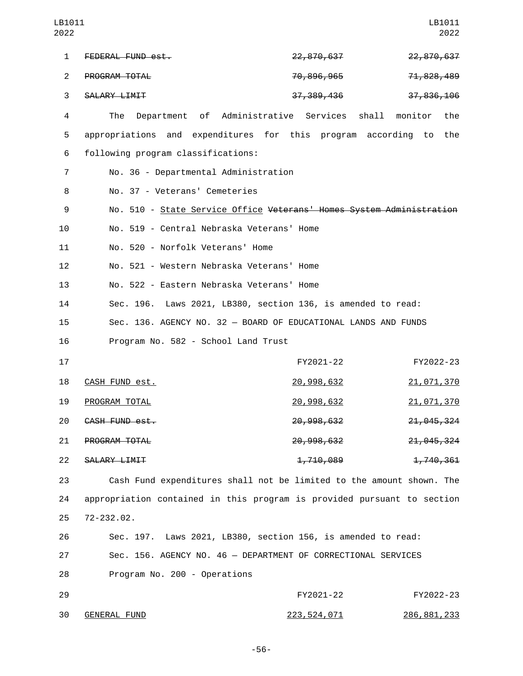1 FEDERAL FUND est. 1 22,870,637 22,870,637 22,870,637 2 PROGRAM TOTAL<br>2 PROGRAM TOTAL 3 SALARY LIMIT 37,389,436 37,389,436 37,836,106 4 The Department of Administrative Services shall monitor the 5 appropriations and expenditures for this program according to the following program classifications:6 7 No. 36 - Departmental Administration 8 No. 37 - Veterans' Cemeteries 9 No. 510 - State Service Office Veterans' Homes System Administration No. 519 - Central Nebraska Veterans' Home10 11 No. 520 - Norfolk Veterans' Home 12 No. 521 - Western Nebraska Veterans' Home No. 522 - Eastern Nebraska Veterans' Home13 14 Sec. 196. Laws 2021, LB380, section 136, is amended to read: 15 Sec. 136. AGENCY NO. 32 — BOARD OF EDUCATIONAL LANDS AND FUNDS 16 Program No. 582 - School Land Trust 17 FY2021-22 FY2022-23 18 CASH FUND est. 20 20,998,632 21,071,370 19 PROGRAM TOTAL 20 20,998,632 21,071,370 20 CASH FUND est. 20 20,998,632 21,045,324 21 PROGRAM TOTAL 20,998,632 21,045,324 22 SALARY LIMIT 22 1,710,089 1,740,361 23 Cash Fund expenditures shall not be limited to the amount shown. The 24 appropriation contained in this program is provided pursuant to section 25 72-232.02. 26 Sec. 197. Laws 2021, LB380, section 156, is amended to read: 27 Sec. 156. AGENCY NO. 46 — DEPARTMENT OF CORRECTIONAL SERVICES 28 Program No. 200 - Operations 29 FY2021-22 FY2022-23 GENERAL FUND30 223,524,071 286,881,233 LB1011 2022 LB1011 2022

-56-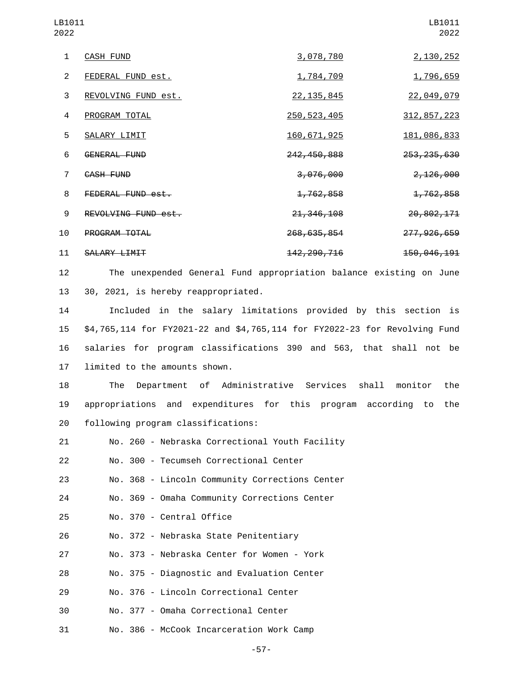| LB1011<br>2022 |                                                                    |                          |  | LB1011<br>2022           |
|----------------|--------------------------------------------------------------------|--------------------------|--|--------------------------|
| 1              | <b>CASH FUND</b>                                                   | 3,078,780                |  | 2, 130, 252              |
| $\overline{2}$ | FEDERAL FUND est.                                                  | 1,784,709                |  | 1,796,659                |
| 3              | REVOLVING FUND est.                                                | 22, 135, 845             |  | 22,049,079               |
| 4              | PROGRAM TOTAL                                                      | 250, 523, 405            |  | 312, 857, 223            |
| 5              | SALARY LIMIT                                                       | 160, 671, 925            |  | 181,086,833              |
| 6              | GENERAL FUND                                                       | 242, 450, 888            |  | 253, 235, 630            |
| $\overline{7}$ | CASH FUND                                                          | 3,076,000                |  | <del>2,126,000</del>     |
| 8              | FEDERAL FUND est.                                                  | 1,762,858                |  | 1,762,858                |
| 9              | REVOLVING FUND est.                                                | 21, 346, 108             |  | 20,802,171               |
| 10             | PROGRAM TOTAL                                                      | <del>268, 635, 854</del> |  | <del>277, 926, 659</del> |
| 11             | SALARY LIMIT                                                       | <del>142, 290, 716</del> |  | 150,046,191              |
| 12             | The unexpended General Fund appropriation balance existing on June |                          |  |                          |

13 30, 2021, is hereby reappropriated.

 Included in the salary limitations provided by this section is \$4,765,114 for FY2021-22 and \$4,765,114 for FY2022-23 for Revolving Fund salaries for program classifications 390 and 563, that shall not be 17 limited to the amounts shown.

18 The Department of Administrative Services shall monitor the 19 appropriations and expenditures for this program according to the 20 following program classifications:

- 21 No. 260 Nebraska Correctional Youth Facility
- 22 No. 300 Tecumseh Correctional Center

23 No. 368 - Lincoln Community Corrections Center

24 No. 369 - Omaha Community Corrections Center

- 25 No. 370 Central Office
- 26 No. 372 Nebraska State Penitentiary
- 27 No. 373 Nebraska Center for Women York

28 No. 375 - Diagnostic and Evaluation Center

- 29 No. 376 Lincoln Correctional Center
- 30 No. 377 Omaha Correctional Center
- 31 No. 386 McCook Incarceration Work Camp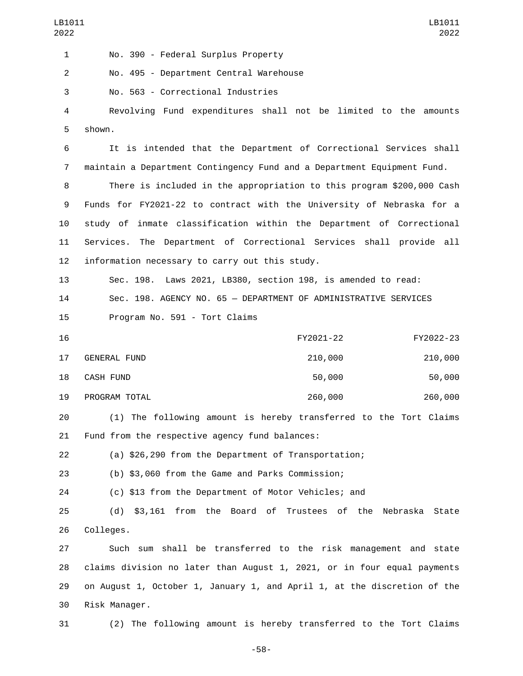No. 390 - Federal Surplus Property1 2 No. 495 - Department Central Warehouse 3 No. 563 - Correctional Industries 4 Revolving Fund expenditures shall not be limited to the amounts 5 shown. 6 It is intended that the Department of Correctional Services shall 7 maintain a Department Contingency Fund and a Department Equipment Fund. 8 There is included in the appropriation to this program \$200,000 Cash 9 Funds for FY2021-22 to contract with the University of Nebraska for a 10 study of inmate classification within the Department of Correctional 11 Services. The Department of Correctional Services shall provide all 12 information necessary to carry out this study. 13 Sec. 198. Laws 2021, LB380, section 198, is amended to read: 14 Sec. 198. AGENCY NO. 65 — DEPARTMENT OF ADMINISTRATIVE SERVICES 15 Program No. 591 - Tort Claims 16 FY2021-22 FY2022-23 17 GENERAL FUND 210,000 210,000 210,000 18 CASH FUND 18 20 20 20 20 20 20 30,000 50,000 50,000 50,000 PROGRAM TOTAL19 260,000 260,000 20 (1) The following amount is hereby transferred to the Tort Claims 21 Fund from the respective agency fund balances: 22 (a) \$26,290 from the Department of Transportation; 23 (b) \$3,060 from the Game and Parks Commission; 24 (c) \$13 from the Department of Motor Vehicles; and 25 (d) \$3,161 from the Board of Trustees of the Nebraska State

26 Colleges.

 Such sum shall be transferred to the risk management and state claims division no later than August 1, 2021, or in four equal payments on August 1, October 1, January 1, and April 1, at the discretion of the 30 Risk Manager.

31 (2) The following amount is hereby transferred to the Tort Claims

-58-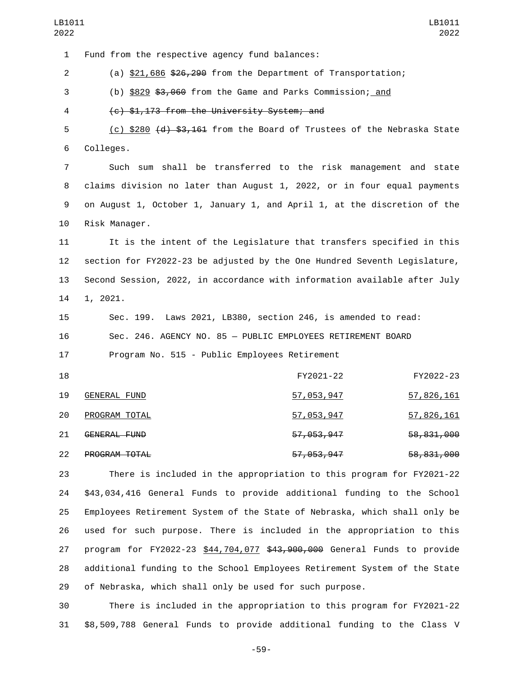1 Fund from the respective agency fund balances: 2 (a) \$21,686 \$26,290 from the Department of Transportation; 3 (b) \$829 \$3,060 from the Game and Parks Commission; and 4 (c) \$1,173 from the University System; and 5 (c) \$280 (d) \$3,161 from the Board of Trustees of the Nebraska State 6 Colleges. 7 Such sum shall be transferred to the risk management and state 8 claims division no later than August 1, 2022, or in four equal payments 9 on August 1, October 1, January 1, and April 1, at the discretion of the 10 Risk Manager. 11 It is the intent of the Legislature that transfers specified in this 12 section for FY2022-23 be adjusted by the One Hundred Seventh Legislature, 13 Second Session, 2022, in accordance with information available after July 14 1, 2021. 15 Sec. 199. Laws 2021, LB380, section 246, is amended to read: 16 Sec. 246. AGENCY NO. 85 — PUBLIC EMPLOYEES RETIREMENT BOARD 17 Program No. 515 - Public Employees Retirement 18 FY2021-22 FY2022-23 19 GENERAL FUND 19 57,053,947 57,826,161 PROGRAM TOTAL20 57,053,947 57,826,161 21 GENERAL FUND<br>21 GENERAL FUND 22 PROGRAM TOTAL 22 57,053,947 58,831,000 23 There is included in the appropriation to this program for FY2021-22

 \$43,034,416 General Funds to provide additional funding to the School Employees Retirement System of the State of Nebraska, which shall only be used for such purpose. There is included in the appropriation to this 27 program for FY2022-23 \$44,704,077 \$43,900,000 General Funds to provide additional funding to the School Employees Retirement System of the State of Nebraska, which shall only be used for such purpose.

30 There is included in the appropriation to this program for FY2021-22 31 \$8,509,788 General Funds to provide additional funding to the Class V

-59-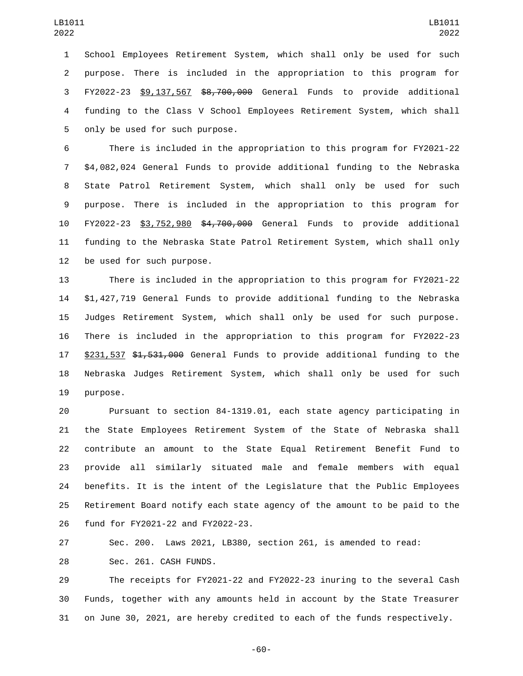School Employees Retirement System, which shall only be used for such purpose. There is included in the appropriation to this program for FY2022-23 \$9,137,567 \$8,700,000 General Funds to provide additional funding to the Class V School Employees Retirement System, which shall 5 only be used for such purpose.

 There is included in the appropriation to this program for FY2021-22 \$4,082,024 General Funds to provide additional funding to the Nebraska State Patrol Retirement System, which shall only be used for such purpose. There is included in the appropriation to this program for FY2022-23 \$3,752,980 \$4,700,000 General Funds to provide additional funding to the Nebraska State Patrol Retirement System, which shall only 12 be used for such purpose.

 There is included in the appropriation to this program for FY2021-22 \$1,427,719 General Funds to provide additional funding to the Nebraska Judges Retirement System, which shall only be used for such purpose. There is included in the appropriation to this program for FY2022-23 \$231,537 \$1,531,000 General Funds to provide additional funding to the Nebraska Judges Retirement System, which shall only be used for such 19 purpose.

 Pursuant to section 84-1319.01, each state agency participating in the State Employees Retirement System of the State of Nebraska shall contribute an amount to the State Equal Retirement Benefit Fund to provide all similarly situated male and female members with equal benefits. It is the intent of the Legislature that the Public Employees Retirement Board notify each state agency of the amount to be paid to the 26 fund for FY2021-22 and FY2022-23.

 Sec. 200. Laws 2021, LB380, section 261, is amended to read: 28 Sec. 261. CASH FUNDS.

 The receipts for FY2021-22 and FY2022-23 inuring to the several Cash Funds, together with any amounts held in account by the State Treasurer on June 30, 2021, are hereby credited to each of the funds respectively.

-60-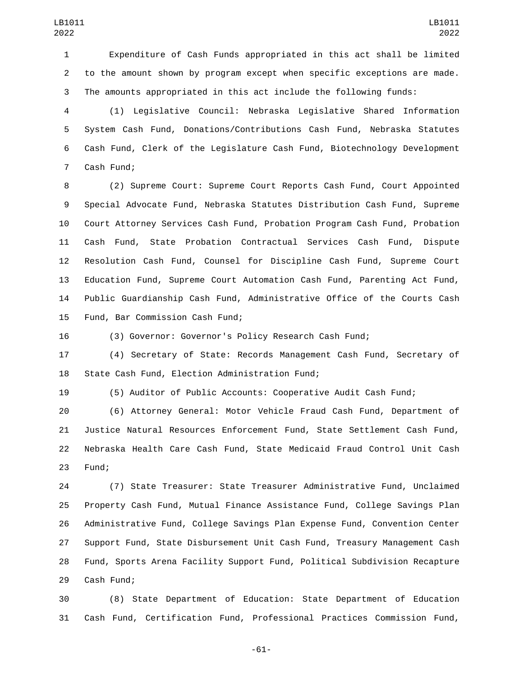Expenditure of Cash Funds appropriated in this act shall be limited to the amount shown by program except when specific exceptions are made. The amounts appropriated in this act include the following funds:

 (1) Legislative Council: Nebraska Legislative Shared Information System Cash Fund, Donations/Contributions Cash Fund, Nebraska Statutes Cash Fund, Clerk of the Legislature Cash Fund, Biotechnology Development 7 Cash Fund;

 (2) Supreme Court: Supreme Court Reports Cash Fund, Court Appointed Special Advocate Fund, Nebraska Statutes Distribution Cash Fund, Supreme Court Attorney Services Cash Fund, Probation Program Cash Fund, Probation Cash Fund, State Probation Contractual Services Cash Fund, Dispute Resolution Cash Fund, Counsel for Discipline Cash Fund, Supreme Court Education Fund, Supreme Court Automation Cash Fund, Parenting Act Fund, Public Guardianship Cash Fund, Administrative Office of the Courts Cash 15 Fund, Bar Commission Cash Fund;

(3) Governor: Governor's Policy Research Cash Fund;

 (4) Secretary of State: Records Management Cash Fund, Secretary of 18 State Cash Fund, Election Administration Fund;

(5) Auditor of Public Accounts: Cooperative Audit Cash Fund;

 (6) Attorney General: Motor Vehicle Fraud Cash Fund, Department of Justice Natural Resources Enforcement Fund, State Settlement Cash Fund, Nebraska Health Care Cash Fund, State Medicaid Fraud Control Unit Cash 23 Fund;

 (7) State Treasurer: State Treasurer Administrative Fund, Unclaimed Property Cash Fund, Mutual Finance Assistance Fund, College Savings Plan Administrative Fund, College Savings Plan Expense Fund, Convention Center Support Fund, State Disbursement Unit Cash Fund, Treasury Management Cash Fund, Sports Arena Facility Support Fund, Political Subdivision Recapture 29 Cash Fund;

 (8) State Department of Education: State Department of Education Cash Fund, Certification Fund, Professional Practices Commission Fund,

-61-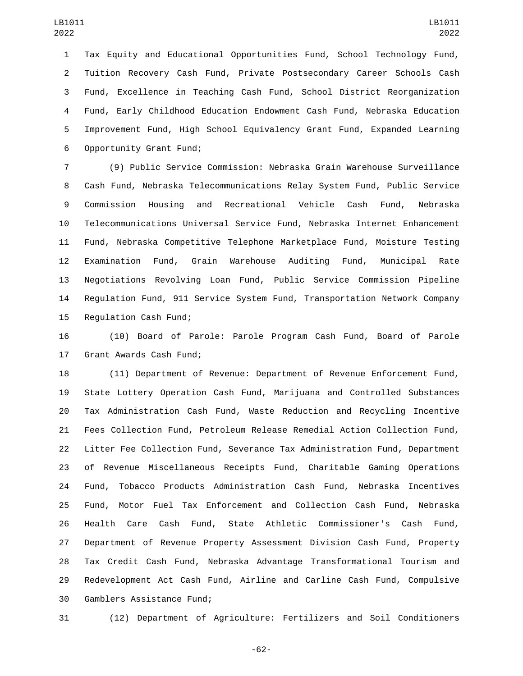Tax Equity and Educational Opportunities Fund, School Technology Fund, Tuition Recovery Cash Fund, Private Postsecondary Career Schools Cash Fund, Excellence in Teaching Cash Fund, School District Reorganization Fund, Early Childhood Education Endowment Cash Fund, Nebraska Education Improvement Fund, High School Equivalency Grant Fund, Expanded Learning 6 Opportunity Grant Fund;

 (9) Public Service Commission: Nebraska Grain Warehouse Surveillance Cash Fund, Nebraska Telecommunications Relay System Fund, Public Service Commission Housing and Recreational Vehicle Cash Fund, Nebraska Telecommunications Universal Service Fund, Nebraska Internet Enhancement Fund, Nebraska Competitive Telephone Marketplace Fund, Moisture Testing Examination Fund, Grain Warehouse Auditing Fund, Municipal Rate Negotiations Revolving Loan Fund, Public Service Commission Pipeline Regulation Fund, 911 Service System Fund, Transportation Network Company 15 Regulation Cash Fund;

 (10) Board of Parole: Parole Program Cash Fund, Board of Parole 17 Grant Awards Cash Fund;

 (11) Department of Revenue: Department of Revenue Enforcement Fund, State Lottery Operation Cash Fund, Marijuana and Controlled Substances Tax Administration Cash Fund, Waste Reduction and Recycling Incentive Fees Collection Fund, Petroleum Release Remedial Action Collection Fund, Litter Fee Collection Fund, Severance Tax Administration Fund, Department of Revenue Miscellaneous Receipts Fund, Charitable Gaming Operations Fund, Tobacco Products Administration Cash Fund, Nebraska Incentives Fund, Motor Fuel Tax Enforcement and Collection Cash Fund, Nebraska Health Care Cash Fund, State Athletic Commissioner's Cash Fund, Department of Revenue Property Assessment Division Cash Fund, Property Tax Credit Cash Fund, Nebraska Advantage Transformational Tourism and Redevelopment Act Cash Fund, Airline and Carline Cash Fund, Compulsive 30 Gamblers Assistance Fund;

(12) Department of Agriculture: Fertilizers and Soil Conditioners

-62-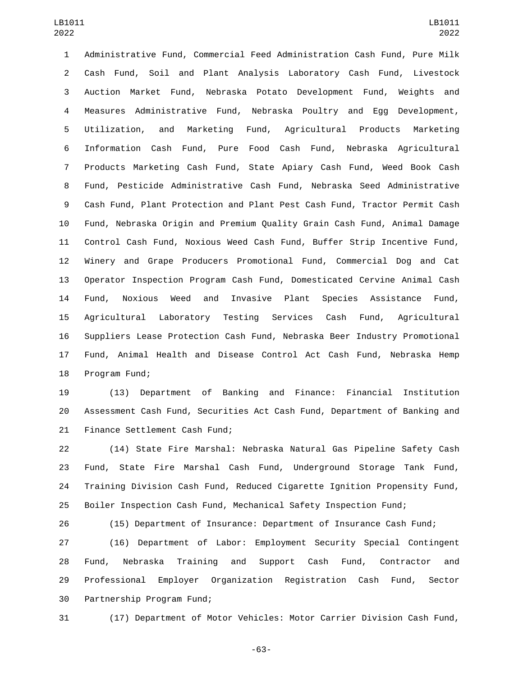Administrative Fund, Commercial Feed Administration Cash Fund, Pure Milk Cash Fund, Soil and Plant Analysis Laboratory Cash Fund, Livestock Auction Market Fund, Nebraska Potato Development Fund, Weights and Measures Administrative Fund, Nebraska Poultry and Egg Development, Utilization, and Marketing Fund, Agricultural Products Marketing Information Cash Fund, Pure Food Cash Fund, Nebraska Agricultural Products Marketing Cash Fund, State Apiary Cash Fund, Weed Book Cash Fund, Pesticide Administrative Cash Fund, Nebraska Seed Administrative Cash Fund, Plant Protection and Plant Pest Cash Fund, Tractor Permit Cash Fund, Nebraska Origin and Premium Quality Grain Cash Fund, Animal Damage Control Cash Fund, Noxious Weed Cash Fund, Buffer Strip Incentive Fund, Winery and Grape Producers Promotional Fund, Commercial Dog and Cat Operator Inspection Program Cash Fund, Domesticated Cervine Animal Cash Fund, Noxious Weed and Invasive Plant Species Assistance Fund, Agricultural Laboratory Testing Services Cash Fund, Agricultural Suppliers Lease Protection Cash Fund, Nebraska Beer Industry Promotional Fund, Animal Health and Disease Control Act Cash Fund, Nebraska Hemp 18 Program Fund;

 (13) Department of Banking and Finance: Financial Institution Assessment Cash Fund, Securities Act Cash Fund, Department of Banking and 21 Finance Settlement Cash Fund;

 (14) State Fire Marshal: Nebraska Natural Gas Pipeline Safety Cash Fund, State Fire Marshal Cash Fund, Underground Storage Tank Fund, Training Division Cash Fund, Reduced Cigarette Ignition Propensity Fund, Boiler Inspection Cash Fund, Mechanical Safety Inspection Fund;

(15) Department of Insurance: Department of Insurance Cash Fund;

 (16) Department of Labor: Employment Security Special Contingent Fund, Nebraska Training and Support Cash Fund, Contractor and Professional Employer Organization Registration Cash Fund, Sector 30 Partnership Program Fund;

(17) Department of Motor Vehicles: Motor Carrier Division Cash Fund,

-63-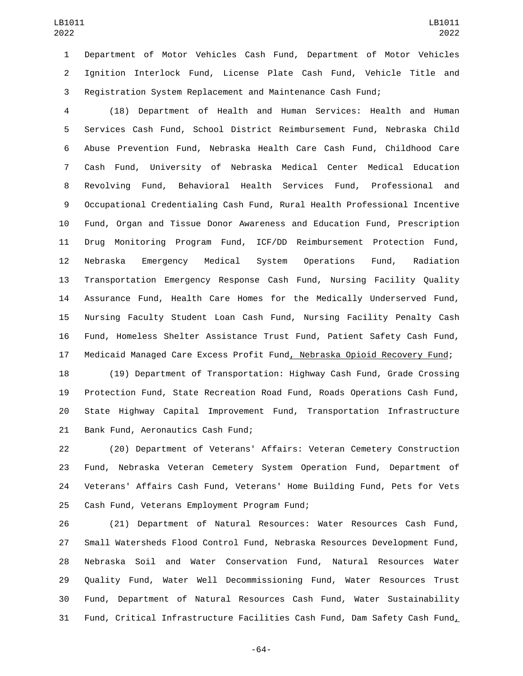Department of Motor Vehicles Cash Fund, Department of Motor Vehicles Ignition Interlock Fund, License Plate Cash Fund, Vehicle Title and Registration System Replacement and Maintenance Cash Fund;

 (18) Department of Health and Human Services: Health and Human Services Cash Fund, School District Reimbursement Fund, Nebraska Child Abuse Prevention Fund, Nebraska Health Care Cash Fund, Childhood Care Cash Fund, University of Nebraska Medical Center Medical Education Revolving Fund, Behavioral Health Services Fund, Professional and Occupational Credentialing Cash Fund, Rural Health Professional Incentive Fund, Organ and Tissue Donor Awareness and Education Fund, Prescription Drug Monitoring Program Fund, ICF/DD Reimbursement Protection Fund, Nebraska Emergency Medical System Operations Fund, Radiation Transportation Emergency Response Cash Fund, Nursing Facility Quality Assurance Fund, Health Care Homes for the Medically Underserved Fund, Nursing Faculty Student Loan Cash Fund, Nursing Facility Penalty Cash Fund, Homeless Shelter Assistance Trust Fund, Patient Safety Cash Fund, Medicaid Managed Care Excess Profit Fund, Nebraska Opioid Recovery Fund;

 (19) Department of Transportation: Highway Cash Fund, Grade Crossing Protection Fund, State Recreation Road Fund, Roads Operations Cash Fund, State Highway Capital Improvement Fund, Transportation Infrastructure 21 Bank Fund, Aeronautics Cash Fund;

 (20) Department of Veterans' Affairs: Veteran Cemetery Construction Fund, Nebraska Veteran Cemetery System Operation Fund, Department of Veterans' Affairs Cash Fund, Veterans' Home Building Fund, Pets for Vets 25 Cash Fund, Veterans Employment Program Fund;

 (21) Department of Natural Resources: Water Resources Cash Fund, Small Watersheds Flood Control Fund, Nebraska Resources Development Fund, Nebraska Soil and Water Conservation Fund, Natural Resources Water Quality Fund, Water Well Decommissioning Fund, Water Resources Trust Fund, Department of Natural Resources Cash Fund, Water Sustainability Fund, Critical Infrastructure Facilities Cash Fund, Dam Safety Cash Fund,

-64-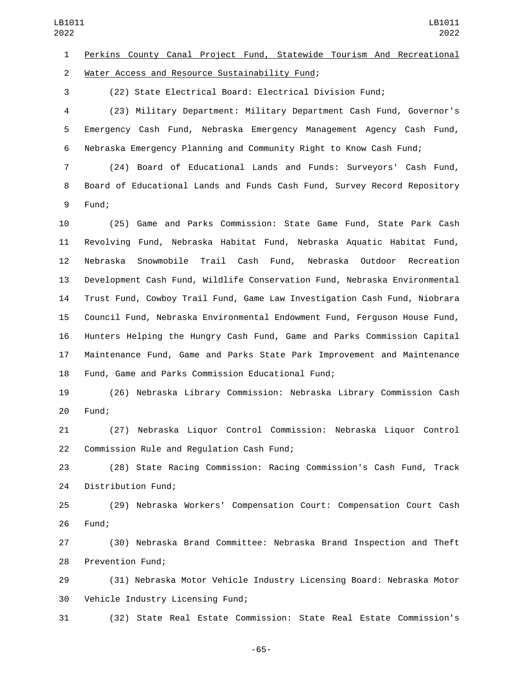Perkins County Canal Project Fund, Statewide Tourism And Recreational 2 Water Access and Resource Sustainability Fund;

(22) State Electrical Board: Electrical Division Fund;

 (23) Military Department: Military Department Cash Fund, Governor's Emergency Cash Fund, Nebraska Emergency Management Agency Cash Fund, Nebraska Emergency Planning and Community Right to Know Cash Fund;

 (24) Board of Educational Lands and Funds: Surveyors' Cash Fund, Board of Educational Lands and Funds Cash Fund, Survey Record Repository 9 Fund;

 (25) Game and Parks Commission: State Game Fund, State Park Cash Revolving Fund, Nebraska Habitat Fund, Nebraska Aquatic Habitat Fund, Nebraska Snowmobile Trail Cash Fund, Nebraska Outdoor Recreation Development Cash Fund, Wildlife Conservation Fund, Nebraska Environmental Trust Fund, Cowboy Trail Fund, Game Law Investigation Cash Fund, Niobrara Council Fund, Nebraska Environmental Endowment Fund, Ferguson House Fund, Hunters Helping the Hungry Cash Fund, Game and Parks Commission Capital Maintenance Fund, Game and Parks State Park Improvement and Maintenance 18 Fund, Game and Parks Commission Educational Fund;

 (26) Nebraska Library Commission: Nebraska Library Commission Cash 20 Fund;

 (27) Nebraska Liquor Control Commission: Nebraska Liquor Control 22 Commission Rule and Requlation Cash Fund;

 (28) State Racing Commission: Racing Commission's Cash Fund, Track 24 Distribution Fund;

 (29) Nebraska Workers' Compensation Court: Compensation Court Cash 26 Fund;

 (30) Nebraska Brand Committee: Nebraska Brand Inspection and Theft 28 Prevention Fund;

 (31) Nebraska Motor Vehicle Industry Licensing Board: Nebraska Motor 30 Vehicle Industry Licensing Fund;

(32) State Real Estate Commission: State Real Estate Commission's

-65-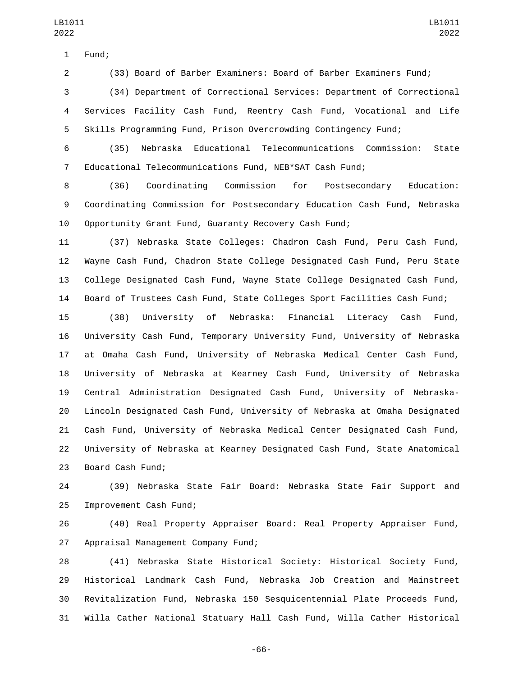1 Fund;

(33) Board of Barber Examiners: Board of Barber Examiners Fund;

 (34) Department of Correctional Services: Department of Correctional Services Facility Cash Fund, Reentry Cash Fund, Vocational and Life Skills Programming Fund, Prison Overcrowding Contingency Fund;

 (35) Nebraska Educational Telecommunications Commission: State Educational Telecommunications Fund, NEB\*SAT Cash Fund;

 (36) Coordinating Commission for Postsecondary Education: Coordinating Commission for Postsecondary Education Cash Fund, Nebraska Opportunity Grant Fund, Guaranty Recovery Cash Fund;

 (37) Nebraska State Colleges: Chadron Cash Fund, Peru Cash Fund, Wayne Cash Fund, Chadron State College Designated Cash Fund, Peru State College Designated Cash Fund, Wayne State College Designated Cash Fund, Board of Trustees Cash Fund, State Colleges Sport Facilities Cash Fund;

 (38) University of Nebraska: Financial Literacy Cash Fund, University Cash Fund, Temporary University Fund, University of Nebraska at Omaha Cash Fund, University of Nebraska Medical Center Cash Fund, University of Nebraska at Kearney Cash Fund, University of Nebraska Central Administration Designated Cash Fund, University of Nebraska- Lincoln Designated Cash Fund, University of Nebraska at Omaha Designated Cash Fund, University of Nebraska Medical Center Designated Cash Fund, University of Nebraska at Kearney Designated Cash Fund, State Anatomical 23 Board Cash Fund;

 (39) Nebraska State Fair Board: Nebraska State Fair Support and 25 Improvement Cash Fund;

 (40) Real Property Appraiser Board: Real Property Appraiser Fund, 27 Appraisal Management Company Fund;

 (41) Nebraska State Historical Society: Historical Society Fund, Historical Landmark Cash Fund, Nebraska Job Creation and Mainstreet Revitalization Fund, Nebraska 150 Sesquicentennial Plate Proceeds Fund, Willa Cather National Statuary Hall Cash Fund, Willa Cather Historical

-66-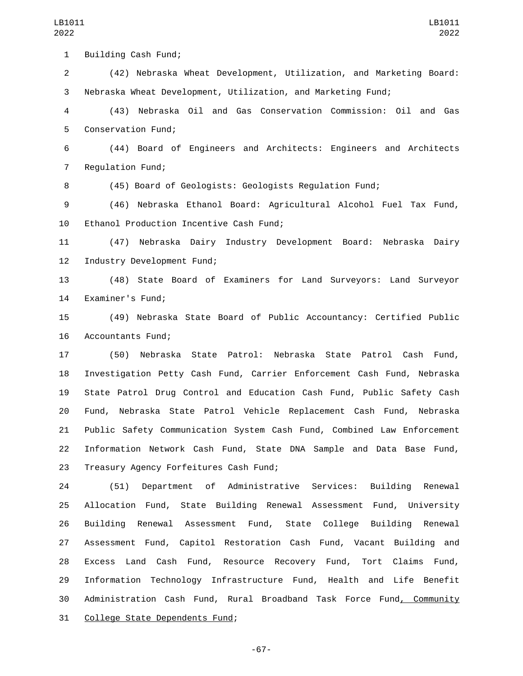1 Building Cash Fund;

 (42) Nebraska Wheat Development, Utilization, and Marketing Board: Nebraska Wheat Development, Utilization, and Marketing Fund;

 (43) Nebraska Oil and Gas Conservation Commission: Oil and Gas 5 Conservation Fund;

 (44) Board of Engineers and Architects: Engineers and Architects 7 Requlation Fund;

(45) Board of Geologists: Geologists Regulation Fund;

 (46) Nebraska Ethanol Board: Agricultural Alcohol Fuel Tax Fund, 10 Ethanol Production Incentive Cash Fund;

 (47) Nebraska Dairy Industry Development Board: Nebraska Dairy 12 Industry Development Fund;

 (48) State Board of Examiners for Land Surveyors: Land Surveyor 14 Examiner's Fund;

 (49) Nebraska State Board of Public Accountancy: Certified Public 16 Accountants Fund;

 (50) Nebraska State Patrol: Nebraska State Patrol Cash Fund, Investigation Petty Cash Fund, Carrier Enforcement Cash Fund, Nebraska State Patrol Drug Control and Education Cash Fund, Public Safety Cash Fund, Nebraska State Patrol Vehicle Replacement Cash Fund, Nebraska Public Safety Communication System Cash Fund, Combined Law Enforcement Information Network Cash Fund, State DNA Sample and Data Base Fund, 23 Treasury Agency Forfeitures Cash Fund;

 (51) Department of Administrative Services: Building Renewal Allocation Fund, State Building Renewal Assessment Fund, University Building Renewal Assessment Fund, State College Building Renewal Assessment Fund, Capitol Restoration Cash Fund, Vacant Building and Excess Land Cash Fund, Resource Recovery Fund, Tort Claims Fund, Information Technology Infrastructure Fund, Health and Life Benefit 30 Administration Cash Fund, Rural Broadband Task Force Fund, Community 31 College State Dependents Fund;

-67-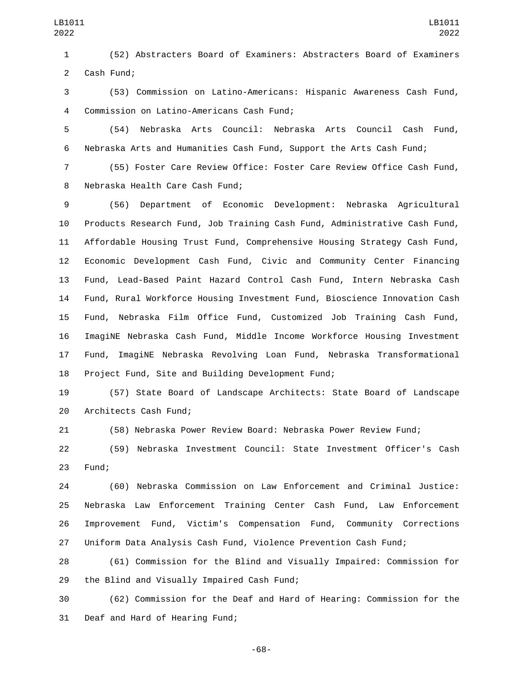(52) Abstracters Board of Examiners: Abstracters Board of Examiners 2 Cash Fund;

 (53) Commission on Latino-Americans: Hispanic Awareness Cash Fund, Commission on Latino-Americans Cash Fund;4

 (54) Nebraska Arts Council: Nebraska Arts Council Cash Fund, Nebraska Arts and Humanities Cash Fund, Support the Arts Cash Fund;

 (55) Foster Care Review Office: Foster Care Review Office Cash Fund, 8 Nebraska Health Care Cash Fund;

 (56) Department of Economic Development: Nebraska Agricultural Products Research Fund, Job Training Cash Fund, Administrative Cash Fund, Affordable Housing Trust Fund, Comprehensive Housing Strategy Cash Fund, Economic Development Cash Fund, Civic and Community Center Financing Fund, Lead-Based Paint Hazard Control Cash Fund, Intern Nebraska Cash Fund, Rural Workforce Housing Investment Fund, Bioscience Innovation Cash Fund, Nebraska Film Office Fund, Customized Job Training Cash Fund, ImagiNE Nebraska Cash Fund, Middle Income Workforce Housing Investment Fund, ImagiNE Nebraska Revolving Loan Fund, Nebraska Transformational 18 Project Fund, Site and Building Development Fund;

 (57) State Board of Landscape Architects: State Board of Landscape 20 Architects Cash Fund;

(58) Nebraska Power Review Board: Nebraska Power Review Fund;

 (59) Nebraska Investment Council: State Investment Officer's Cash 23 Fund;

 (60) Nebraska Commission on Law Enforcement and Criminal Justice: Nebraska Law Enforcement Training Center Cash Fund, Law Enforcement Improvement Fund, Victim's Compensation Fund, Community Corrections Uniform Data Analysis Cash Fund, Violence Prevention Cash Fund;

 (61) Commission for the Blind and Visually Impaired: Commission for 29 the Blind and Visually Impaired Cash Fund;

 (62) Commission for the Deaf and Hard of Hearing: Commission for the 31 Deaf and Hard of Hearing Fund;

-68-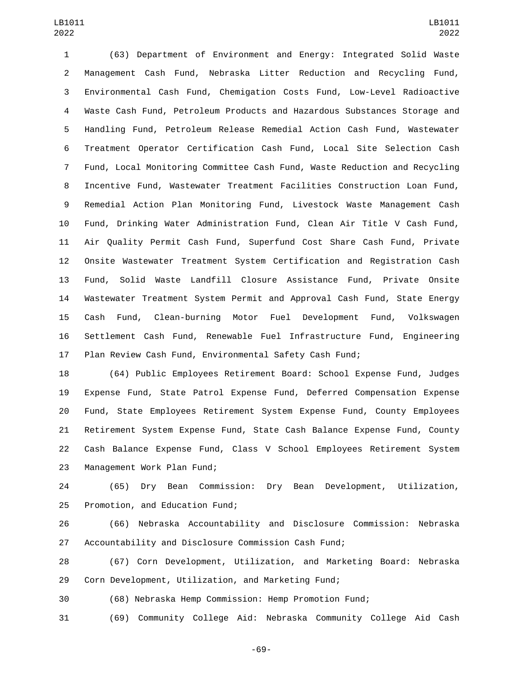(63) Department of Environment and Energy: Integrated Solid Waste Management Cash Fund, Nebraska Litter Reduction and Recycling Fund, Environmental Cash Fund, Chemigation Costs Fund, Low-Level Radioactive Waste Cash Fund, Petroleum Products and Hazardous Substances Storage and Handling Fund, Petroleum Release Remedial Action Cash Fund, Wastewater Treatment Operator Certification Cash Fund, Local Site Selection Cash Fund, Local Monitoring Committee Cash Fund, Waste Reduction and Recycling Incentive Fund, Wastewater Treatment Facilities Construction Loan Fund, Remedial Action Plan Monitoring Fund, Livestock Waste Management Cash Fund, Drinking Water Administration Fund, Clean Air Title V Cash Fund, Air Quality Permit Cash Fund, Superfund Cost Share Cash Fund, Private Onsite Wastewater Treatment System Certification and Registration Cash Fund, Solid Waste Landfill Closure Assistance Fund, Private Onsite Wastewater Treatment System Permit and Approval Cash Fund, State Energy Cash Fund, Clean-burning Motor Fuel Development Fund, Volkswagen Settlement Cash Fund, Renewable Fuel Infrastructure Fund, Engineering Plan Review Cash Fund, Environmental Safety Cash Fund;

 (64) Public Employees Retirement Board: School Expense Fund, Judges Expense Fund, State Patrol Expense Fund, Deferred Compensation Expense Fund, State Employees Retirement System Expense Fund, County Employees Retirement System Expense Fund, State Cash Balance Expense Fund, County Cash Balance Expense Fund, Class V School Employees Retirement System 23 Management Work Plan Fund;

 (65) Dry Bean Commission: Dry Bean Development, Utilization, 25 Promotion, and Education Fund;

 (66) Nebraska Accountability and Disclosure Commission: Nebraska Accountability and Disclosure Commission Cash Fund;

 (67) Corn Development, Utilization, and Marketing Board: Nebraska Corn Development, Utilization, and Marketing Fund;

(68) Nebraska Hemp Commission: Hemp Promotion Fund;

(69) Community College Aid: Nebraska Community College Aid Cash

-69-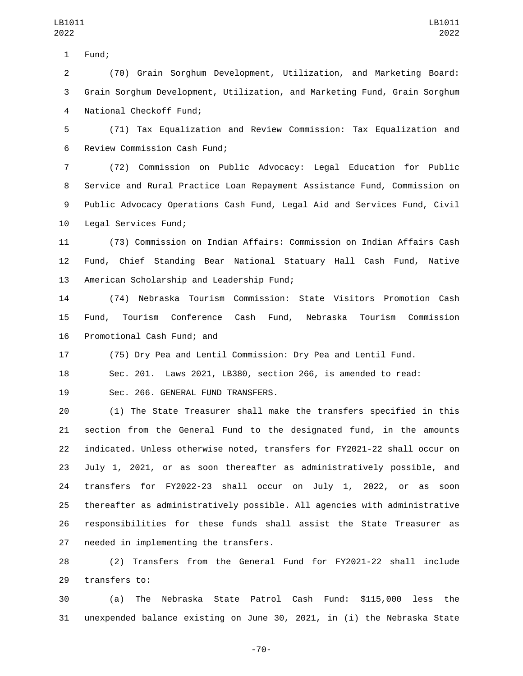1 Fund;

 (70) Grain Sorghum Development, Utilization, and Marketing Board: Grain Sorghum Development, Utilization, and Marketing Fund, Grain Sorghum 4 National Checkoff Fund;

 (71) Tax Equalization and Review Commission: Tax Equalization and 6 Review Commission Cash Fund;

 (72) Commission on Public Advocacy: Legal Education for Public Service and Rural Practice Loan Repayment Assistance Fund, Commission on Public Advocacy Operations Cash Fund, Legal Aid and Services Fund, Civil 10 Legal Services Fund;

 (73) Commission on Indian Affairs: Commission on Indian Affairs Cash Fund, Chief Standing Bear National Statuary Hall Cash Fund, Native 13 American Scholarship and Leadership Fund;

 (74) Nebraska Tourism Commission: State Visitors Promotion Cash Fund, Tourism Conference Cash Fund, Nebraska Tourism Commission 16 Promotional Cash Fund; and

(75) Dry Pea and Lentil Commission: Dry Pea and Lentil Fund.

Sec. 201. Laws 2021, LB380, section 266, is amended to read:

19 Sec. 266. GENERAL FUND TRANSFERS.

 (1) The State Treasurer shall make the transfers specified in this section from the General Fund to the designated fund, in the amounts indicated. Unless otherwise noted, transfers for FY2021-22 shall occur on July 1, 2021, or as soon thereafter as administratively possible, and transfers for FY2022-23 shall occur on July 1, 2022, or as soon thereafter as administratively possible. All agencies with administrative responsibilities for these funds shall assist the State Treasurer as 27 needed in implementing the transfers.

 (2) Transfers from the General Fund for FY2021-22 shall include 29 transfers to:

 (a) The Nebraska State Patrol Cash Fund: \$115,000 less the unexpended balance existing on June 30, 2021, in (i) the Nebraska State

-70-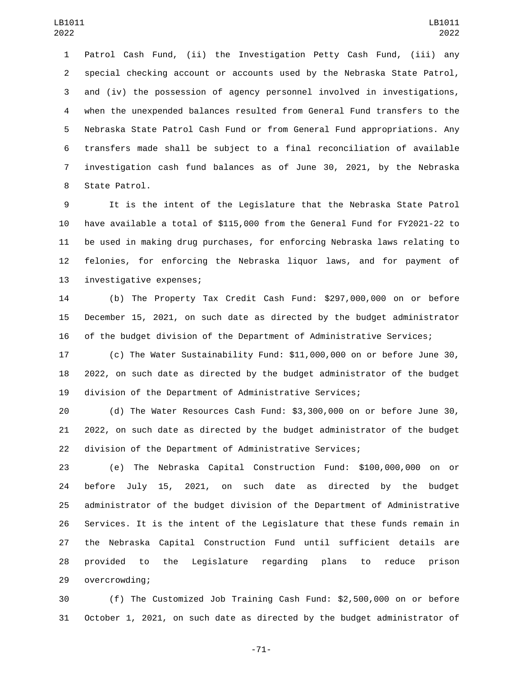Patrol Cash Fund, (ii) the Investigation Petty Cash Fund, (iii) any special checking account or accounts used by the Nebraska State Patrol, and (iv) the possession of agency personnel involved in investigations, when the unexpended balances resulted from General Fund transfers to the Nebraska State Patrol Cash Fund or from General Fund appropriations. Any transfers made shall be subject to a final reconciliation of available investigation cash fund balances as of June 30, 2021, by the Nebraska 8 State Patrol.

 It is the intent of the Legislature that the Nebraska State Patrol have available a total of \$115,000 from the General Fund for FY2021-22 to be used in making drug purchases, for enforcing Nebraska laws relating to felonies, for enforcing the Nebraska liquor laws, and for payment of 13 investigative expenses;

 (b) The Property Tax Credit Cash Fund: \$297,000,000 on or before December 15, 2021, on such date as directed by the budget administrator of the budget division of the Department of Administrative Services;

 (c) The Water Sustainability Fund: \$11,000,000 on or before June 30, 2022, on such date as directed by the budget administrator of the budget division of the Department of Administrative Services;

 (d) The Water Resources Cash Fund: \$3,300,000 on or before June 30, 2022, on such date as directed by the budget administrator of the budget division of the Department of Administrative Services;

 (e) The Nebraska Capital Construction Fund: \$100,000,000 on or before July 15, 2021, on such date as directed by the budget administrator of the budget division of the Department of Administrative Services. It is the intent of the Legislature that these funds remain in the Nebraska Capital Construction Fund until sufficient details are provided to the Legislature regarding plans to reduce prison 29 overcrowding;

 (f) The Customized Job Training Cash Fund: \$2,500,000 on or before October 1, 2021, on such date as directed by the budget administrator of

-71-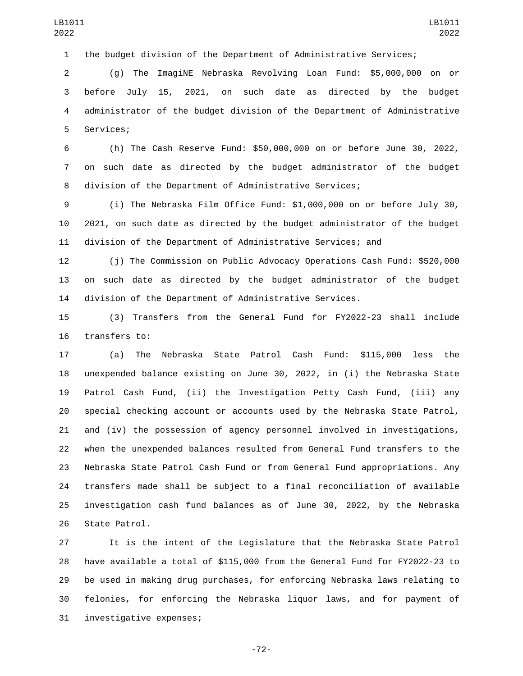the budget division of the Department of Administrative Services;

 (g) The ImagiNE Nebraska Revolving Loan Fund: \$5,000,000 on or before July 15, 2021, on such date as directed by the budget administrator of the budget division of the Department of Administrative 5 Services;

 (h) The Cash Reserve Fund: \$50,000,000 on or before June 30, 2022, on such date as directed by the budget administrator of the budget division of the Department of Administrative Services;

 (i) The Nebraska Film Office Fund: \$1,000,000 on or before July 30, 2021, on such date as directed by the budget administrator of the budget division of the Department of Administrative Services; and

 (j) The Commission on Public Advocacy Operations Cash Fund: \$520,000 on such date as directed by the budget administrator of the budget division of the Department of Administrative Services.

 (3) Transfers from the General Fund for FY2022-23 shall include 16 transfers to:

 (a) The Nebraska State Patrol Cash Fund: \$115,000 less the unexpended balance existing on June 30, 2022, in (i) the Nebraska State Patrol Cash Fund, (ii) the Investigation Petty Cash Fund, (iii) any special checking account or accounts used by the Nebraska State Patrol, and (iv) the possession of agency personnel involved in investigations, when the unexpended balances resulted from General Fund transfers to the Nebraska State Patrol Cash Fund or from General Fund appropriations. Any transfers made shall be subject to a final reconciliation of available investigation cash fund balances as of June 30, 2022, by the Nebraska 26 State Patrol.

 It is the intent of the Legislature that the Nebraska State Patrol have available a total of \$115,000 from the General Fund for FY2022-23 to be used in making drug purchases, for enforcing Nebraska laws relating to felonies, for enforcing the Nebraska liquor laws, and for payment of 31 investigative expenses;

-72-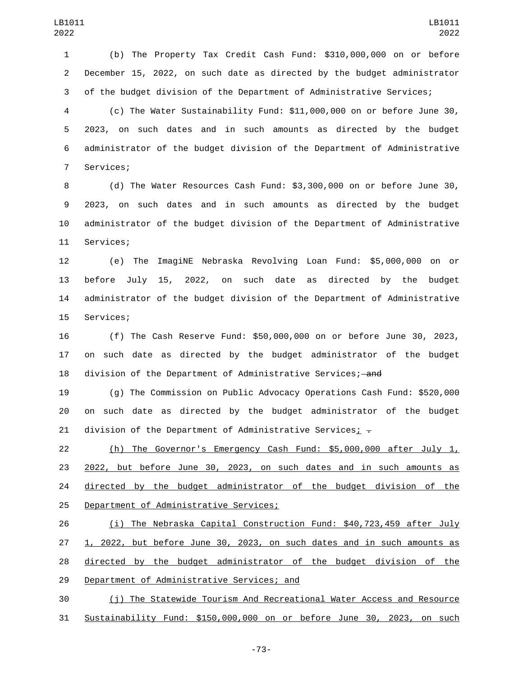(b) The Property Tax Credit Cash Fund: \$310,000,000 on or before December 15, 2022, on such date as directed by the budget administrator of the budget division of the Department of Administrative Services;

 (c) The Water Sustainability Fund: \$11,000,000 on or before June 30, 2023, on such dates and in such amounts as directed by the budget administrator of the budget division of the Department of Administrative 7 Services;

 (d) The Water Resources Cash Fund: \$3,300,000 on or before June 30, 2023, on such dates and in such amounts as directed by the budget administrator of the budget division of the Department of Administrative 11 Services;

 (e) The ImagiNE Nebraska Revolving Loan Fund: \$5,000,000 on or before July 15, 2022, on such date as directed by the budget administrator of the budget division of the Department of Administrative 15 Services;

 (f) The Cash Reserve Fund: \$50,000,000 on or before June 30, 2023, on such date as directed by the budget administrator of the budget 18 division of the Department of Administrative Services; and

 (g) The Commission on Public Advocacy Operations Cash Fund: \$520,000 on such date as directed by the budget administrator of the budget 21 division of the Department of Administrative Services;  $\overline{z}$ 

 (h) The Governor's Emergency Cash Fund: \$5,000,000 after July 1, 2022, but before June 30, 2023, on such dates and in such amounts as 24 directed by the budget administrator of the budget division of the 25 Department of Administrative Services;

 (i) The Nebraska Capital Construction Fund: \$40,723,459 after July 1, 2022, but before June 30, 2023, on such dates and in such amounts as directed by the budget administrator of the budget division of the 29 Department of Administrative Services; and

 (j) The Statewide Tourism And Recreational Water Access and Resource Sustainability Fund: \$150,000,000 on or before June 30, 2023, on such

-73-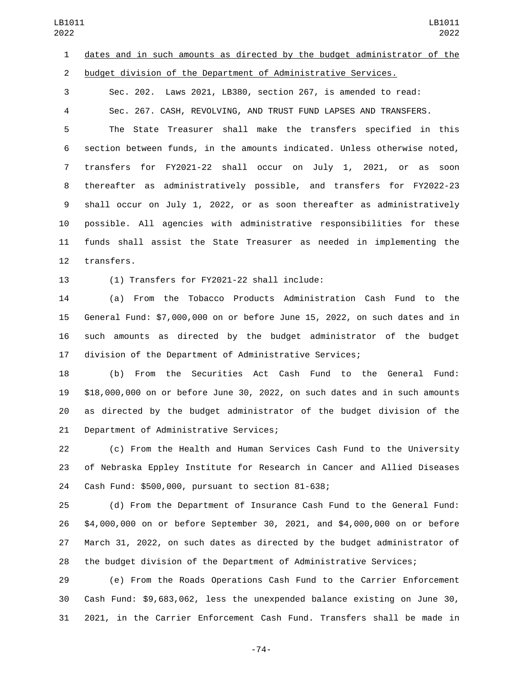dates and in such amounts as directed by the budget administrator of the budget division of the Department of Administrative Services. Sec. 202. Laws 2021, LB380, section 267, is amended to read: Sec. 267. CASH, REVOLVING, AND TRUST FUND LAPSES AND TRANSFERS. The State Treasurer shall make the transfers specified in this section between funds, in the amounts indicated. Unless otherwise noted, transfers for FY2021-22 shall occur on July 1, 2021, or as soon thereafter as administratively possible, and transfers for FY2022-23 shall occur on July 1, 2022, or as soon thereafter as administratively possible. All agencies with administrative responsibilities for these funds shall assist the State Treasurer as needed in implementing the 12 transfers. 13 (1) Transfers for FY2021-22 shall include: (a) From the Tobacco Products Administration Cash Fund to the General Fund: \$7,000,000 on or before June 15, 2022, on such dates and in such amounts as directed by the budget administrator of the budget division of the Department of Administrative Services; (b) From the Securities Act Cash Fund to the General Fund: \$18,000,000 on or before June 30, 2022, on such dates and in such amounts as directed by the budget administrator of the budget division of the 21 Department of Administrative Services; (c) From the Health and Human Services Cash Fund to the University LB1011 LB1011 

 of Nebraska Eppley Institute for Research in Cancer and Allied Diseases 24 Cash Fund: \$500,000, pursuant to section 81-638;

 (d) From the Department of Insurance Cash Fund to the General Fund: \$4,000,000 on or before September 30, 2021, and \$4,000,000 on or before March 31, 2022, on such dates as directed by the budget administrator of the budget division of the Department of Administrative Services;

 (e) From the Roads Operations Cash Fund to the Carrier Enforcement Cash Fund: \$9,683,062, less the unexpended balance existing on June 30, 2021, in the Carrier Enforcement Cash Fund. Transfers shall be made in

-74-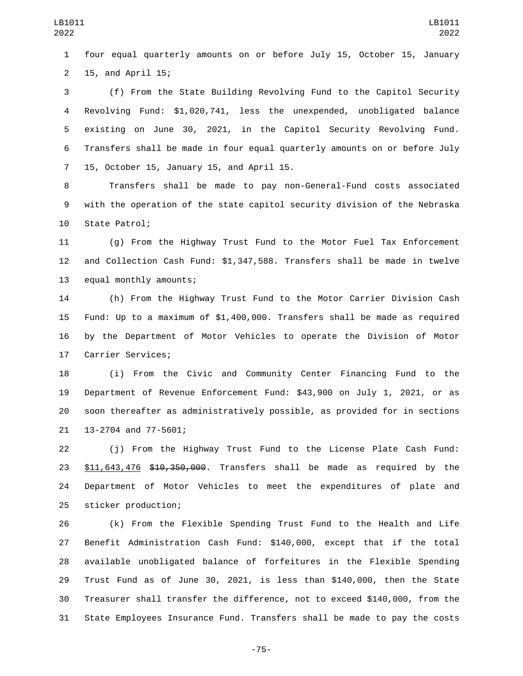four equal quarterly amounts on or before July 15, October 15, January 15, and April 15;2

 (f) From the State Building Revolving Fund to the Capitol Security Revolving Fund: \$1,020,741, less the unexpended, unobligated balance existing on June 30, 2021, in the Capitol Security Revolving Fund. Transfers shall be made in four equal quarterly amounts on or before July 7 15, October 15, January 15, and April 15.

 Transfers shall be made to pay non-General-Fund costs associated with the operation of the state capitol security division of the Nebraska 10 State Patrol;

 (g) From the Highway Trust Fund to the Motor Fuel Tax Enforcement and Collection Cash Fund: \$1,347,588. Transfers shall be made in twelve 13 equal monthly amounts;

 (h) From the Highway Trust Fund to the Motor Carrier Division Cash Fund: Up to a maximum of \$1,400,000. Transfers shall be made as required by the Department of Motor Vehicles to operate the Division of Motor 17 Carrier Services;

 (i) From the Civic and Community Center Financing Fund to the Department of Revenue Enforcement Fund: \$43,900 on July 1, 2021, or as soon thereafter as administratively possible, as provided for in sections 21 13-2704 and 77-5601;

 (j) From the Highway Trust Fund to the License Plate Cash Fund: 23 \$11,643,476 \$10,350,000. Transfers shall be made as required by the Department of Motor Vehicles to meet the expenditures of plate and 25 sticker production;

 (k) From the Flexible Spending Trust Fund to the Health and Life Benefit Administration Cash Fund: \$140,000, except that if the total available unobligated balance of forfeitures in the Flexible Spending Trust Fund as of June 30, 2021, is less than \$140,000, then the State Treasurer shall transfer the difference, not to exceed \$140,000, from the State Employees Insurance Fund. Transfers shall be made to pay the costs

-75-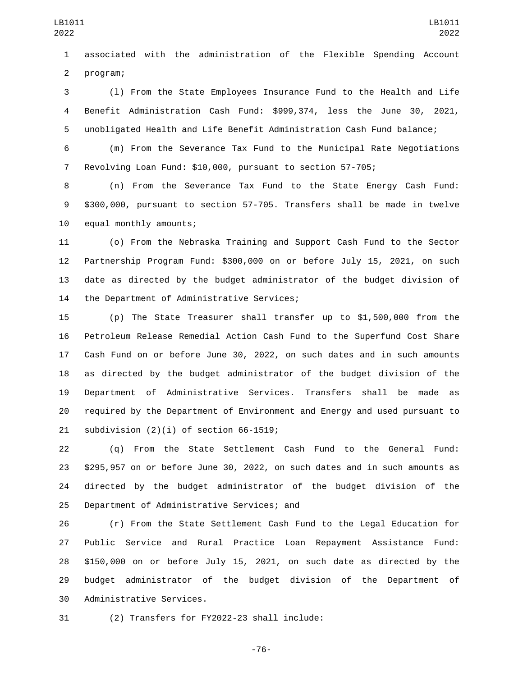associated with the administration of the Flexible Spending Account 2 program;

 (l) From the State Employees Insurance Fund to the Health and Life Benefit Administration Cash Fund: \$999,374, less the June 30, 2021, unobligated Health and Life Benefit Administration Cash Fund balance;

 (m) From the Severance Tax Fund to the Municipal Rate Negotiations Revolving Loan Fund: \$10,000, pursuant to section 57-705;

 (n) From the Severance Tax Fund to the State Energy Cash Fund: \$300,000, pursuant to section 57-705. Transfers shall be made in twelve 10 equal monthly amounts;

 (o) From the Nebraska Training and Support Cash Fund to the Sector Partnership Program Fund: \$300,000 on or before July 15, 2021, on such date as directed by the budget administrator of the budget division of 14 the Department of Administrative Services;

 (p) The State Treasurer shall transfer up to \$1,500,000 from the Petroleum Release Remedial Action Cash Fund to the Superfund Cost Share Cash Fund on or before June 30, 2022, on such dates and in such amounts as directed by the budget administrator of the budget division of the Department of Administrative Services. Transfers shall be made as required by the Department of Environment and Energy and used pursuant to 21 subdivision  $(2)(i)$  of section 66-1519;

 (q) From the State Settlement Cash Fund to the General Fund: \$295,957 on or before June 30, 2022, on such dates and in such amounts as directed by the budget administrator of the budget division of the 25 Department of Administrative Services; and

 (r) From the State Settlement Cash Fund to the Legal Education for Public Service and Rural Practice Loan Repayment Assistance Fund: \$150,000 on or before July 15, 2021, on such date as directed by the budget administrator of the budget division of the Department of 30 Administrative Services.

(2) Transfers for FY2022-23 shall include:31

-76-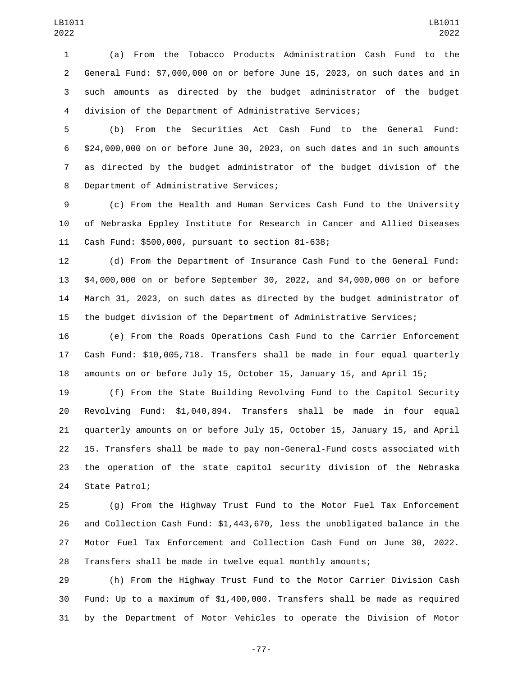(a) From the Tobacco Products Administration Cash Fund to the General Fund: \$7,000,000 on or before June 15, 2023, on such dates and in such amounts as directed by the budget administrator of the budget division of the Department of Administrative Services;

 (b) From the Securities Act Cash Fund to the General Fund: \$24,000,000 on or before June 30, 2023, on such dates and in such amounts as directed by the budget administrator of the budget division of the 8 Department of Administrative Services;

 (c) From the Health and Human Services Cash Fund to the University of Nebraska Eppley Institute for Research in Cancer and Allied Diseases 11 Cash Fund: \$500,000, pursuant to section 81-638;

 (d) From the Department of Insurance Cash Fund to the General Fund: \$4,000,000 on or before September 30, 2022, and \$4,000,000 on or before March 31, 2023, on such dates as directed by the budget administrator of the budget division of the Department of Administrative Services;

 (e) From the Roads Operations Cash Fund to the Carrier Enforcement Cash Fund: \$10,005,718. Transfers shall be made in four equal quarterly amounts on or before July 15, October 15, January 15, and April 15;

 (f) From the State Building Revolving Fund to the Capitol Security Revolving Fund: \$1,040,894. Transfers shall be made in four equal quarterly amounts on or before July 15, October 15, January 15, and April 15. Transfers shall be made to pay non-General-Fund costs associated with the operation of the state capitol security division of the Nebraska 24 State Patrol;

 (g) From the Highway Trust Fund to the Motor Fuel Tax Enforcement and Collection Cash Fund: \$1,443,670, less the unobligated balance in the Motor Fuel Tax Enforcement and Collection Cash Fund on June 30, 2022. Transfers shall be made in twelve equal monthly amounts;

 (h) From the Highway Trust Fund to the Motor Carrier Division Cash Fund: Up to a maximum of \$1,400,000. Transfers shall be made as required by the Department of Motor Vehicles to operate the Division of Motor

-77-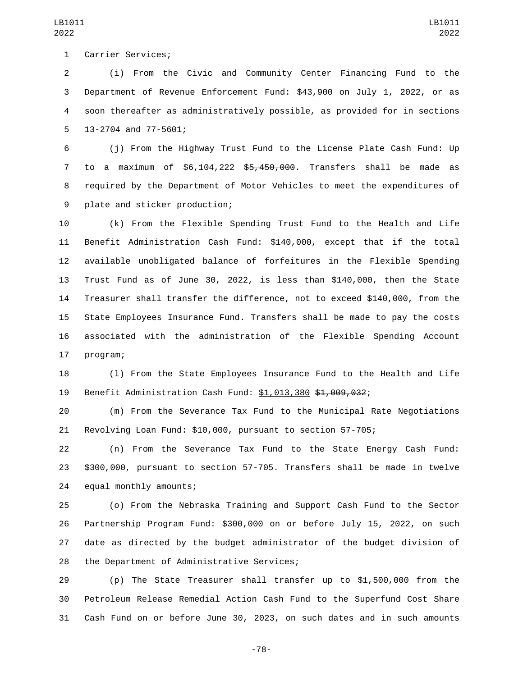LB1011

 (i) From the Civic and Community Center Financing Fund to the Department of Revenue Enforcement Fund: \$43,900 on July 1, 2022, or as soon thereafter as administratively possible, as provided for in sections 13-2704 and 77-5601;

 (j) From the Highway Trust Fund to the License Plate Cash Fund: Up 7 to a maximum of \$6,104,222 \$<del>5,450,000</del>. Transfers shall be made as required by the Department of Motor Vehicles to meet the expenditures of 9 plate and sticker production;

 (k) From the Flexible Spending Trust Fund to the Health and Life Benefit Administration Cash Fund: \$140,000, except that if the total available unobligated balance of forfeitures in the Flexible Spending Trust Fund as of June 30, 2022, is less than \$140,000, then the State Treasurer shall transfer the difference, not to exceed \$140,000, from the State Employees Insurance Fund. Transfers shall be made to pay the costs associated with the administration of the Flexible Spending Account 17 program;

 (l) From the State Employees Insurance Fund to the Health and Life 19 Benefit Administration Cash Fund: \$1,013,380 \$1,009,032;

 (m) From the Severance Tax Fund to the Municipal Rate Negotiations Revolving Loan Fund: \$10,000, pursuant to section 57-705;

 (n) From the Severance Tax Fund to the State Energy Cash Fund: \$300,000, pursuant to section 57-705. Transfers shall be made in twelve 24 equal monthly amounts;

 (o) From the Nebraska Training and Support Cash Fund to the Sector Partnership Program Fund: \$300,000 on or before July 15, 2022, on such date as directed by the budget administrator of the budget division of 28 the Department of Administrative Services;

 (p) The State Treasurer shall transfer up to \$1,500,000 from the Petroleum Release Remedial Action Cash Fund to the Superfund Cost Share Cash Fund on or before June 30, 2023, on such dates and in such amounts

-78-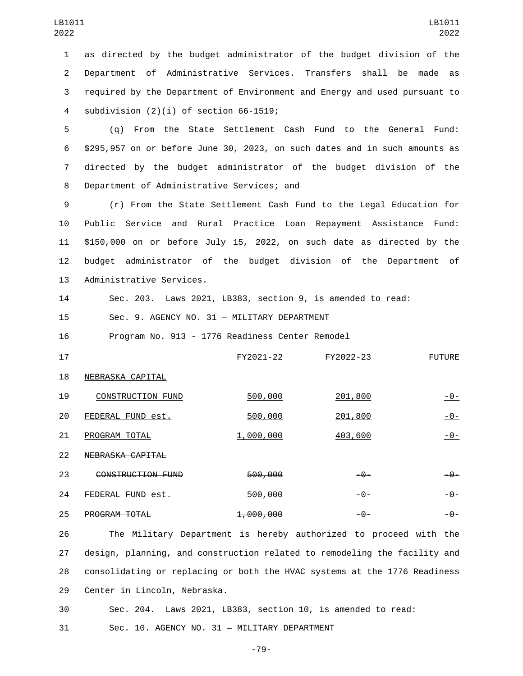as directed by the budget administrator of the budget division of the Department of Administrative Services. Transfers shall be made as required by the Department of Environment and Energy and used pursuant to 4 subdivision  $(2)(i)$  of section 66-1519;

 (q) From the State Settlement Cash Fund to the General Fund: \$295,957 on or before June 30, 2023, on such dates and in such amounts as directed by the budget administrator of the budget division of the 8 Department of Administrative Services; and

 (r) From the State Settlement Cash Fund to the Legal Education for Public Service and Rural Practice Loan Repayment Assistance Fund: \$150,000 on or before July 15, 2022, on such date as directed by the budget administrator of the budget division of the Department of 13 Administrative Services.

14 Sec. 203. Laws 2021, LB383, section 9, is amended to read:

15 Sec. 9. AGENCY NO. 31 - MILITARY DEPARTMENT

16 Program No. 913 - 1776 Readiness Center Remodel

 17 FY2021-22 FY2022-23 FUTURE 18 NEBRASKA CAPITAL 19 CONSTRUCTION FUND 500,000 201,800 -0-20 FEDERAL FUND est. 200,000 201,800 201,800 -0-21 PROGRAM TOTAL 21 2000,000 403,600 403,600 22 NEBRASKA CAPITAL 23 CONSTRUCTION FUND 500,000 -0- -0- -0-24 FEDERAL FUND est. 24 500,000 -0- -0- -0- -0-25 **PROGRAM TOTAL** 2,000,000 -0- -0- -0- -0-

 The Military Department is hereby authorized to proceed with the design, planning, and construction related to remodeling the facility and consolidating or replacing or both the HVAC systems at the 1776 Readiness 29 Center in Lincoln, Nebraska.

30 Sec. 204. Laws 2021, LB383, section 10, is amended to read:

31 Sec. 10. AGENCY NO. 31 - MILITARY DEPARTMENT

-79-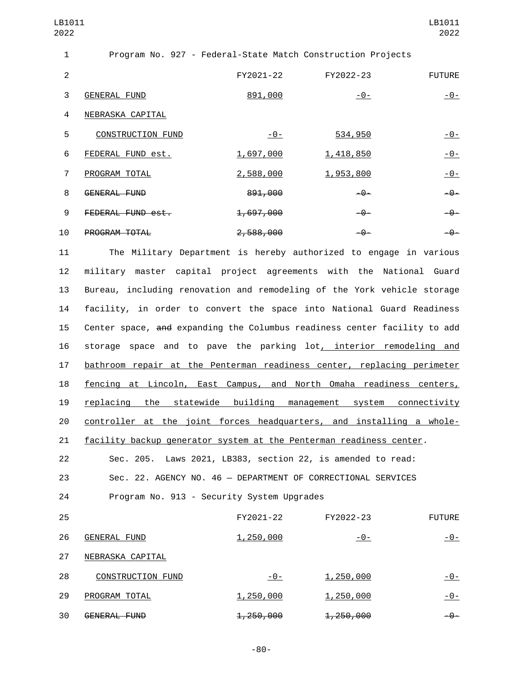| LB1011 |
|--------|
| 2022   |

|  |  |  | Program No. 927 - Federal-State Match Construction Projects |  |  |  |
|--|--|--|-------------------------------------------------------------|--|--|--|
|--|--|--|-------------------------------------------------------------|--|--|--|

| $\mathcal{P}$ |                      | FY2021-22 | FY2022-23 | <b>FUTURE</b> |
|---------------|----------------------|-----------|-----------|---------------|
| 3             | <b>GENERAL FUND</b>  | 891,000   | $-0-$     | -0-           |
| 4             | NEBRASKA CAPITAL     |           |           |               |
| 5             | CONSTRUCTION FUND    | $-0-$     | 534,950   | - 0 -         |
| 6             | FEDERAL FUND est.    | 1,697,000 | 1,418,850 | <u>- 0 - </u> |
| 7             | PROGRAM TOTAL        | 2,588,000 | 1,953,800 | $-0-$         |
| 8             | GENERAL FUND         | 891,000   | $-9-$     | -0-           |
| 9             | FEDERAL FUND est.    | 1,697,000 | -0-       | -0-           |
| 10            | <b>PROGRAM TOTAL</b> | 2,588,000 | -0-       | -0-           |

 The Military Department is hereby authorized to engage in various military master capital project agreements with the National Guard Bureau, including renovation and remodeling of the York vehicle storage facility, in order to convert the space into National Guard Readiness Center space, and expanding the Columbus readiness center facility to add storage space and to pave the parking lot, interior remodeling and bathroom repair at the Penterman readiness center, replacing perimeter fencing at Lincoln, East Campus, and North Omaha readiness centers, replacing the statewide building management system connectivity controller at the joint forces headquarters, and installing a whole-21 facility backup generator system at the Penterman readiness center.

22 Sec. 205. Laws 2021, LB383, section 22, is amended to read: 23 Sec. 22. AGENCY NO. 46 — DEPARTMENT OF CORRECTIONAL SERVICES 24 Program No. 913 - Security System Upgrades

| 25 |                          | FY2021-22     | FY2022-23      | <b>FUTURE</b> |
|----|--------------------------|---------------|----------------|---------------|
| 26 | <b>GENERAL FUND</b>      | 1,250,000     | <u> - 0 - </u> | <u>- 0 -</u>  |
| 27 | NEBRASKA CAPITAL         |               |                |               |
| 28 | <b>CONSTRUCTION FUND</b> | <u>- 0 - </u> | 1,250,000      | <u>- 0 - </u> |
| 29 | PROGRAM TOTAL            | 1,250,000     | 1,250,000      | <u>- 0 -</u>  |
| 30 | GENERAL FUND             | 1,250,000     | 1,250,000      | -0-           |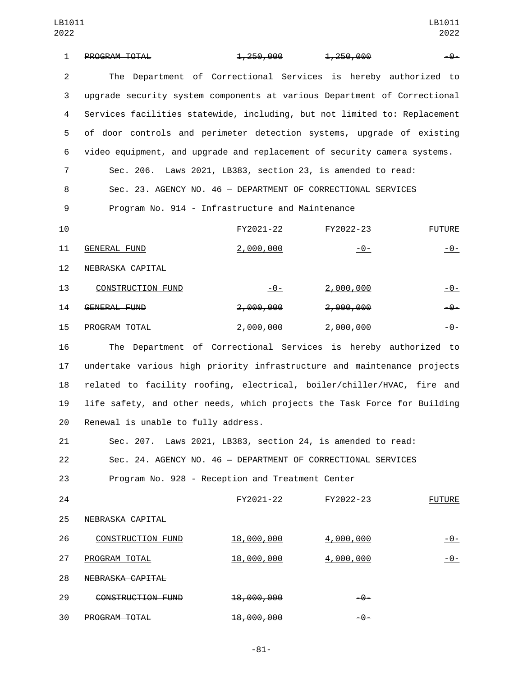| 1              | PROGRAM TOTAL                                                             | 1,250,000         | 1,250,000 |                |
|----------------|---------------------------------------------------------------------------|-------------------|-----------|----------------|
| $\overline{2}$ | The Department of Correctional Services is hereby authorized to           |                   |           |                |
| 3              | upgrade security system components at various Department of Correctional  |                   |           |                |
| 4              | Services facilities statewide, including, but not limited to: Replacement |                   |           |                |
| 5              | of door controls and perimeter detection systems, upgrade of existing     |                   |           |                |
| 6              | video equipment, and upgrade and replacement of security camera systems.  |                   |           |                |
| $\overline{7}$ | Sec. 206. Laws 2021, LB383, section 23, is amended to read:               |                   |           |                |
| 8              | Sec. 23. AGENCY NO. 46 - DEPARTMENT OF CORRECTIONAL SERVICES              |                   |           |                |
| 9              | Program No. 914 - Infrastructure and Maintenance                          |                   |           |                |
| 10             |                                                                           | FY2021-22         | FY2022-23 | <b>FUTURE</b>  |
| 11             | <b>GENERAL FUND</b>                                                       | 2,000,000         | $-0-$     | <u>- 0 - </u>  |
| 12             | NEBRASKA CAPITAL                                                          |                   |           |                |
| 13             | <b>CONSTRUCTION FUND</b>                                                  | $-0-$             | 2,000,000 | $-0-$          |
| 14             | GENERAL FUND                                                              | 2,000,000         | 2,000,000 | $-9-$          |
| 15             | PROGRAM TOTAL                                                             | 2,000,000         | 2,000,000 | $-0-$          |
| 16             | The Department of Correctional Services is hereby authorized to           |                   |           |                |
| 17             | undertake various high priority infrastructure and maintenance projects   |                   |           |                |
| 18             | related to facility roofing, electrical, boiler/chiller/HVAC, fire and    |                   |           |                |
| 19             | life safety, and other needs, which projects the Task Force for Building  |                   |           |                |
| 20             | Renewal is unable to fully address.                                       |                   |           |                |
| 21             | Sec. 207. Laws 2021, LB383, section 24, is amended to read:               |                   |           |                |
| 22             | Sec. 24. AGENCY NO. 46 - DEPARTMENT OF CORRECTIONAL SERVICES              |                   |           |                |
| 23             | Program No. 928 - Reception and Treatment Center                          |                   |           |                |
| 24             |                                                                           | FY2021-22         | FY2022-23 | <b>FUTURE</b>  |
| 25             | NEBRASKA CAPITAL                                                          |                   |           |                |
| 26             | <b>CONSTRUCTION FUND</b>                                                  | <u>18,000,000</u> | 4,000,000 | <u>-0-</u>     |
| 27             | PROGRAM TOTAL                                                             | <u>18,000,000</u> | 4,000,000 | <u> - 0 - </u> |
| 28             | NEBRASKA CAPITAL                                                          |                   |           |                |
| 29             | CONSTRUCTION FUND                                                         | 18,000,000        | $-9-$     |                |
| 30             | PROGRAM TOTAL                                                             | 18,000,000        | $-9-$     |                |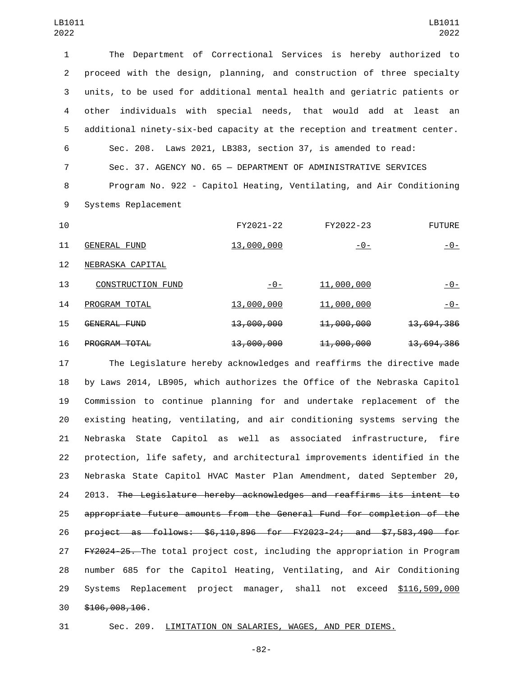The Department of Correctional Services is hereby authorized to proceed with the design, planning, and construction of three specialty units, to be used for additional mental health and geriatric patients or other individuals with special needs, that would add at least an additional ninety-six-bed capacity at the reception and treatment center. Sec. 208. Laws 2021, LB383, section 37, is amended to read: Sec. 37. AGENCY NO. 65 — DEPARTMENT OF ADMINISTRATIVE SERVICES Program No. 922 - Capitol Heating, Ventilating, and Air Conditioning 9 Systems Replacement FY2021-22 FY2022-23 FUTURE 11 GENERAL FUND 13,000,000 -0- -0- -0-12 NEBRASKA CAPITAL 13 CONSTRUCTION FUND - 0- 11,000,000 - 0-14 PROGRAM TOTAL 13,000,000 11,000,000 15 GENERAL FUND<br>13,000,000 11,000,000 13,000,000 13,694,386

 The Legislature hereby acknowledges and reaffirms the directive made by Laws 2014, LB905, which authorizes the Office of the Nebraska Capitol Commission to continue planning for and undertake replacement of the existing heating, ventilating, and air conditioning systems serving the Nebraska State Capitol as well as associated infrastructure, fire protection, life safety, and architectural improvements identified in the Nebraska State Capitol HVAC Master Plan Amendment, dated September 20, 2013. The Legislature hereby acknowledges and reaffirms its intent to appropriate future amounts from the General Fund for completion of the project as follows: \$6,110,896 for FY2023-24; and \$7,583,490 for 27 FY2024-25. The total project cost, including the appropriation in Program number 685 for the Capitol Heating, Ventilating, and Air Conditioning Systems Replacement project manager, shall not exceed \$116,509,000 30 \$106,008,106.

PROGRAM TOTAL16 13,000,000 11,000,000 13,694,386

Sec. 209. LIMITATION ON SALARIES, WAGES, AND PER DIEMS.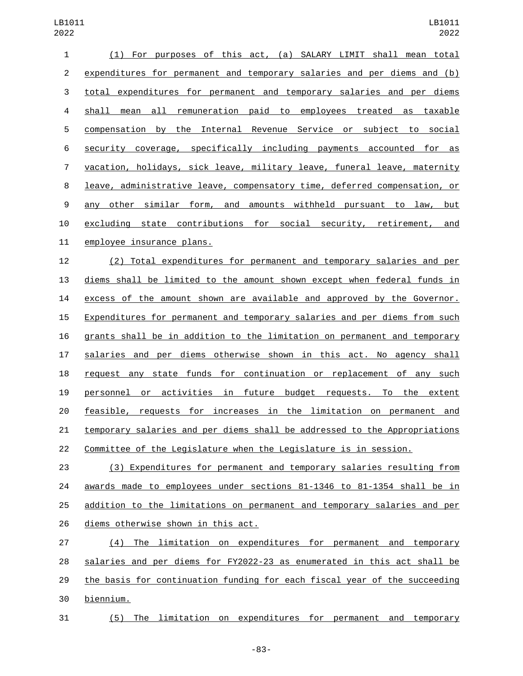| 1              | (1) For purposes of this act, (a) SALARY LIMIT shall mean total                   |
|----------------|-----------------------------------------------------------------------------------|
| 2              | expenditures for permanent and temporary salaries and per diems and (b)           |
| 3              | total expenditures for permanent and temporary salaries and per diems             |
| 4              | mean all remuneration paid to employees treated as<br>shall<br>taxable            |
| 5              | by the Internal Revenue Service or subject to social<br>compensation              |
| 6              | security coverage, specifically including payments accounted for as               |
| $\overline{7}$ | vacation, holidays, sick leave, military leave, funeral leave, maternity          |
| 8              | leave, administrative leave, compensatory time, deferred compensation, or         |
| 9              | similar form, and amounts withheld pursuant to law,<br>other<br><u>but</u><br>any |
| 10             | excluding state contributions for social security, retirement,<br>and             |
| 11             | employee insurance plans.                                                         |
|                |                                                                                   |

 (2) Total expenditures for permanent and temporary salaries and per diems shall be limited to the amount shown except when federal funds in excess of the amount shown are available and approved by the Governor. Expenditures for permanent and temporary salaries and per diems from such grants shall be in addition to the limitation on permanent and temporary salaries and per diems otherwise shown in this act. No agency shall request any state funds for continuation or replacement of any such personnel or activities in future budget requests. To the extent feasible, requests for increases in the limitation on permanent and temporary salaries and per diems shall be addressed to the Appropriations Committee of the Legislature when the Legislature is in session.

 (3) Expenditures for permanent and temporary salaries resulting from awards made to employees under sections 81-1346 to 81-1354 shall be in addition to the limitations on permanent and temporary salaries and per 26 diems otherwise shown in this act.

 (4) The limitation on expenditures for permanent and temporary salaries and per diems for FY2022-23 as enumerated in this act shall be the basis for continuation funding for each fiscal year of the succeeding biennium.30

(5) The limitation on expenditures for permanent and temporary